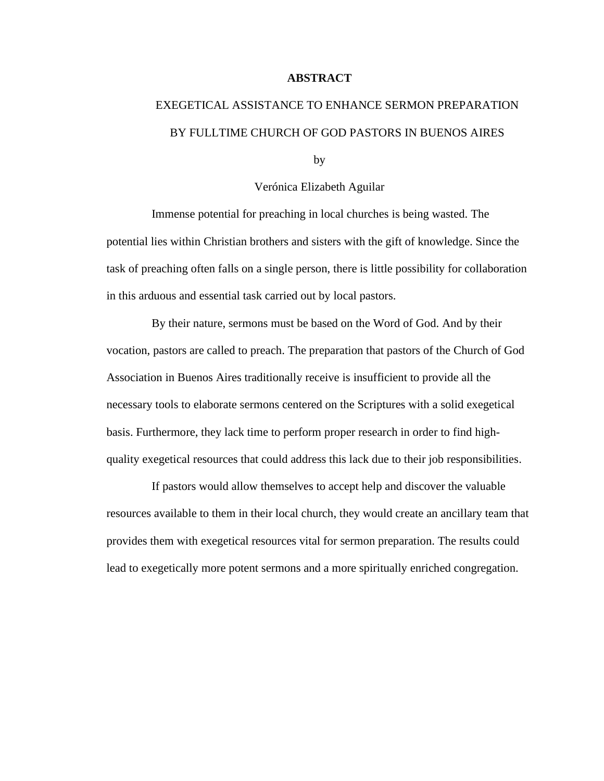### **ABSTRACT**

# EXEGETICAL ASSISTANCE TO ENHANCE SERMON PREPARATION BY FULLTIME CHURCH OF GOD PASTORS IN BUENOS AIRES

by

Verónica Elizabeth Aguilar

Immense potential for preaching in local churches is being wasted. The potential lies within Christian brothers and sisters with the gift of knowledge. Since the task of preaching often falls on a single person, there is little possibility for collaboration in this arduous and essential task carried out by local pastors.

By their nature, sermons must be based on the Word of God. And by their vocation, pastors are called to preach. The preparation that pastors of the Church of God Association in Buenos Aires traditionally receive is insufficient to provide all the necessary tools to elaborate sermons centered on the Scriptures with a solid exegetical basis. Furthermore, they lack time to perform proper research in order to find highquality exegetical resources that could address this lack due to their job responsibilities.

If pastors would allow themselves to accept help and discover the valuable resources available to them in their local church, they would create an ancillary team that provides them with exegetical resources vital for sermon preparation. The results could lead to exegetically more potent sermons and a more spiritually enriched congregation.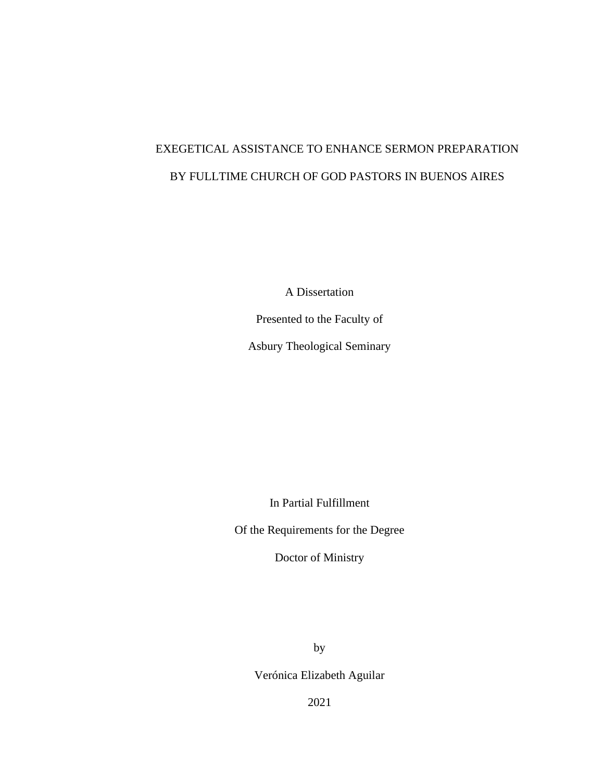# EXEGETICAL ASSISTANCE TO ENHANCE SERMON PREPARATION BY FULLTIME CHURCH OF GOD PASTORS IN BUENOS AIRES

A Dissertation

Presented to the Faculty of

Asbury Theological Seminary

In Partial Fulfillment

Of the Requirements for the Degree

Doctor of Ministry

by

Verónica Elizabeth Aguilar

2021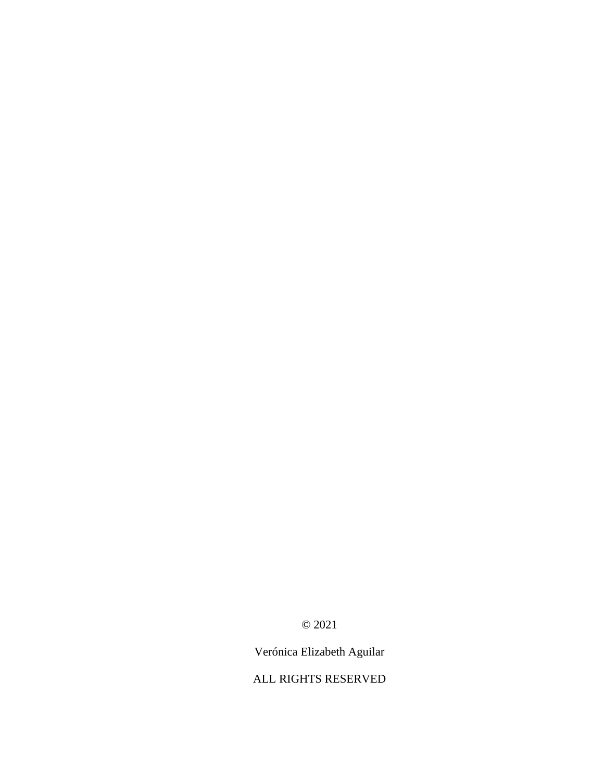© 2021

Verónica Elizabeth Aguilar

ALL RIGHTS RESERVED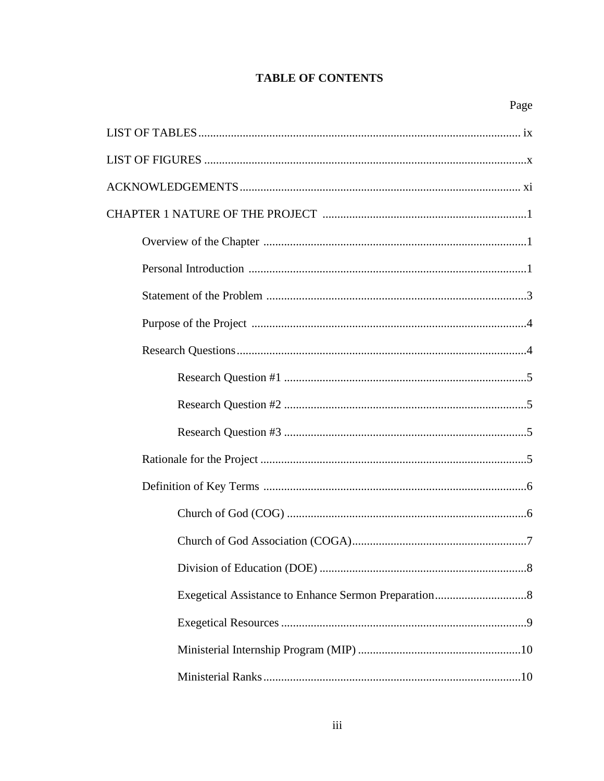# **TABLE OF CONTENTS**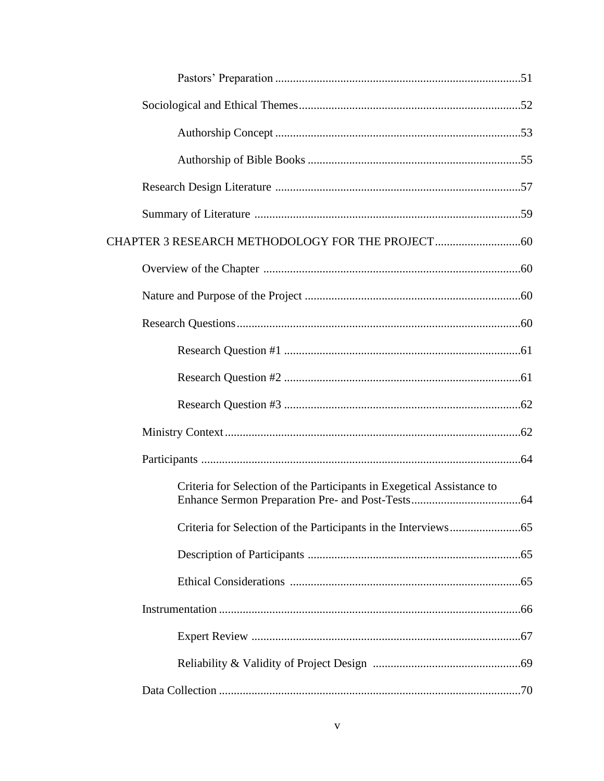| Criteria for Selection of the Participants in Exegetical Assistance to |  |
|------------------------------------------------------------------------|--|
|                                                                        |  |
|                                                                        |  |
|                                                                        |  |
|                                                                        |  |
|                                                                        |  |
|                                                                        |  |
|                                                                        |  |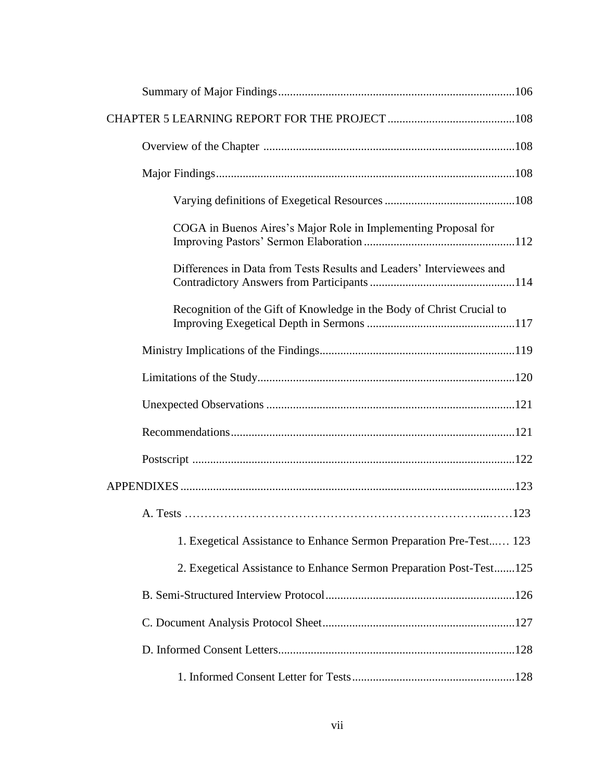| COGA in Buenos Aires's Major Role in Implementing Proposal for        |  |
|-----------------------------------------------------------------------|--|
| Differences in Data from Tests Results and Leaders' Interviewees and  |  |
| Recognition of the Gift of Knowledge in the Body of Christ Crucial to |  |
|                                                                       |  |
|                                                                       |  |
|                                                                       |  |
|                                                                       |  |
|                                                                       |  |
|                                                                       |  |
|                                                                       |  |
| 1. Exegetical Assistance to Enhance Sermon Preparation Pre-Test 123   |  |
| 2. Exegetical Assistance to Enhance Sermon Preparation Post-Test125   |  |
|                                                                       |  |
|                                                                       |  |
|                                                                       |  |
|                                                                       |  |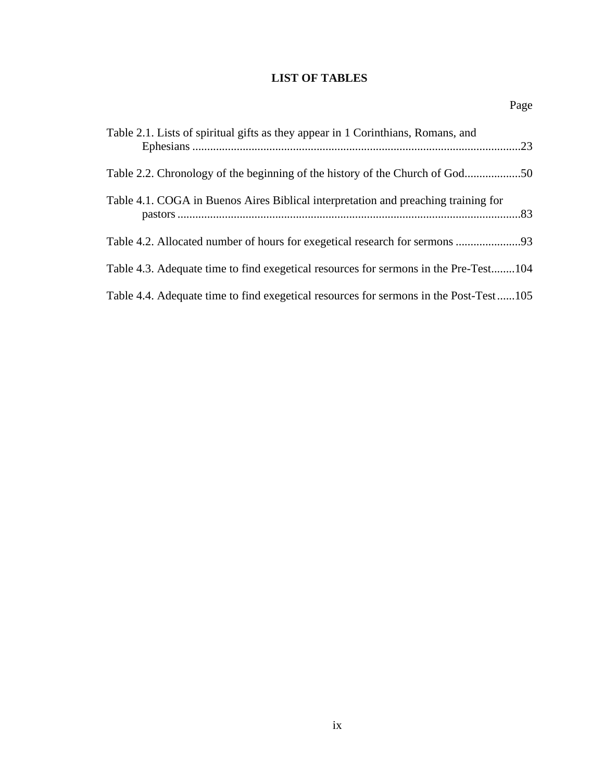# **LIST OF TABLES**

| Table 2.1. Lists of spiritual gifts as they appear in 1 Corinthians, Romans, and      |  |
|---------------------------------------------------------------------------------------|--|
|                                                                                       |  |
| Table 4.1. COGA in Buenos Aires Biblical interpretation and preaching training for    |  |
|                                                                                       |  |
| Table 4.3. Adequate time to find exegetical resources for sermons in the Pre-Test104  |  |
| Table 4.4. Adequate time to find exegetical resources for sermons in the Post-Test105 |  |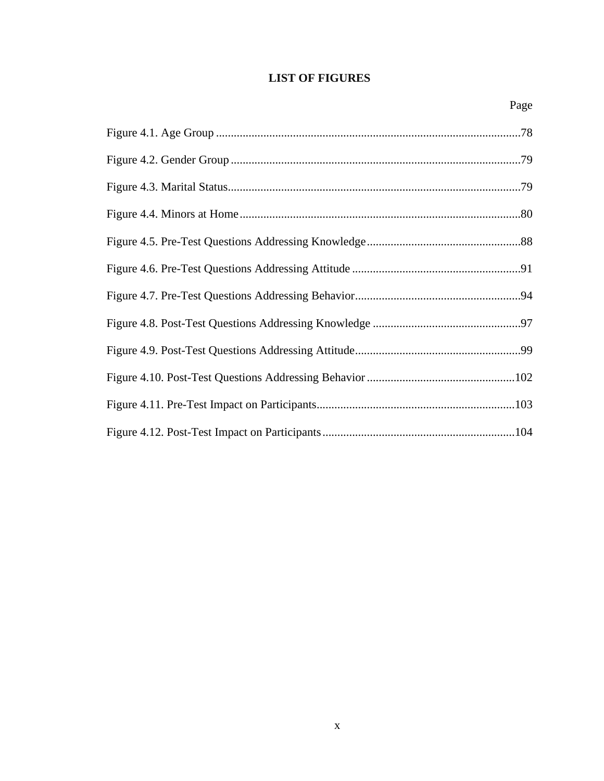# **LIST OF FIGURES**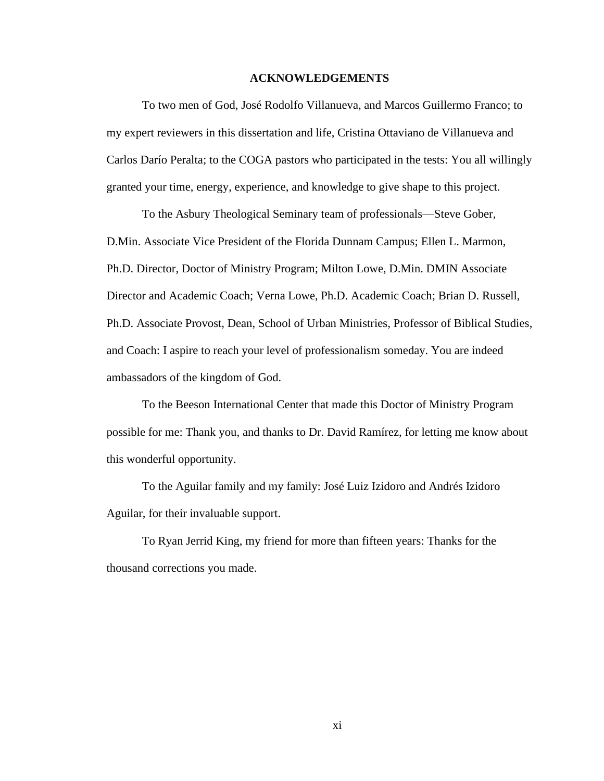#### **ACKNOWLEDGEMENTS**

To two men of God, José Rodolfo Villanueva, and Marcos Guillermo Franco; to my expert reviewers in this dissertation and life, Cristina Ottaviano de Villanueva and Carlos Darío Peralta; to the COGA pastors who participated in the tests: You all willingly granted your time, energy, experience, and knowledge to give shape to this project.

To the Asbury Theological Seminary team of professionals—Steve Gober, D.Min. Associate Vice President of the Florida Dunnam Campus; Ellen L. Marmon, Ph.D. Director, Doctor of Ministry Program; Milton Lowe, D.Min. DMIN Associate Director and Academic Coach; Verna Lowe, Ph.D. Academic Coach; Brian D. Russell, Ph.D. Associate Provost, Dean, School of Urban Ministries, Professor of Biblical Studies, and Coach: I aspire to reach your level of professionalism someday. You are indeed ambassadors of the kingdom of God.

To the Beeson International Center that made this Doctor of Ministry Program possible for me: Thank you, and thanks to Dr. David Ramírez, for letting me know about this wonderful opportunity.

To the Aguilar family and my family: José Luiz Izidoro and Andrés Izidoro Aguilar, for their invaluable support.

To Ryan Jerrid King, my friend for more than fifteen years: Thanks for the thousand corrections you made.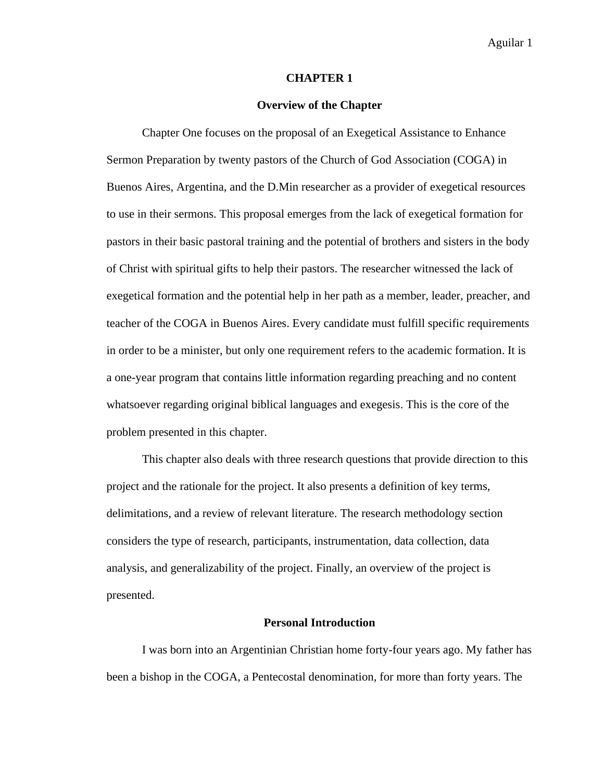#### **CHAPTER 1**

#### **Overview of the Chapter**

Chapter One focuses on the proposal of an Exegetical Assistance to Enhance Sermon Preparation by twenty pastors of the Church of God Association (COGA) in Buenos Aires, Argentina, and the D.Min researcher as a provider of exegetical resources to use in their sermons. This proposal emerges from the lack of exegetical formation for pastors in their basic pastoral training and the potential of brothers and sisters in the body of Christ with spiritual gifts to help their pastors. The researcher witnessed the lack of exegetical formation and the potential help in her path as a member, leader, preacher, and teacher of the COGA in Buenos Aires. Every candidate must fulfill specific requirements in order to be a minister, but only one requirement refers to the academic formation. It is a one-year program that contains little information regarding preaching and no content whatsoever regarding original biblical languages and exegesis. This is the core of the problem presented in this chapter.

This chapter also deals with three research questions that provide direction to this project and the rationale for the project. It also presents a definition of key terms, delimitations, and a review of relevant literature. The research methodology section considers the type of research, participants, instrumentation, data collection, data analysis, and generalizability of the project. Finally, an overview of the project is presented.

#### **Personal Introduction**

I was born into an Argentinian Christian home forty-four years ago. My father has been a bishop in the COGA, a Pentecostal denomination, for more than forty years. The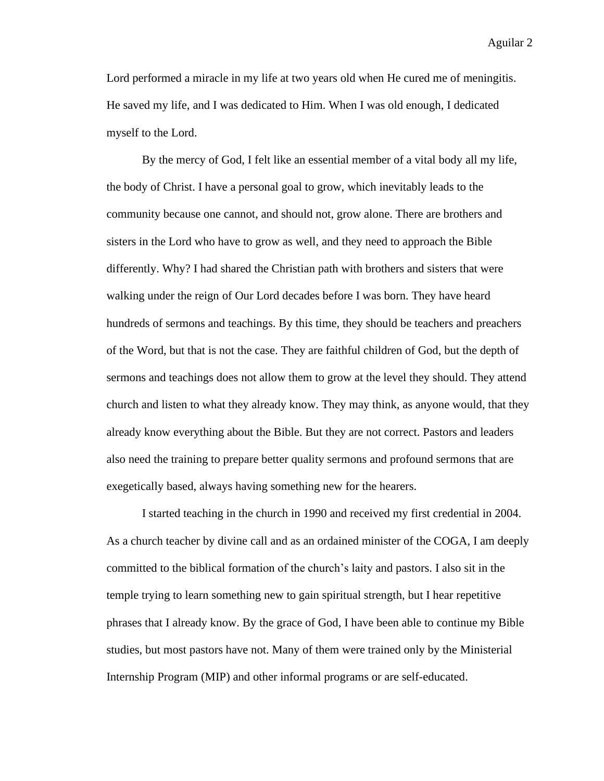Lord performed a miracle in my life at two years old when He cured me of meningitis. He saved my life, and I was dedicated to Him. When I was old enough, I dedicated myself to the Lord.

By the mercy of God, I felt like an essential member of a vital body all my life, the body of Christ. I have a personal goal to grow, which inevitably leads to the community because one cannot, and should not, grow alone. There are brothers and sisters in the Lord who have to grow as well, and they need to approach the Bible differently. Why? I had shared the Christian path with brothers and sisters that were walking under the reign of Our Lord decades before I was born. They have heard hundreds of sermons and teachings. By this time, they should be teachers and preachers of the Word, but that is not the case. They are faithful children of God, but the depth of sermons and teachings does not allow them to grow at the level they should. They attend church and listen to what they already know. They may think, as anyone would, that they already know everything about the Bible. But they are not correct. Pastors and leaders also need the training to prepare better quality sermons and profound sermons that are exegetically based, always having something new for the hearers.

I started teaching in the church in 1990 and received my first credential in 2004. As a church teacher by divine call and as an ordained minister of the COGA, I am deeply committed to the biblical formation of the church's laity and pastors. I also sit in the temple trying to learn something new to gain spiritual strength, but I hear repetitive phrases that I already know. By the grace of God, I have been able to continue my Bible studies, but most pastors have not. Many of them were trained only by the Ministerial Internship Program (MIP) and other informal programs or are self-educated.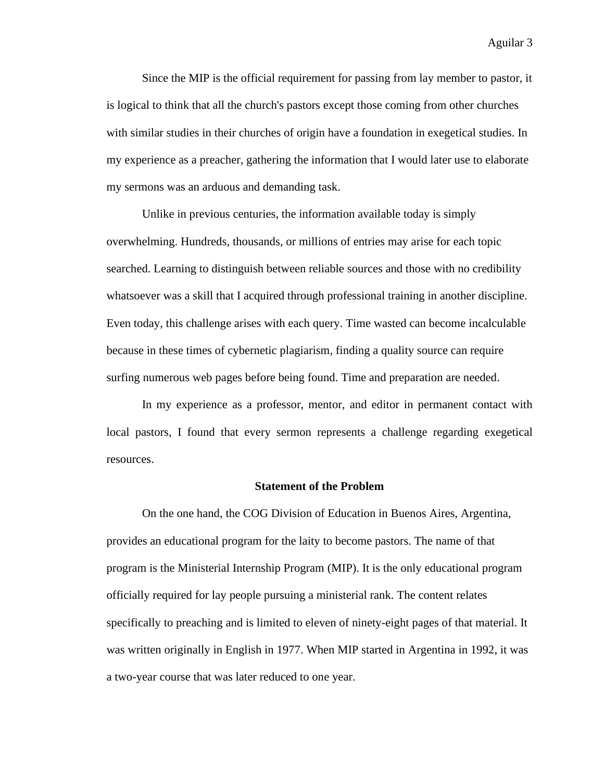Since the MIP is the official requirement for passing from lay member to pastor, it is logical to think that all the church's pastors except those coming from other churches with similar studies in their churches of origin have a foundation in exegetical studies. In my experience as a preacher, gathering the information that I would later use to elaborate my sermons was an arduous and demanding task.

Unlike in previous centuries, the information available today is simply overwhelming. Hundreds, thousands, or millions of entries may arise for each topic searched. Learning to distinguish between reliable sources and those with no credibility whatsoever was a skill that I acquired through professional training in another discipline. Even today, this challenge arises with each query. Time wasted can become incalculable because in these times of cybernetic plagiarism, finding a quality source can require surfing numerous web pages before being found. Time and preparation are needed.

In my experience as a professor, mentor, and editor in permanent contact with local pastors, I found that every sermon represents a challenge regarding exegetical resources.

#### **Statement of the Problem**

On the one hand, the COG Division of Education in Buenos Aires, Argentina, provides an educational program for the laity to become pastors. The name of that program is the Ministerial Internship Program (MIP). It is the only educational program officially required for lay people pursuing a ministerial rank. The content relates specifically to preaching and is limited to eleven of ninety-eight pages of that material. It was written originally in English in 1977. When MIP started in Argentina in 1992, it was a two-year course that was later reduced to one year.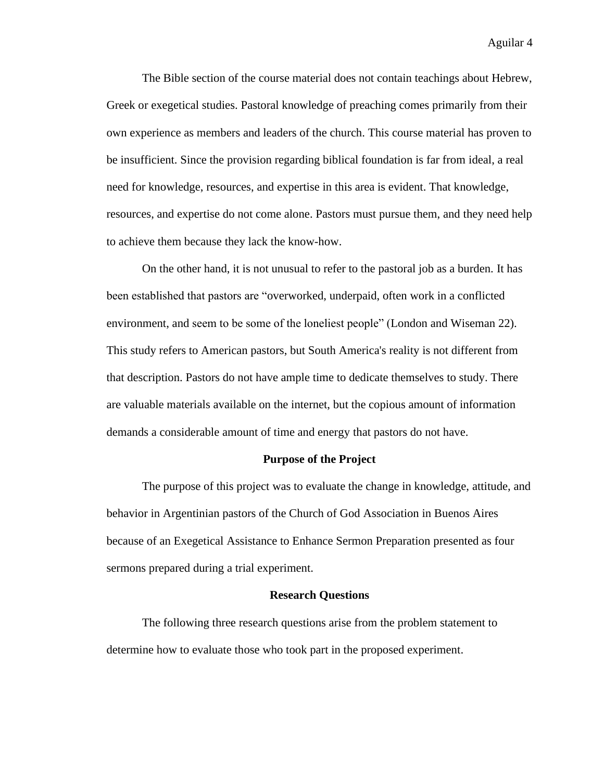The Bible section of the course material does not contain teachings about Hebrew, Greek or exegetical studies. Pastoral knowledge of preaching comes primarily from their own experience as members and leaders of the church. This course material has proven to be insufficient. Since the provision regarding biblical foundation is far from ideal, a real need for knowledge, resources, and expertise in this area is evident. That knowledge, resources, and expertise do not come alone. Pastors must pursue them, and they need help to achieve them because they lack the know-how.

On the other hand, it is not unusual to refer to the pastoral job as a burden. It has been established that pastors are "overworked, underpaid, often work in a conflicted environment, and seem to be some of the loneliest people" (London and Wiseman 22). This study refers to American pastors, but South America's reality is not different from that description. Pastors do not have ample time to dedicate themselves to study. There are valuable materials available on the internet, but the copious amount of information demands a considerable amount of time and energy that pastors do not have.

#### **Purpose of the Project**

The purpose of this project was to evaluate the change in knowledge, attitude, and behavior in Argentinian pastors of the Church of God Association in Buenos Aires because of an Exegetical Assistance to Enhance Sermon Preparation presented as four sermons prepared during a trial experiment.

#### **Research Questions**

The following three research questions arise from the problem statement to determine how to evaluate those who took part in the proposed experiment.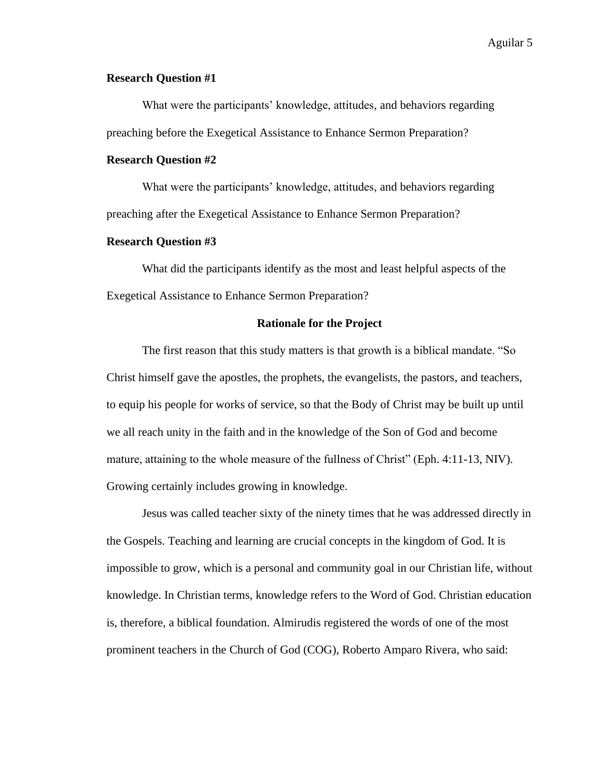# **Research Question #1**

What were the participants' knowledge, attitudes, and behaviors regarding preaching before the Exegetical Assistance to Enhance Sermon Preparation?

# **Research Question #2**

What were the participants' knowledge, attitudes, and behaviors regarding preaching after the Exegetical Assistance to Enhance Sermon Preparation?

### **Research Question #3**

What did the participants identify as the most and least helpful aspects of the Exegetical Assistance to Enhance Sermon Preparation?

#### **Rationale for the Project**

The first reason that this study matters is that growth is a biblical mandate. "So Christ himself gave the apostles, the prophets, the evangelists, the pastors, and teachers, to equip his people for works of service, so that the Body of Christ may be built up until we all reach unity in the faith and in the knowledge of the Son of God and become mature, attaining to the whole measure of the fullness of Christ" (Eph. 4:11-13, NIV). Growing certainly includes growing in knowledge.

Jesus was called teacher sixty of the ninety times that he was addressed directly in the Gospels. Teaching and learning are crucial concepts in the kingdom of God. It is impossible to grow, which is a personal and community goal in our Christian life, without knowledge. In Christian terms, knowledge refers to the Word of God. Christian education is, therefore, a biblical foundation. Almirudis registered the words of one of the most prominent teachers in the Church of God (COG), Roberto Amparo Rivera, who said: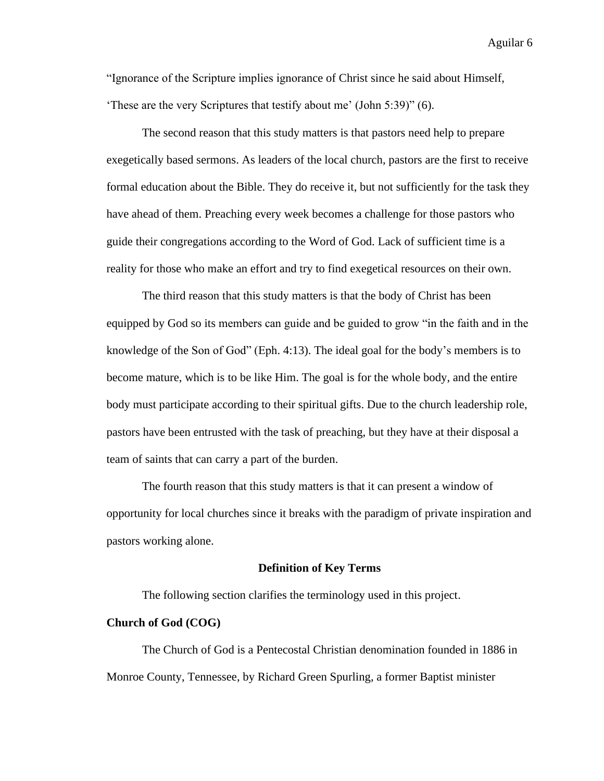"Ignorance of the Scripture implies ignorance of Christ since he said about Himself, 'These are the very Scriptures that testify about me' (John 5:39)" (6).

The second reason that this study matters is that pastors need help to prepare exegetically based sermons. As leaders of the local church, pastors are the first to receive formal education about the Bible. They do receive it, but not sufficiently for the task they have ahead of them. Preaching every week becomes a challenge for those pastors who guide their congregations according to the Word of God. Lack of sufficient time is a reality for those who make an effort and try to find exegetical resources on their own.

The third reason that this study matters is that the body of Christ has been equipped by God so its members can guide and be guided to grow "in the faith and in the knowledge of the Son of God" (Eph. 4:13). The ideal goal for the body's members is to become mature, which is to be like Him. The goal is for the whole body, and the entire body must participate according to their spiritual gifts. Due to the church leadership role, pastors have been entrusted with the task of preaching, but they have at their disposal a team of saints that can carry a part of the burden.

The fourth reason that this study matters is that it can present a window of opportunity for local churches since it breaks with the paradigm of private inspiration and pastors working alone.

#### **Definition of Key Terms**

The following section clarifies the terminology used in this project.

#### **Church of God (COG)**

The Church of God is a Pentecostal Christian denomination founded in 1886 in Monroe County, Tennessee, by Richard Green Spurling, a former Baptist minister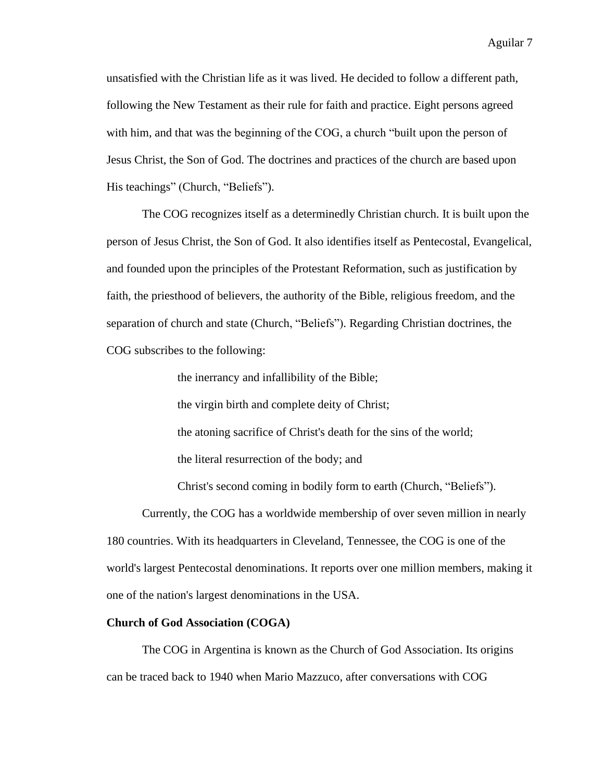unsatisfied with the Christian life as it was lived. He decided to follow a different path, following the New Testament as their rule for faith and practice. Eight persons agreed with him, and that was the beginning of the COG, a church "built upon the person of Jesus Christ, the Son of God. The doctrines and practices of the church are based upon His teachings" (Church, "Beliefs").

The COG recognizes itself as a determinedly Christian church. It is built upon the person of Jesus Christ, the Son of God. It also identifies itself as Pentecostal, Evangelical, and founded upon the principles of the Protestant Reformation, such as justification by faith, the priesthood of believers, the authority of the Bible, religious freedom, and the separation of church and state (Church, "Beliefs"). Regarding Christian doctrines, the COG subscribes to the following:

the inerrancy and infallibility of the Bible;

the virgin birth and complete deity of Christ;

the atoning sacrifice of Christ's death for the sins of the world;

the literal resurrection of the body; and

Christ's second coming in bodily form to earth (Church, "Beliefs").

Currently, the COG has a worldwide membership of over seven million in nearly 180 countries. With its headquarters in Cleveland, Tennessee, the COG is one of the world's largest Pentecostal denominations. It reports over one million members, making it one of the nation's largest denominations in the USA.

#### **Church of God Association (COGA)**

The COG in Argentina is known as the Church of God Association. Its origins can be traced back to 1940 when Mario Mazzuco, after conversations with COG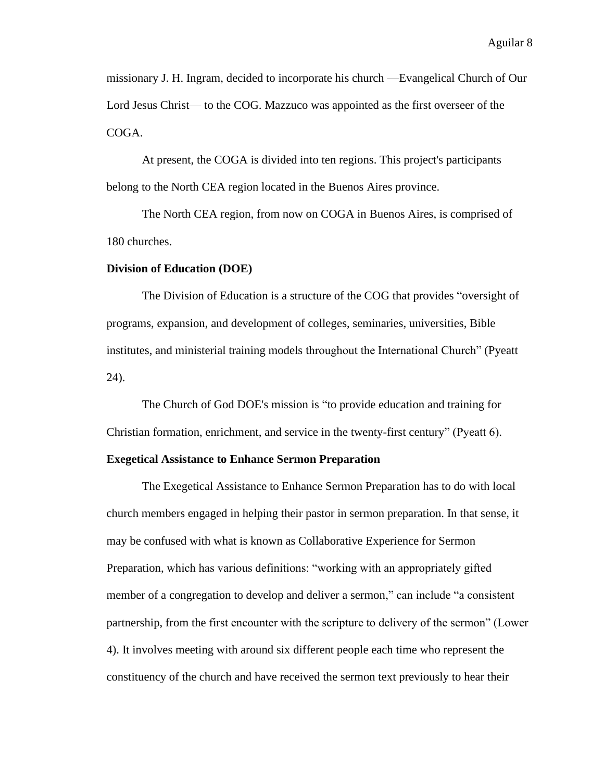missionary J. H. Ingram, decided to incorporate his church ⸺Evangelical Church of Our Lord Jesus Christ— to the COG. Mazzuco was appointed as the first overseer of the COGA.

At present, the COGA is divided into ten regions. This project's participants belong to the North CEA region located in the Buenos Aires province.

The North CEA region, from now on COGA in Buenos Aires, is comprised of 180 churches.

#### **Division of Education (DOE)**

The Division of Education is a structure of the COG that provides "oversight of programs, expansion, and development of colleges, seminaries, universities, Bible institutes, and ministerial training models throughout the International Church" (Pyeatt 24).

The Church of God DOE's mission is "to provide education and training for Christian formation, enrichment, and service in the twenty-first century" (Pyeatt 6).

#### **Exegetical Assistance to Enhance Sermon Preparation**

The Exegetical Assistance to Enhance Sermon Preparation has to do with local church members engaged in helping their pastor in sermon preparation. In that sense, it may be confused with what is known as Collaborative Experience for Sermon Preparation, which has various definitions: "working with an appropriately gifted member of a congregation to develop and deliver a sermon," can include "a consistent partnership, from the first encounter with the scripture to delivery of the sermon" (Lower 4). It involves meeting with around six different people each time who represent the constituency of the church and have received the sermon text previously to hear their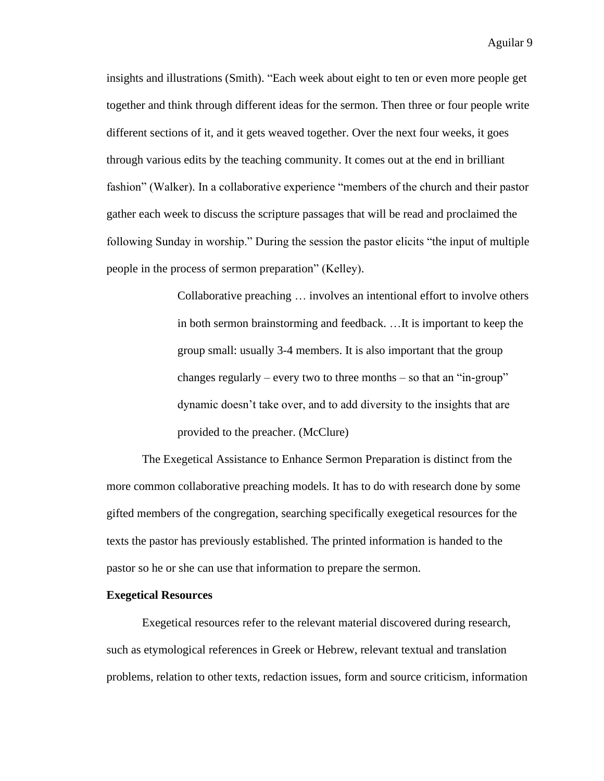insights and illustrations (Smith). "Each week about eight to ten or even more people get together and think through different ideas for the sermon. Then three or four people write different sections of it, and it gets weaved together. Over the next four weeks, it goes through various edits by the teaching community. It comes out at the end in brilliant fashion" (Walker). In a collaborative experience "members of the church and their pastor gather each week to discuss the scripture passages that will be read and proclaimed the following Sunday in worship." During the session the pastor elicits "the input of multiple people in the process of sermon preparation" (Kelley).

> Collaborative preaching … involves an intentional effort to involve others in both sermon brainstorming and feedback. …It is important to keep the group small: usually 3-4 members. It is also important that the group changes regularly – every two to three months – so that an "in-group" dynamic doesn't take over, and to add diversity to the insights that are provided to the preacher. (McClure)

The Exegetical Assistance to Enhance Sermon Preparation is distinct from the more common collaborative preaching models. It has to do with research done by some gifted members of the congregation, searching specifically exegetical resources for the texts the pastor has previously established. The printed information is handed to the pastor so he or she can use that information to prepare the sermon.

#### **Exegetical Resources**

Exegetical resources refer to the relevant material discovered during research, such as etymological references in Greek or Hebrew, relevant textual and translation problems, relation to other texts, redaction issues, form and source criticism, information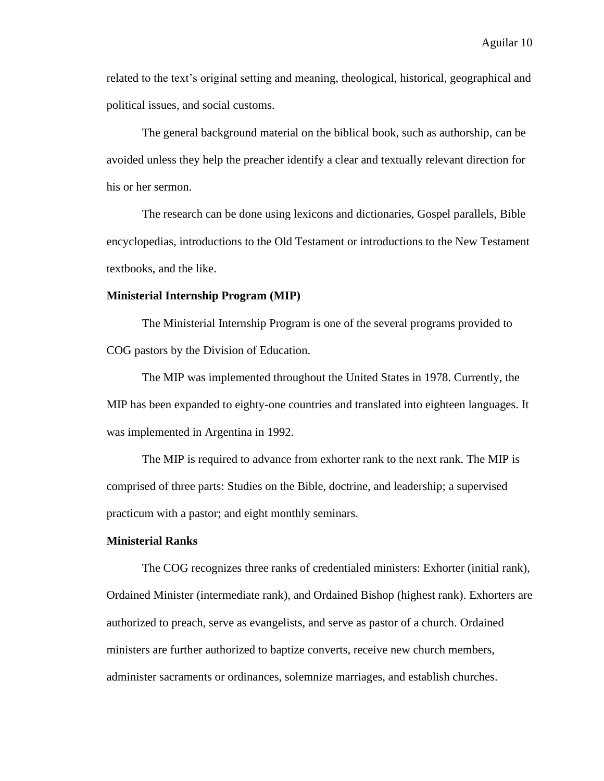related to the text's original setting and meaning, theological, historical, geographical and political issues, and social customs.

The general background material on the biblical book, such as authorship, can be avoided unless they help the preacher identify a clear and textually relevant direction for his or her sermon.

The research can be done using lexicons and dictionaries, Gospel parallels, Bible encyclopedias, introductions to the Old Testament or introductions to the New Testament textbooks, and the like.

#### **Ministerial Internship Program (MIP)**

The Ministerial Internship Program is one of the several programs provided to COG pastors by the Division of Education.

The MIP was implemented throughout the United States in 1978. Currently, the MIP has been expanded to eighty-one countries and translated into eighteen languages. It was implemented in Argentina in 1992.

The MIP is required to advance from exhorter rank to the next rank. The MIP is comprised of three parts: Studies on the Bible, doctrine, and leadership; a supervised practicum with a pastor; and eight monthly seminars.

# **Ministerial Ranks**

The COG recognizes three ranks of credentialed ministers: Exhorter (initial rank), Ordained Minister (intermediate rank), and Ordained Bishop (highest rank). Exhorters are authorized to preach, serve as evangelists, and serve as pastor of a church. Ordained ministers are further authorized to baptize converts, receive new church members, administer sacraments or ordinances, solemnize marriages, and establish churches.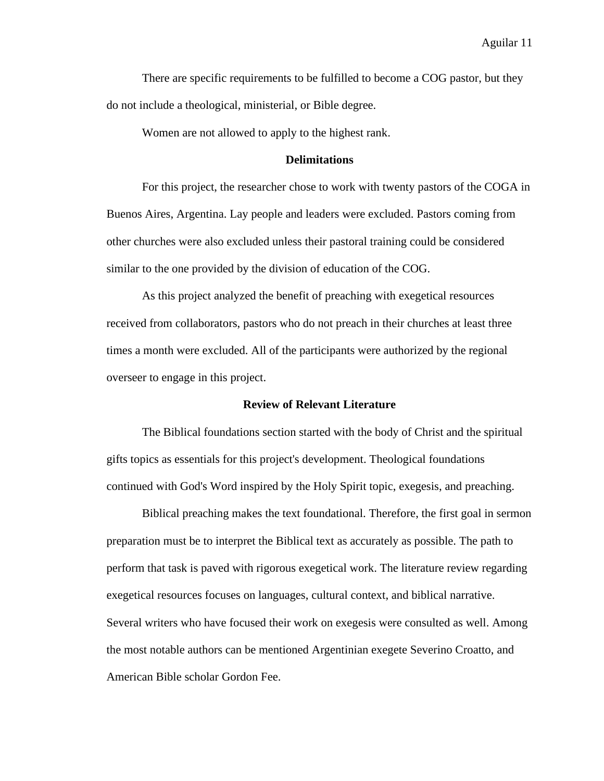There are specific requirements to be fulfilled to become a COG pastor, but they do not include a theological, ministerial, or Bible degree.

Women are not allowed to apply to the highest rank.

# **Delimitations**

For this project, the researcher chose to work with twenty pastors of the COGA in Buenos Aires, Argentina. Lay people and leaders were excluded. Pastors coming from other churches were also excluded unless their pastoral training could be considered similar to the one provided by the division of education of the COG.

As this project analyzed the benefit of preaching with exegetical resources received from collaborators, pastors who do not preach in their churches at least three times a month were excluded. All of the participants were authorized by the regional overseer to engage in this project.

#### **Review of Relevant Literature**

The Biblical foundations section started with the body of Christ and the spiritual gifts topics as essentials for this project's development. Theological foundations continued with God's Word inspired by the Holy Spirit topic, exegesis, and preaching.

Biblical preaching makes the text foundational. Therefore, the first goal in sermon preparation must be to interpret the Biblical text as accurately as possible. The path to perform that task is paved with rigorous exegetical work. The literature review regarding exegetical resources focuses on languages, cultural context, and biblical narrative. Several writers who have focused their work on exegesis were consulted as well. Among the most notable authors can be mentioned Argentinian exegete Severino Croatto, and American Bible scholar Gordon Fee.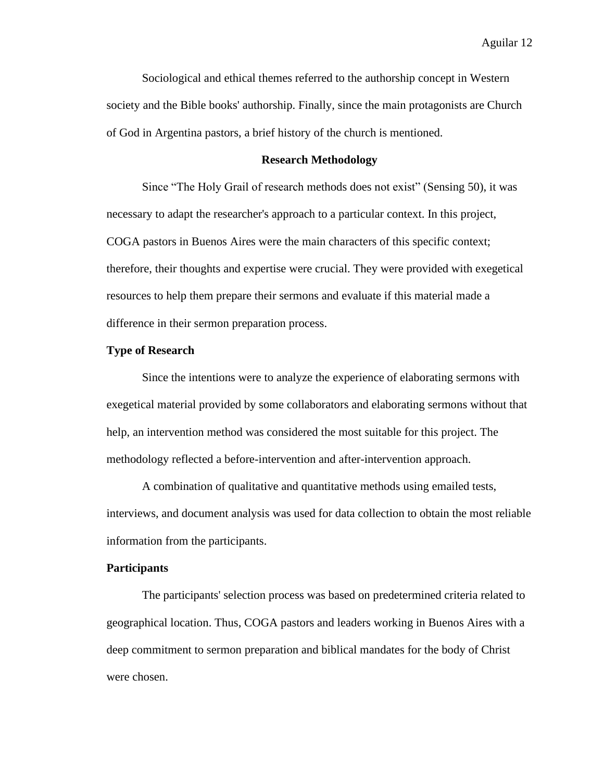Sociological and ethical themes referred to the authorship concept in Western society and the Bible books' authorship. Finally, since the main protagonists are Church of God in Argentina pastors, a brief history of the church is mentioned.

#### **Research Methodology**

Since "The Holy Grail of research methods does not exist" (Sensing 50), it was necessary to adapt the researcher's approach to a particular context. In this project, COGA pastors in Buenos Aires were the main characters of this specific context; therefore, their thoughts and expertise were crucial. They were provided with exegetical resources to help them prepare their sermons and evaluate if this material made a difference in their sermon preparation process.

#### **Type of Research**

Since the intentions were to analyze the experience of elaborating sermons with exegetical material provided by some collaborators and elaborating sermons without that help, an intervention method was considered the most suitable for this project. The methodology reflected a before-intervention and after-intervention approach.

A combination of qualitative and quantitative methods using emailed tests, interviews, and document analysis was used for data collection to obtain the most reliable information from the participants.

#### **Participants**

The participants' selection process was based on predetermined criteria related to geographical location. Thus, COGA pastors and leaders working in Buenos Aires with a deep commitment to sermon preparation and biblical mandates for the body of Christ were chosen.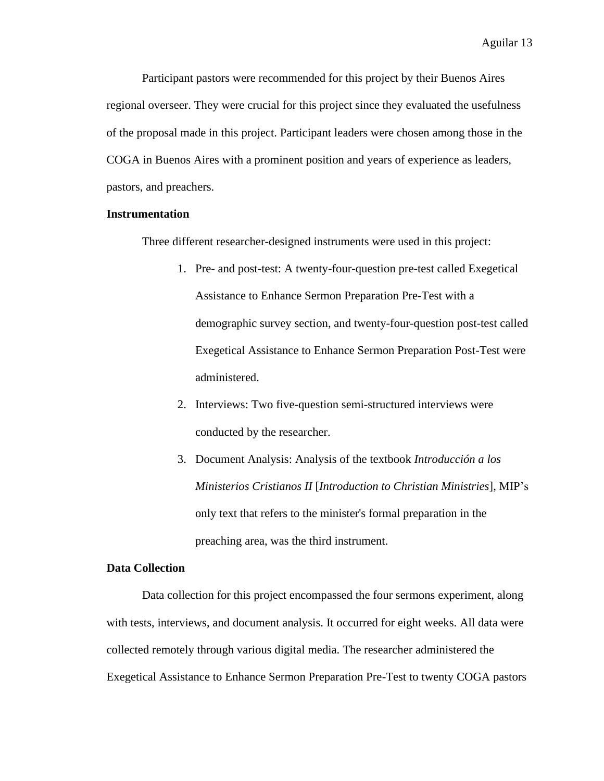Participant pastors were recommended for this project by their Buenos Aires regional overseer. They were crucial for this project since they evaluated the usefulness of the proposal made in this project. Participant leaders were chosen among those in the COGA in Buenos Aires with a prominent position and years of experience as leaders, pastors, and preachers.

# **Instrumentation**

Three different researcher-designed instruments were used in this project:

- 1. Pre- and post-test: A twenty-four-question pre-test called Exegetical Assistance to Enhance Sermon Preparation Pre-Test with a demographic survey section, and twenty-four-question post-test called Exegetical Assistance to Enhance Sermon Preparation Post-Test were administered.
- 2. Interviews: Two five-question semi-structured interviews were conducted by the researcher.
- 3. Document Analysis: Analysis of the textbook *Introducción a los Ministerios Cristianos II* [*Introduction to Christian Ministries*], MIP's only text that refers to the minister's formal preparation in the preaching area, was the third instrument.

### **Data Collection**

Data collection for this project encompassed the four sermons experiment, along with tests, interviews, and document analysis. It occurred for eight weeks. All data were collected remotely through various digital media. The researcher administered the Exegetical Assistance to Enhance Sermon Preparation Pre-Test to twenty COGA pastors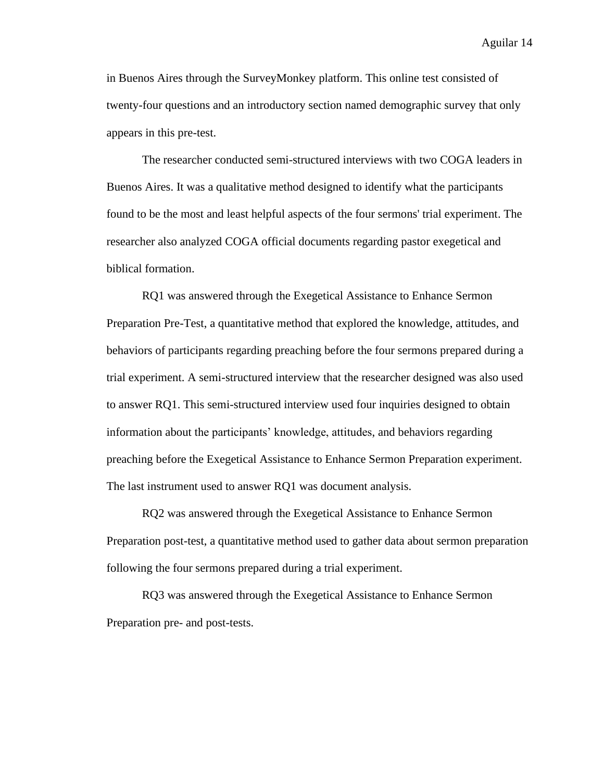in Buenos Aires through the SurveyMonkey platform. This online test consisted of twenty-four questions and an introductory section named demographic survey that only appears in this pre-test.

The researcher conducted semi-structured interviews with two COGA leaders in Buenos Aires. It was a qualitative method designed to identify what the participants found to be the most and least helpful aspects of the four sermons' trial experiment. The researcher also analyzed COGA official documents regarding pastor exegetical and biblical formation.

RQ1 was answered through the Exegetical Assistance to Enhance Sermon Preparation Pre-Test, a quantitative method that explored the knowledge, attitudes, and behaviors of participants regarding preaching before the four sermons prepared during a trial experiment. A semi-structured interview that the researcher designed was also used to answer RQ1. This semi-structured interview used four inquiries designed to obtain information about the participants' knowledge, attitudes, and behaviors regarding preaching before the Exegetical Assistance to Enhance Sermon Preparation experiment. The last instrument used to answer RQ1 was document analysis.

RQ2 was answered through the Exegetical Assistance to Enhance Sermon Preparation post-test, a quantitative method used to gather data about sermon preparation following the four sermons prepared during a trial experiment.

RQ3 was answered through the Exegetical Assistance to Enhance Sermon Preparation pre- and post-tests.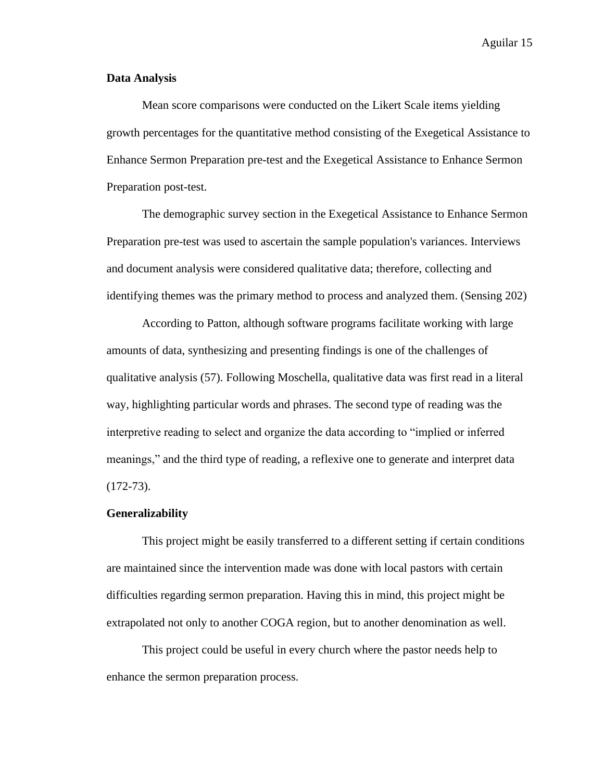# **Data Analysis**

Mean score comparisons were conducted on the Likert Scale items yielding growth percentages for the quantitative method consisting of the Exegetical Assistance to Enhance Sermon Preparation pre-test and the Exegetical Assistance to Enhance Sermon Preparation post-test.

The demographic survey section in the Exegetical Assistance to Enhance Sermon Preparation pre-test was used to ascertain the sample population's variances. Interviews and document analysis were considered qualitative data; therefore, collecting and identifying themes was the primary method to process and analyzed them. (Sensing 202)

According to Patton, although software programs facilitate working with large amounts of data, synthesizing and presenting findings is one of the challenges of qualitative analysis (57). Following Moschella, qualitative data was first read in a literal way, highlighting particular words and phrases. The second type of reading was the interpretive reading to select and organize the data according to "implied or inferred meanings," and the third type of reading, a reflexive one to generate and interpret data  $(172-73)$ .

#### **Generalizability**

This project might be easily transferred to a different setting if certain conditions are maintained since the intervention made was done with local pastors with certain difficulties regarding sermon preparation. Having this in mind, this project might be extrapolated not only to another COGA region, but to another denomination as well.

This project could be useful in every church where the pastor needs help to enhance the sermon preparation process.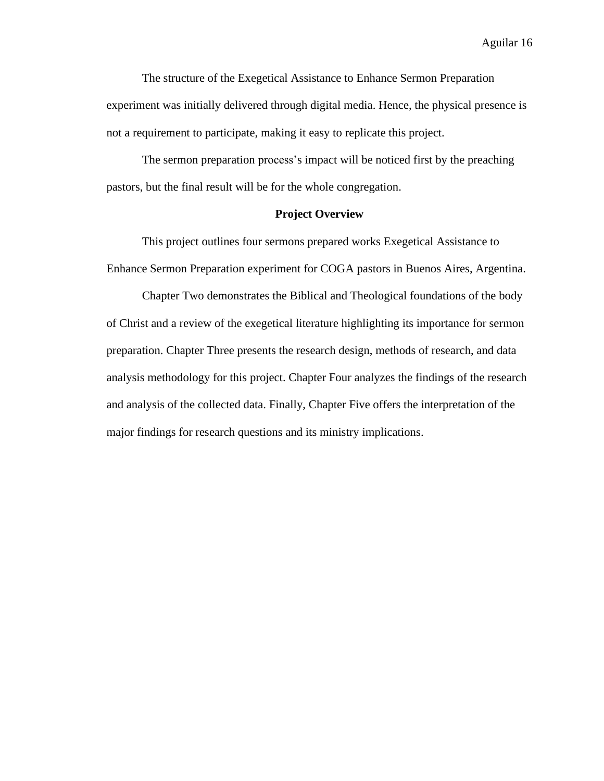The structure of the Exegetical Assistance to Enhance Sermon Preparation experiment was initially delivered through digital media. Hence, the physical presence is not a requirement to participate, making it easy to replicate this project.

The sermon preparation process's impact will be noticed first by the preaching pastors, but the final result will be for the whole congregation.

# **Project Overview**

This project outlines four sermons prepared works Exegetical Assistance to Enhance Sermon Preparation experiment for COGA pastors in Buenos Aires, Argentina.

Chapter Two demonstrates the Biblical and Theological foundations of the body of Christ and a review of the exegetical literature highlighting its importance for sermon preparation. Chapter Three presents the research design, methods of research, and data analysis methodology for this project. Chapter Four analyzes the findings of the research and analysis of the collected data. Finally, Chapter Five offers the interpretation of the major findings for research questions and its ministry implications.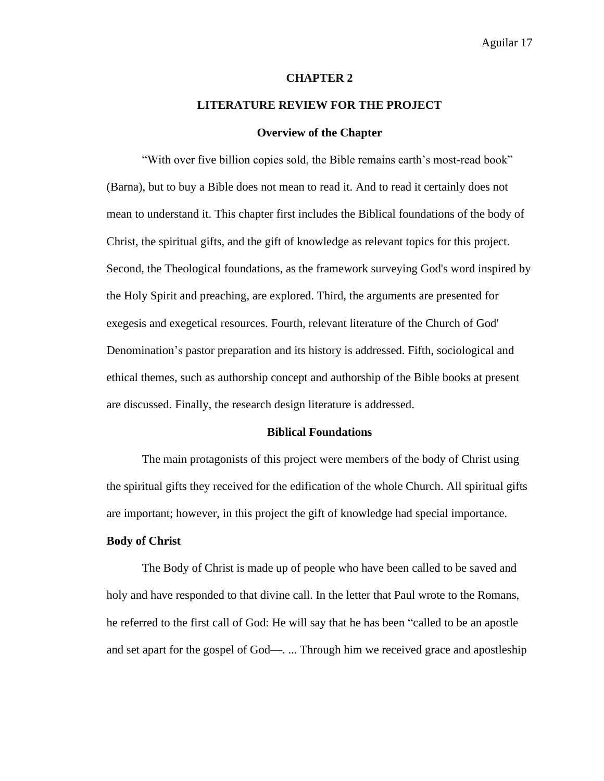#### **CHAPTER 2**

### **LITERATURE REVIEW FOR THE PROJECT**

#### **Overview of the Chapter**

"With over five billion copies sold, the Bible remains earth's most-read book" (Barna), but to buy a Bible does not mean to read it. And to read it certainly does not mean to understand it. This chapter first includes the Biblical foundations of the body of Christ, the spiritual gifts, and the gift of knowledge as relevant topics for this project. Second, the Theological foundations, as the framework surveying God's word inspired by the Holy Spirit and preaching, are explored. Third, the arguments are presented for exegesis and exegetical resources. Fourth, relevant literature of the Church of God' Denomination's pastor preparation and its history is addressed. Fifth, sociological and ethical themes, such as authorship concept and authorship of the Bible books at present are discussed. Finally, the research design literature is addressed.

#### **Biblical Foundations**

The main protagonists of this project were members of the body of Christ using the spiritual gifts they received for the edification of the whole Church. All spiritual gifts are important; however, in this project the gift of knowledge had special importance.

#### **Body of Christ**

The Body of Christ is made up of people who have been called to be saved and holy and have responded to that divine call. In the letter that Paul wrote to the Romans, he referred to the first call of God: He will say that he has been "called to be an apostle and set apart for the gospel of God—. ... Through him we received grace and apostleship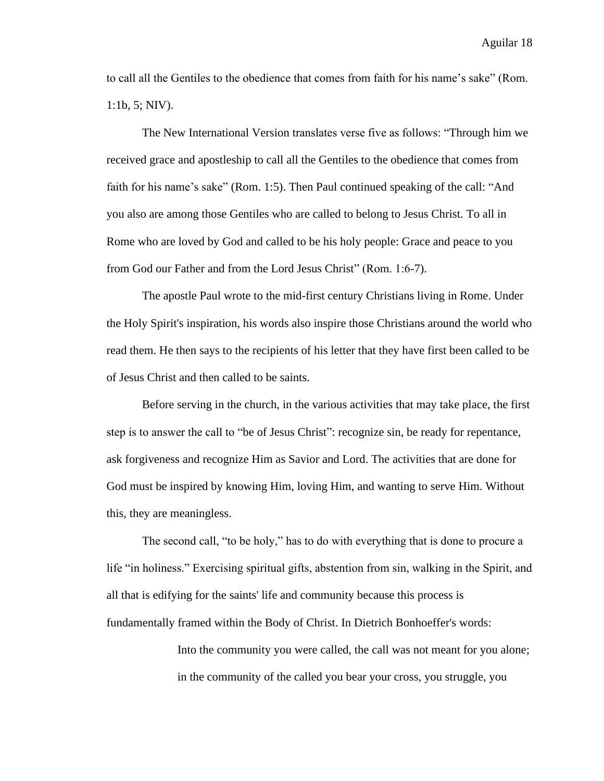to call all the Gentiles to the obedience that comes from faith for his name's sake" (Rom. 1:1b, 5; NIV).

The New International Version translates verse five as follows: "Through him we received grace and apostleship to call all the Gentiles to the obedience that comes from faith for his name's sake" (Rom. 1:5). Then Paul continued speaking of the call: "And you also are among those Gentiles who are called to belong to Jesus Christ. To all in Rome who are loved by God and called to be his holy people: Grace and peace to you from God our Father and from the Lord Jesus Christ" (Rom. 1:6-7).

The apostle Paul wrote to the mid-first century Christians living in Rome. Under the Holy Spirit's inspiration, his words also inspire those Christians around the world who read them. He then says to the recipients of his letter that they have first been called to be of Jesus Christ and then called to be saints.

Before serving in the church, in the various activities that may take place, the first step is to answer the call to "be of Jesus Christ": recognize sin, be ready for repentance, ask forgiveness and recognize Him as Savior and Lord. The activities that are done for God must be inspired by knowing Him, loving Him, and wanting to serve Him. Without this, they are meaningless.

The second call, "to be holy," has to do with everything that is done to procure a life "in holiness." Exercising spiritual gifts, abstention from sin, walking in the Spirit, and all that is edifying for the saints' life and community because this process is fundamentally framed within the Body of Christ. In Dietrich Bonhoeffer's words:

> Into the community you were called, the call was not meant for you alone; in the community of the called you bear your cross, you struggle, you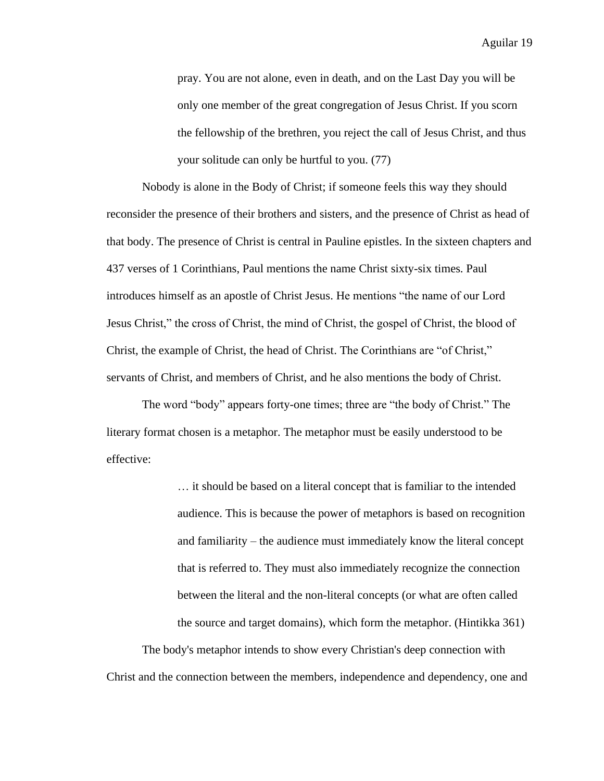pray. You are not alone, even in death, and on the Last Day you will be only one member of the great congregation of Jesus Christ. If you scorn the fellowship of the brethren, you reject the call of Jesus Christ, and thus your solitude can only be hurtful to you. (77)

Nobody is alone in the Body of Christ; if someone feels this way they should reconsider the presence of their brothers and sisters, and the presence of Christ as head of that body. The presence of Christ is central in Pauline epistles. In the sixteen chapters and 437 verses of 1 Corinthians, Paul mentions the name Christ sixty-six times. Paul introduces himself as an apostle of Christ Jesus. He mentions "the name of our Lord Jesus Christ," the cross of Christ, the mind of Christ, the gospel of Christ, the blood of Christ, the example of Christ, the head of Christ. The Corinthians are "of Christ," servants of Christ, and members of Christ, and he also mentions the body of Christ.

The word "body" appears forty-one times; three are "the body of Christ." The literary format chosen is a metaphor. The metaphor must be easily understood to be effective:

> … it should be based on a literal concept that is familiar to the intended audience. This is because the power of metaphors is based on recognition and familiarity – the audience must immediately know the literal concept that is referred to. They must also immediately recognize the connection between the literal and the non-literal concepts (or what are often called the source and target domains), which form the metaphor. (Hintikka 361)

The body's metaphor intends to show every Christian's deep connection with Christ and the connection between the members, independence and dependency, one and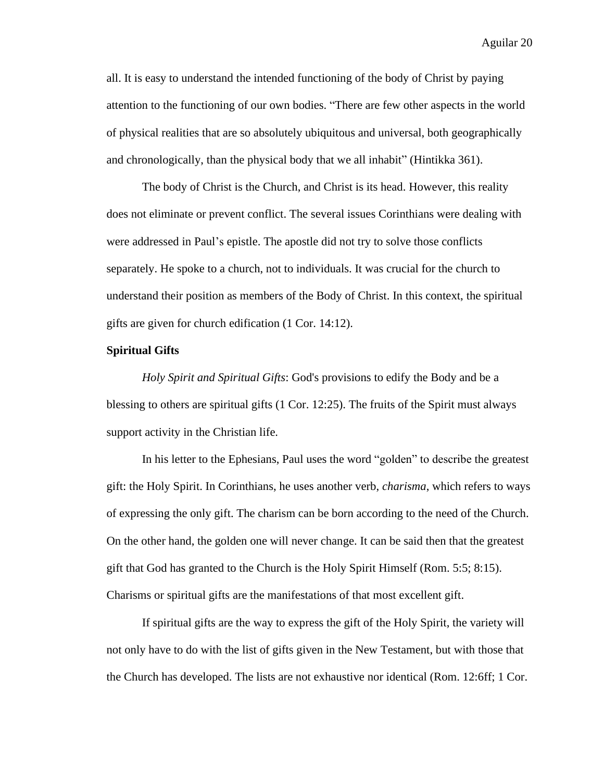all. It is easy to understand the intended functioning of the body of Christ by paying attention to the functioning of our own bodies. "There are few other aspects in the world of physical realities that are so absolutely ubiquitous and universal, both geographically and chronologically, than the physical body that we all inhabit" (Hintikka 361).

The body of Christ is the Church, and Christ is its head. However, this reality does not eliminate or prevent conflict. The several issues Corinthians were dealing with were addressed in Paul's epistle. The apostle did not try to solve those conflicts separately. He spoke to a church, not to individuals. It was crucial for the church to understand their position as members of the Body of Christ. In this context, the spiritual gifts are given for church edification (1 Cor. 14:12).

# **Spiritual Gifts**

*Holy Spirit and Spiritual Gifts*: God's provisions to edify the Body and be a blessing to others are spiritual gifts (1 Cor. 12:25). The fruits of the Spirit must always support activity in the Christian life.

In his letter to the Ephesians, Paul uses the word "golden" to describe the greatest gift: the Holy Spirit. In Corinthians, he uses another verb, *charisma*, which refers to ways of expressing the only gift. The charism can be born according to the need of the Church. On the other hand, the golden one will never change. It can be said then that the greatest gift that God has granted to the Church is the Holy Spirit Himself (Rom. 5:5; 8:15). Charisms or spiritual gifts are the manifestations of that most excellent gift.

If spiritual gifts are the way to express the gift of the Holy Spirit, the variety will not only have to do with the list of gifts given in the New Testament, but with those that the Church has developed. The lists are not exhaustive nor identical (Rom. 12:6ff; 1 Cor.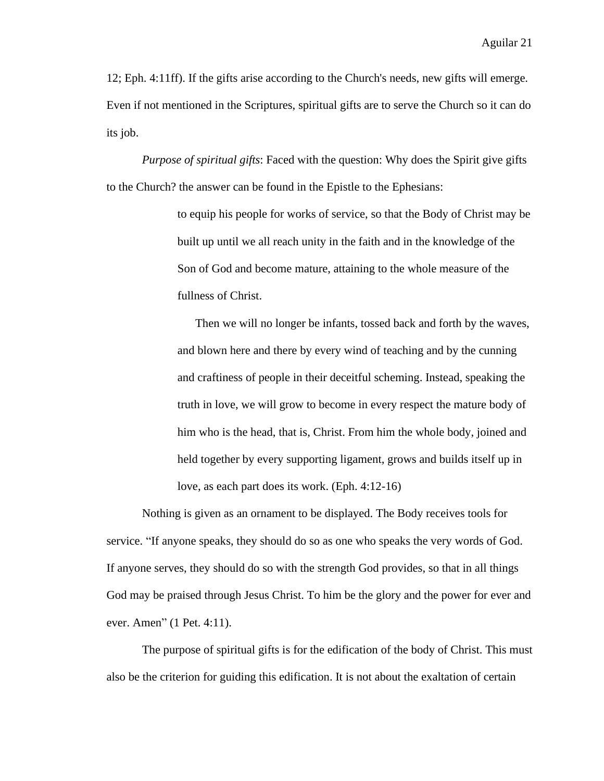12; Eph. 4:11ff). If the gifts arise according to the Church's needs, new gifts will emerge. Even if not mentioned in the Scriptures, spiritual gifts are to serve the Church so it can do its job.

*Purpose of spiritual gifts*: Faced with the question: Why does the Spirit give gifts to the Church? the answer can be found in the Epistle to the Ephesians:

> to equip his people for works of service, so that the Body of Christ may be built up until we all reach unity in the faith and in the knowledge of the Son of God and become mature, attaining to the whole measure of the fullness of Christ.

> Then we will no longer be infants, tossed back and forth by the waves, and blown here and there by every wind of teaching and by the cunning and craftiness of people in their deceitful scheming. Instead, speaking the truth in love, we will grow to become in every respect the mature body of him who is the head, that is, Christ. From him the whole body, joined and held together by every supporting ligament, grows and builds itself up in love, as each part does its work. (Eph. 4:12-16)

Nothing is given as an ornament to be displayed. The Body receives tools for service. "If anyone speaks, they should do so as one who speaks the very words of God. If anyone serves, they should do so with the strength God provides, so that in all things God may be praised through Jesus Christ. To him be the glory and the power for ever and ever. Amen" (1 Pet. 4:11).

The purpose of spiritual gifts is for the edification of the body of Christ. This must also be the criterion for guiding this edification. It is not about the exaltation of certain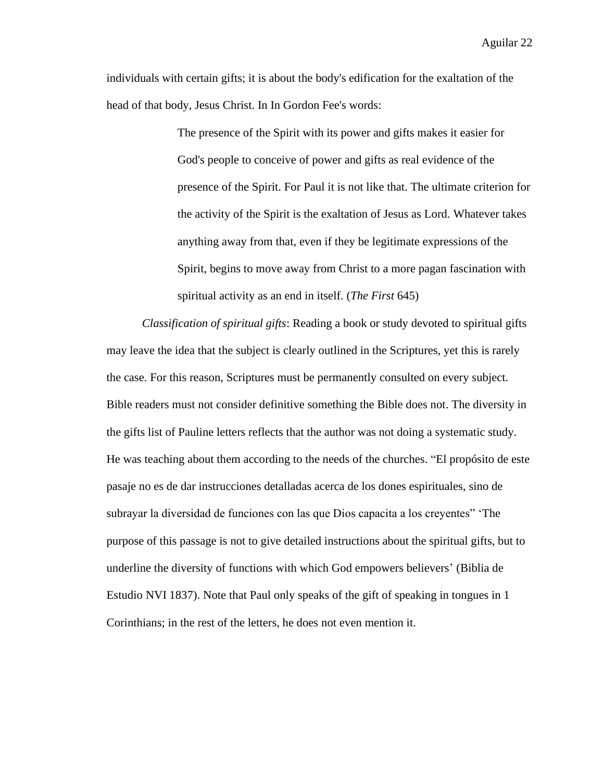individuals with certain gifts; it is about the body's edification for the exaltation of the head of that body, Jesus Christ. In In Gordon Fee's words:

> The presence of the Spirit with its power and gifts makes it easier for God's people to conceive of power and gifts as real evidence of the presence of the Spirit. For Paul it is not like that. The ultimate criterion for the activity of the Spirit is the exaltation of Jesus as Lord. Whatever takes anything away from that, even if they be legitimate expressions of the Spirit, begins to move away from Christ to a more pagan fascination with spiritual activity as an end in itself. (*The First* 645)

*Classification of spiritual gifts*: Reading a book or study devoted to spiritual gifts may leave the idea that the subject is clearly outlined in the Scriptures, yet this is rarely the case. For this reason, Scriptures must be permanently consulted on every subject. Bible readers must not consider definitive something the Bible does not. The diversity in the gifts list of Pauline letters reflects that the author was not doing a systematic study. He was teaching about them according to the needs of the churches. "El propósito de este pasaje no es de dar instrucciones detalladas acerca de los dones espirituales, sino de subrayar la diversidad de funciones con las que Dios capacita a los creyentes" 'The purpose of this passage is not to give detailed instructions about the spiritual gifts, but to underline the diversity of functions with which God empowers believers' (Biblia de Estudio NVI 1837). Note that Paul only speaks of the gift of speaking in tongues in 1 Corinthians; in the rest of the letters, he does not even mention it.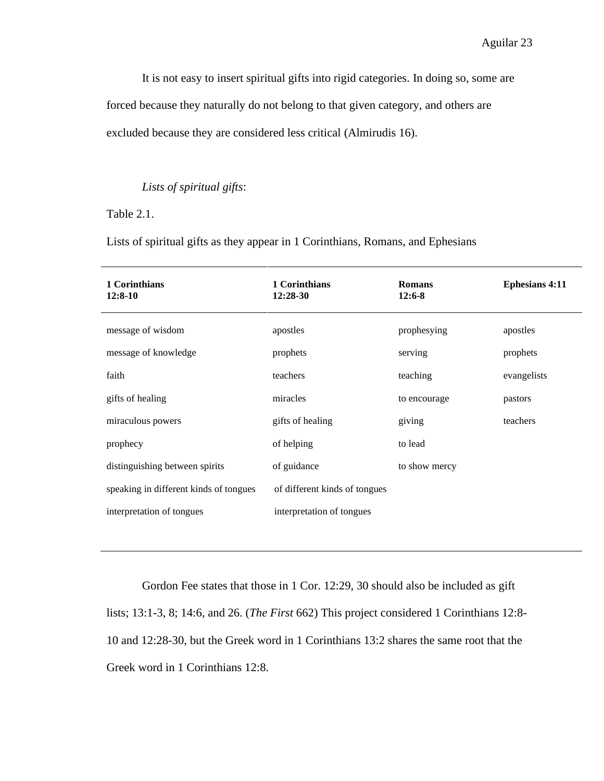It is not easy to insert spiritual gifts into rigid categories. In doing so, some are

forced because they naturally do not belong to that given category, and others are

excluded because they are considered less critical (Almirudis 16).

# *Lists of spiritual gifts*:

Table 2.1.

Lists of spiritual gifts as they appear in 1 Corinthians, Romans, and Ephesians

| 1 Corinthians<br>12:8-10               | 1 Corinthians<br>$12:28-30$   | <b>Romans</b><br>$12:6-8$ | <b>Ephesians 4:11</b> |
|----------------------------------------|-------------------------------|---------------------------|-----------------------|
| message of wisdom                      | apostles                      | prophesying               | apostles              |
| message of knowledge                   | prophets                      | serving                   | prophets              |
| faith                                  | teachers                      | teaching                  | evangelists           |
| gifts of healing                       | miracles                      | to encourage              | pastors               |
| miraculous powers                      | gifts of healing              | giving                    | teachers              |
| prophecy                               | of helping                    | to lead                   |                       |
| distinguishing between spirits         | of guidance                   | to show mercy             |                       |
| speaking in different kinds of tongues | of different kinds of tongues |                           |                       |
| interpretation of tongues              | interpretation of tongues     |                           |                       |

Gordon Fee states that those in 1 Cor. 12:29, 30 should also be included as gift lists; 13:1-3, 8; 14:6, and 26. (*The First* 662) This project considered 1 Corinthians 12:8- 10 and 12:28-30, but the Greek word in 1 Corinthians 13:2 shares the same root that the Greek word in 1 Corinthians 12:8.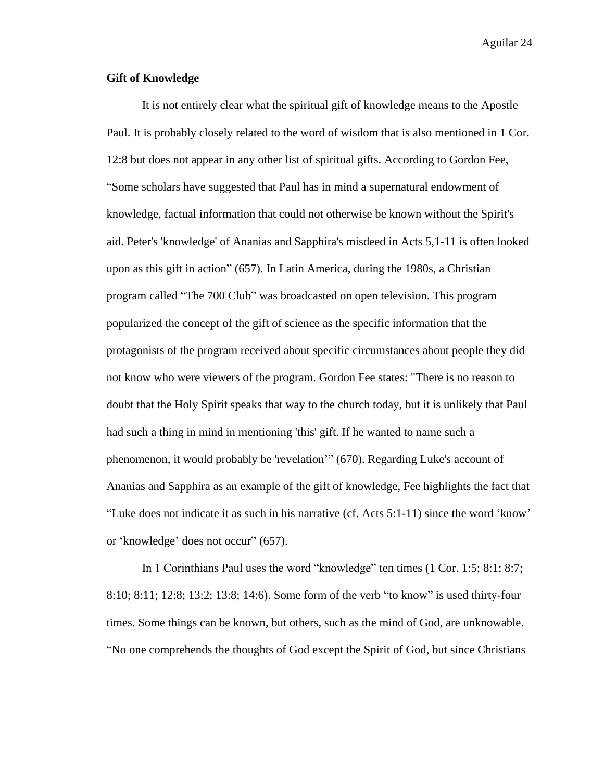# **Gift of Knowledge**

It is not entirely clear what the spiritual gift of knowledge means to the Apostle Paul. It is probably closely related to the word of wisdom that is also mentioned in 1 Cor. 12:8 but does not appear in any other list of spiritual gifts. According to Gordon Fee, "Some scholars have suggested that Paul has in mind a supernatural endowment of knowledge, factual information that could not otherwise be known without the Spirit's aid. Peter's 'knowledge' of Ananias and Sapphira's misdeed in Acts 5,1-11 is often looked upon as this gift in action" (657). In Latin America, during the 1980s, a Christian program called "The 700 Club" was broadcasted on open television. This program popularized the concept of the gift of science as the specific information that the protagonists of the program received about specific circumstances about people they did not know who were viewers of the program. Gordon Fee states: "There is no reason to doubt that the Holy Spirit speaks that way to the church today, but it is unlikely that Paul had such a thing in mind in mentioning 'this' gift. If he wanted to name such a phenomenon, it would probably be 'revelation'" (670). Regarding Luke's account of Ananias and Sapphira as an example of the gift of knowledge, Fee highlights the fact that "Luke does not indicate it as such in his narrative (cf. Acts 5:1-11) since the word 'know' or 'knowledge' does not occur" (657).

In 1 Corinthians Paul uses the word "knowledge" ten times (1 Cor. 1:5; 8:1; 8:7; 8:10; 8:11; 12:8; 13:2; 13:8; 14:6). Some form of the verb "to know" is used thirty-four times. Some things can be known, but others, such as the mind of God, are unknowable. "No one comprehends the thoughts of God except the Spirit of God, but since Christians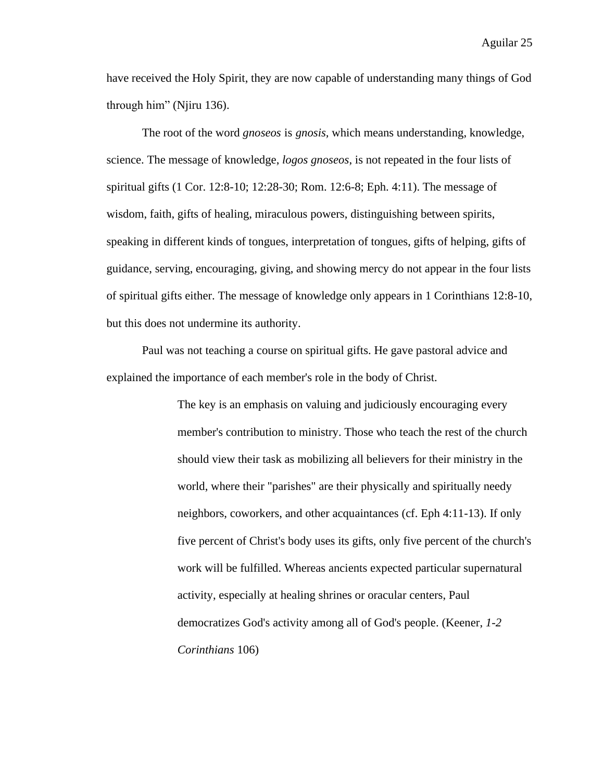have received the Holy Spirit, they are now capable of understanding many things of God through him" (Njiru 136).

The root of the word *gnoseos* is *gnosis,* which means understanding, knowledge, science. The message of knowledge, *logos gnoseos*, is not repeated in the four lists of spiritual gifts (1 Cor. 12:8-10; 12:28-30; Rom. 12:6-8; Eph. 4:11). The message of wisdom, faith, gifts of healing, miraculous powers, distinguishing between spirits, speaking in different kinds of tongues, interpretation of tongues, gifts of helping, gifts of guidance, serving, encouraging, giving, and showing mercy do not appear in the four lists of spiritual gifts either. The message of knowledge only appears in 1 Corinthians 12:8-10, but this does not undermine its authority.

Paul was not teaching a course on spiritual gifts. He gave pastoral advice and explained the importance of each member's role in the body of Christ.

> The key is an emphasis on valuing and judiciously encouraging every member's contribution to ministry. Those who teach the rest of the church should view their task as mobilizing all believers for their ministry in the world, where their "parishes" are their physically and spiritually needy neighbors, coworkers, and other acquaintances (cf. Eph 4:11-13). If only five percent of Christ's body uses its gifts, only five percent of the church's work will be fulfilled. Whereas ancients expected particular supernatural activity, especially at healing shrines or oracular centers, Paul democratizes God's activity among all of God's people. (Keener, *1-2 Corinthians* 106)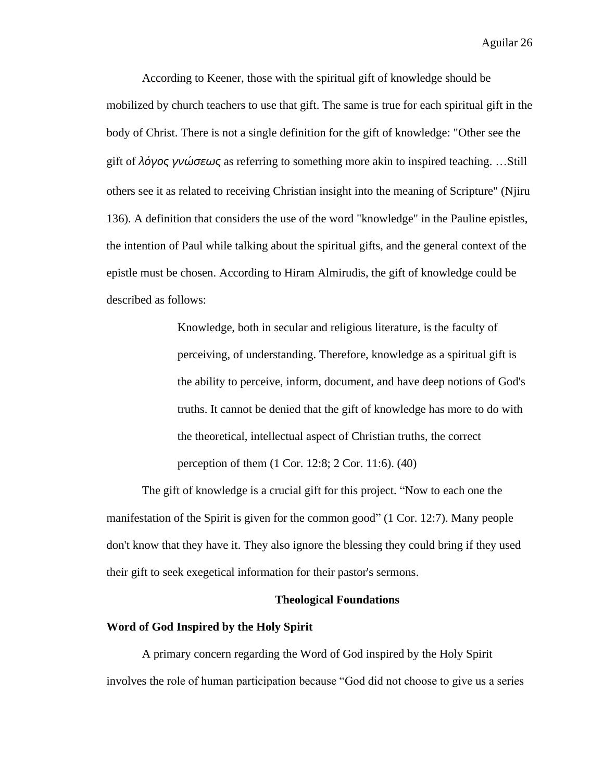According to Keener, those with the spiritual gift of knowledge should be mobilized by church teachers to use that gift. The same is true for each spiritual gift in the body of Christ. There is not a single definition for the gift of knowledge: "Other see the gift of *λόγος γνώσεως* as referring to something more akin to inspired teaching. …Still others see it as related to receiving Christian insight into the meaning of Scripture" (Njiru 136). A definition that considers the use of the word "knowledge" in the Pauline epistles, the intention of Paul while talking about the spiritual gifts, and the general context of the epistle must be chosen. According to Hiram Almirudis, the gift of knowledge could be described as follows:

> Knowledge, both in secular and religious literature, is the faculty of perceiving, of understanding. Therefore, knowledge as a spiritual gift is the ability to perceive, inform, document, and have deep notions of God's truths. It cannot be denied that the gift of knowledge has more to do with the theoretical, intellectual aspect of Christian truths, the correct perception of them (1 Cor. 12:8; 2 Cor. 11:6). (40)

The gift of knowledge is a crucial gift for this project. "Now to each one the manifestation of the Spirit is given for the common good" (1 Cor. 12:7). Many people don't know that they have it. They also ignore the blessing they could bring if they used their gift to seek exegetical information for their pastor's sermons.

## **Theological Foundations**

# **Word of God Inspired by the Holy Spirit**

A primary concern regarding the Word of God inspired by the Holy Spirit involves the role of human participation because "God did not choose to give us a series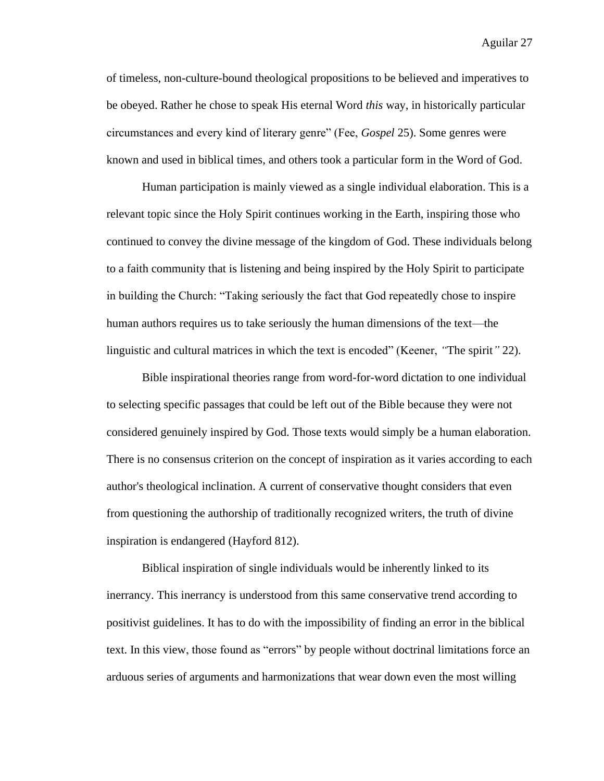of timeless, non-culture-bound theological propositions to be believed and imperatives to be obeyed. Rather he chose to speak His eternal Word *this* way, in historically particular circumstances and every kind of literary genre" (Fee, *Gospel* 25). Some genres were known and used in biblical times, and others took a particular form in the Word of God.

Human participation is mainly viewed as a single individual elaboration. This is a relevant topic since the Holy Spirit continues working in the Earth, inspiring those who continued to convey the divine message of the kingdom of God. These individuals belong to a faith community that is listening and being inspired by the Holy Spirit to participate in building the Church: "Taking seriously the fact that God repeatedly chose to inspire human authors requires us to take seriously the human dimensions of the text—the linguistic and cultural matrices in which the text is encoded" (Keener, *"*The spirit*"* 22).

Bible inspirational theories range from word-for-word dictation to one individual to selecting specific passages that could be left out of the Bible because they were not considered genuinely inspired by God. Those texts would simply be a human elaboration. There is no consensus criterion on the concept of inspiration as it varies according to each author's theological inclination. A current of conservative thought considers that even from questioning the authorship of traditionally recognized writers, the truth of divine inspiration is endangered (Hayford 812).

Biblical inspiration of single individuals would be inherently linked to its inerrancy. This inerrancy is understood from this same conservative trend according to positivist guidelines. It has to do with the impossibility of finding an error in the biblical text. In this view, those found as "errors" by people without doctrinal limitations force an arduous series of arguments and harmonizations that wear down even the most willing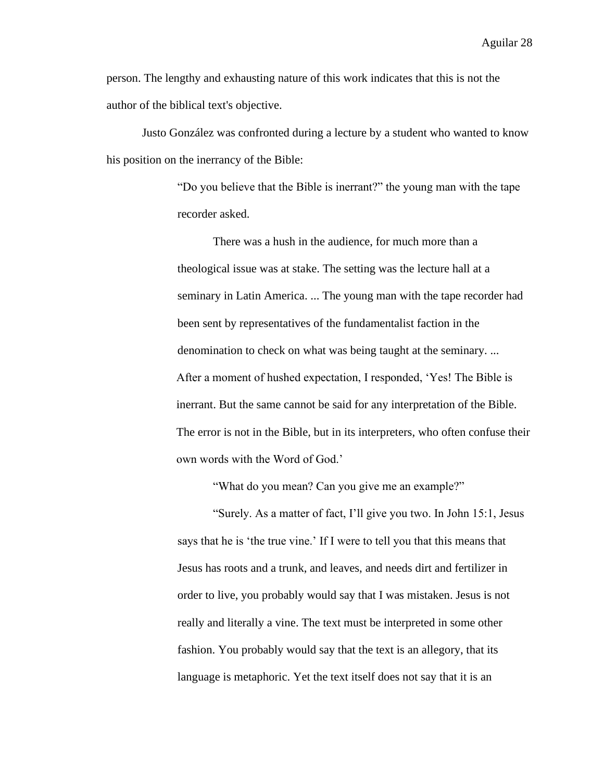person. The lengthy and exhausting nature of this work indicates that this is not the author of the biblical text's objective.

Justo González was confronted during a lecture by a student who wanted to know his position on the inerrancy of the Bible:

> "Do you believe that the Bible is inerrant?" the young man with the tape recorder asked.

There was a hush in the audience, for much more than a theological issue was at stake. The setting was the lecture hall at a seminary in Latin America. ... The young man with the tape recorder had been sent by representatives of the fundamentalist faction in the denomination to check on what was being taught at the seminary. ... After a moment of hushed expectation, I responded, 'Yes! The Bible is inerrant. But the same cannot be said for any interpretation of the Bible. The error is not in the Bible, but in its interpreters, who often confuse their own words with the Word of God.'

"What do you mean? Can you give me an example?"

"Surely. As a matter of fact, I'll give you two. In John 15:1, Jesus says that he is 'the true vine.' If I were to tell you that this means that Jesus has roots and a trunk, and leaves, and needs dirt and fertilizer in order to live, you probably would say that I was mistaken. Jesus is not really and literally a vine. The text must be interpreted in some other fashion. You probably would say that the text is an allegory, that its language is metaphoric. Yet the text itself does not say that it is an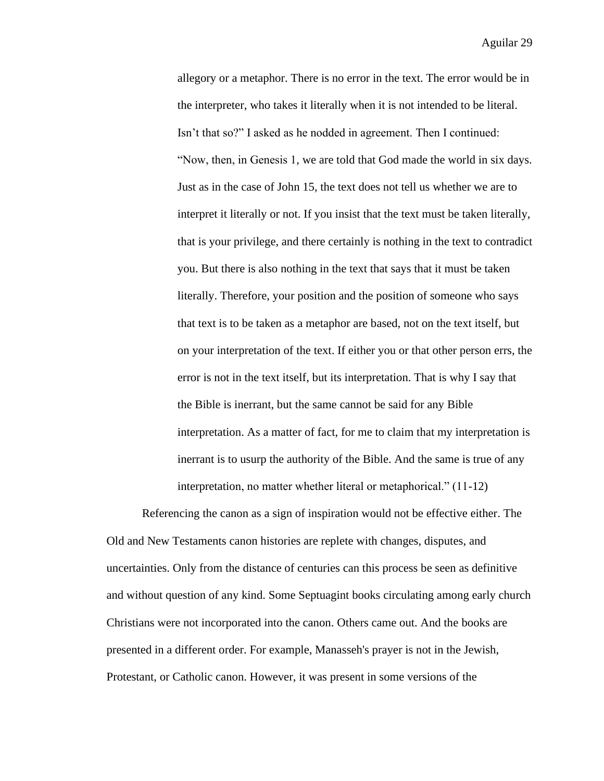allegory or a metaphor. There is no error in the text. The error would be in the interpreter, who takes it literally when it is not intended to be literal. Isn't that so?" I asked as he nodded in agreement. Then I continued: "Now, then, in Genesis 1, we are told that God made the world in six days. Just as in the case of John 15, the text does not tell us whether we are to interpret it literally or not. If you insist that the text must be taken literally, that is your privilege, and there certainly is nothing in the text to contradict you. But there is also nothing in the text that says that it must be taken literally. Therefore, your position and the position of someone who says that text is to be taken as a metaphor are based, not on the text itself, but on your interpretation of the text. If either you or that other person errs, the error is not in the text itself, but its interpretation. That is why I say that the Bible is inerrant, but the same cannot be said for any Bible interpretation. As a matter of fact, for me to claim that my interpretation is inerrant is to usurp the authority of the Bible. And the same is true of any interpretation, no matter whether literal or metaphorical." (11-12)

Referencing the canon as a sign of inspiration would not be effective either. The Old and New Testaments canon histories are replete with changes, disputes, and uncertainties. Only from the distance of centuries can this process be seen as definitive and without question of any kind. Some Septuagint books circulating among early church Christians were not incorporated into the canon. Others came out. And the books are presented in a different order. For example, Manasseh's prayer is not in the Jewish, Protestant, or Catholic canon. However, it was present in some versions of the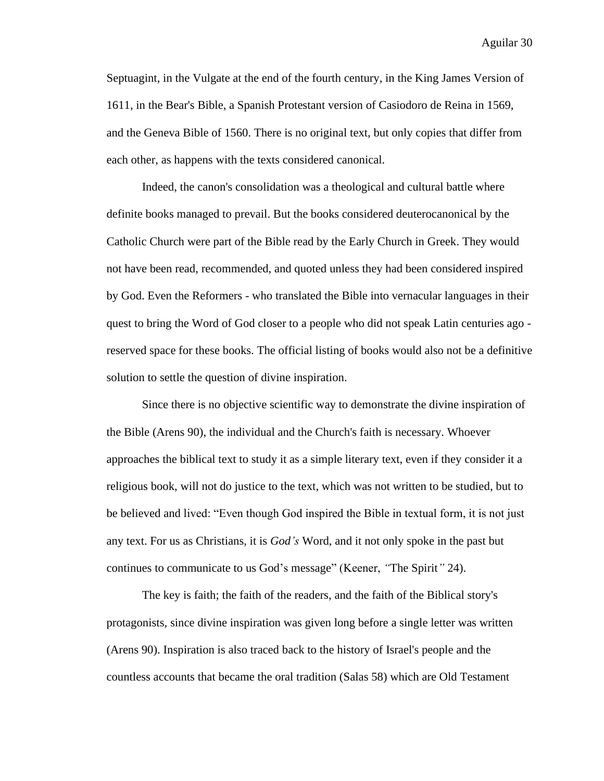Septuagint, in the Vulgate at the end of the fourth century, in the King James Version of 1611, in the Bear's Bible, a Spanish Protestant version of Casiodoro de Reina in 1569, and the Geneva Bible of 1560. There is no original text, but only copies that differ from each other, as happens with the texts considered canonical.

Indeed, the canon's consolidation was a theological and cultural battle where definite books managed to prevail. But the books considered deuterocanonical by the Catholic Church were part of the Bible read by the Early Church in Greek. They would not have been read, recommended, and quoted unless they had been considered inspired by God. Even the Reformers - who translated the Bible into vernacular languages in their quest to bring the Word of God closer to a people who did not speak Latin centuries ago reserved space for these books. The official listing of books would also not be a definitive solution to settle the question of divine inspiration.

Since there is no objective scientific way to demonstrate the divine inspiration of the Bible (Arens 90), the individual and the Church's faith is necessary. Whoever approaches the biblical text to study it as a simple literary text, even if they consider it a religious book, will not do justice to the text, which was not written to be studied, but to be believed and lived: "Even though God inspired the Bible in textual form, it is not just any text. For us as Christians, it is *God's* Word, and it not only spoke in the past but continues to communicate to us God's message" (Keener, *"*The Spirit*"* 24).

The key is faith; the faith of the readers, and the faith of the Biblical story's protagonists, since divine inspiration was given long before a single letter was written (Arens 90). Inspiration is also traced back to the history of Israel's people and the countless accounts that became the oral tradition (Salas 58) which are Old Testament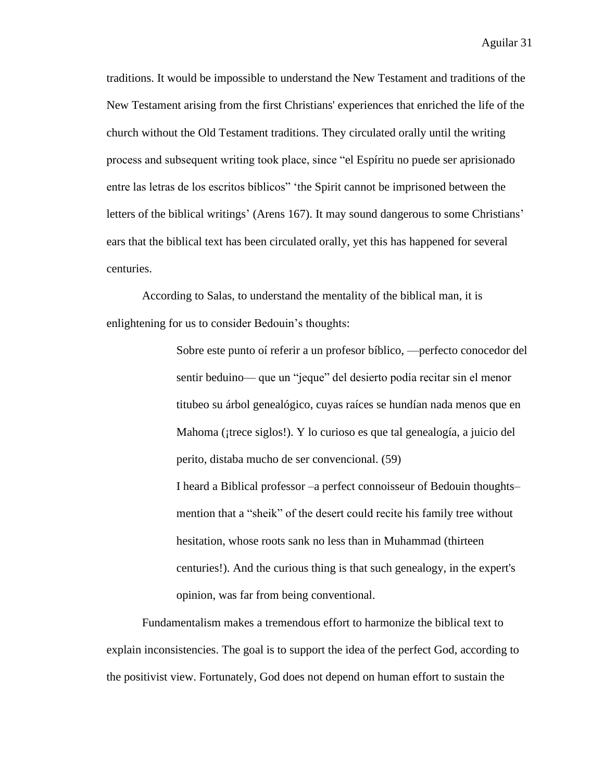traditions. It would be impossible to understand the New Testament and traditions of the New Testament arising from the first Christians' experiences that enriched the life of the church without the Old Testament traditions. They circulated orally until the writing process and subsequent writing took place, since "el Espíritu no puede ser aprisionado entre las letras de los escritos bíblicos" 'the Spirit cannot be imprisoned between the letters of the biblical writings' (Arens 167). It may sound dangerous to some Christians' ears that the biblical text has been circulated orally, yet this has happened for several centuries.

According to Salas, to understand the mentality of the biblical man, it is enlightening for us to consider Bedouin's thoughts:

> Sobre este punto oí referir a un profesor bíblico, —perfecto conocedor del sentir beduino— que un "jeque" del desierto podía recitar sin el menor titubeo su árbol genealógico, cuyas raíces se hundían nada menos que en Mahoma (¡trece siglos!). Y lo curioso es que tal genealogía, a juicio del perito, distaba mucho de ser convencional. (59)

I heard a Biblical professor –a perfect connoisseur of Bedouin thoughts– mention that a "sheik" of the desert could recite his family tree without hesitation, whose roots sank no less than in Muhammad (thirteen centuries!). And the curious thing is that such genealogy, in the expert's opinion, was far from being conventional.

Fundamentalism makes a tremendous effort to harmonize the biblical text to explain inconsistencies. The goal is to support the idea of the perfect God, according to the positivist view. Fortunately, God does not depend on human effort to sustain the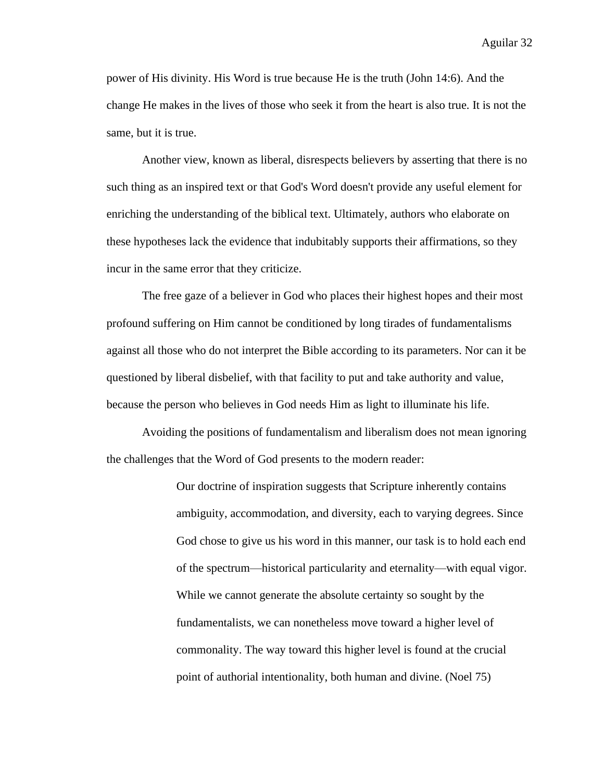power of His divinity. His Word is true because He is the truth (John 14:6). And the change He makes in the lives of those who seek it from the heart is also true. It is not the same, but it is true.

Another view, known as liberal, disrespects believers by asserting that there is no such thing as an inspired text or that God's Word doesn't provide any useful element for enriching the understanding of the biblical text. Ultimately, authors who elaborate on these hypotheses lack the evidence that indubitably supports their affirmations, so they incur in the same error that they criticize.

The free gaze of a believer in God who places their highest hopes and their most profound suffering on Him cannot be conditioned by long tirades of fundamentalisms against all those who do not interpret the Bible according to its parameters. Nor can it be questioned by liberal disbelief, with that facility to put and take authority and value, because the person who believes in God needs Him as light to illuminate his life.

Avoiding the positions of fundamentalism and liberalism does not mean ignoring the challenges that the Word of God presents to the modern reader:

> Our doctrine of inspiration suggests that Scripture inherently contains ambiguity, accommodation, and diversity, each to varying degrees. Since God chose to give us his word in this manner, our task is to hold each end of the spectrum⸺historical particularity and eternality⸺with equal vigor. While we cannot generate the absolute certainty so sought by the fundamentalists, we can nonetheless move toward a higher level of commonality. The way toward this higher level is found at the crucial point of authorial intentionality, both human and divine. (Noel 75)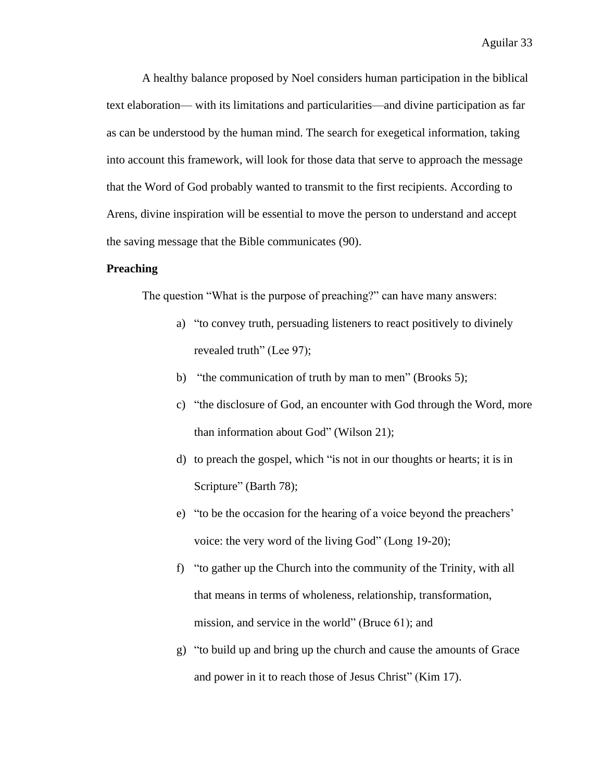A healthy balance proposed by Noel considers human participation in the biblical text elaboration⸺ with its limitations and particularities⸺and divine participation as far as can be understood by the human mind. The search for exegetical information, taking into account this framework, will look for those data that serve to approach the message that the Word of God probably wanted to transmit to the first recipients. According to Arens, divine inspiration will be essential to move the person to understand and accept the saving message that the Bible communicates (90).

## **Preaching**

The question "What is the purpose of preaching?" can have many answers:

- a) "to convey truth, persuading listeners to react positively to divinely revealed truth" (Lee 97);
- b) "the communication of truth by man to men" (Brooks 5);
- c) "the disclosure of God, an encounter with God through the Word, more than information about God" (Wilson 21);
- d) to preach the gospel, which "is not in our thoughts or hearts; it is in Scripture" (Barth 78);
- e) "to be the occasion for the hearing of a voice beyond the preachers' voice: the very word of the living God" (Long 19-20);
- f) "to gather up the Church into the community of the Trinity, with all that means in terms of wholeness, relationship, transformation, mission, and service in the world" (Bruce 61); and
- g) "to build up and bring up the church and cause the amounts of Grace and power in it to reach those of Jesus Christ" (Kim 17).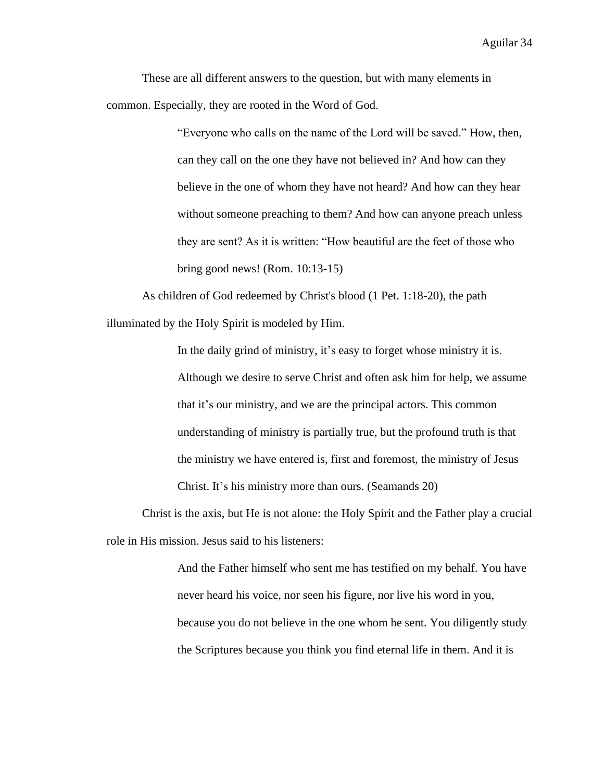These are all different answers to the question, but with many elements in common. Especially, they are rooted in the Word of God.

> "Everyone who calls on the name of the Lord will be saved." How, then, can they call on the one they have not believed in? And how can they believe in the one of whom they have not heard? And how can they hear without someone preaching to them? And how can anyone preach unless they are sent? As it is written: "How beautiful are the feet of those who bring good news! (Rom. 10:13-15)

As children of God redeemed by Christ's blood (1 Pet. 1:18-20), the path illuminated by the Holy Spirit is modeled by Him.

> In the daily grind of ministry, it's easy to forget whose ministry it is. Although we desire to serve Christ and often ask him for help, we assume that it's our ministry, and we are the principal actors. This common understanding of ministry is partially true, but the profound truth is that the ministry we have entered is, first and foremost, the ministry of Jesus Christ. It's his ministry more than ours. (Seamands 20)

Christ is the axis, but He is not alone: the Holy Spirit and the Father play a crucial role in His mission. Jesus said to his listeners:

> And the Father himself who sent me has testified on my behalf. You have never heard his voice, nor seen his figure, nor live his word in you, because you do not believe in the one whom he sent. You diligently study the Scriptures because you think you find eternal life in them. And it is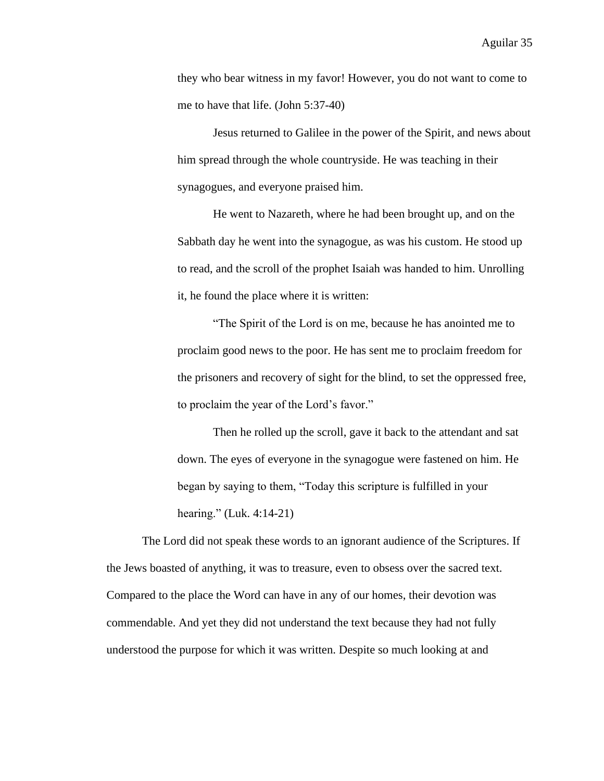they who bear witness in my favor! However, you do not want to come to me to have that life. (John 5:37-40)

Jesus returned to Galilee in the power of the Spirit, and news about him spread through the whole countryside. He was teaching in their synagogues, and everyone praised him.

He went to Nazareth, where he had been brought up, and on the Sabbath day he went into the synagogue, as was his custom. He stood up to read, and the scroll of the prophet Isaiah was handed to him. Unrolling it, he found the place where it is written:

"The Spirit of the Lord is on me, because he has anointed me to proclaim good news to the poor. He has sent me to proclaim freedom for the prisoners and recovery of sight for the blind, to set the oppressed free, to proclaim the year of the Lord's favor."

Then he rolled up the scroll, gave it back to the attendant and sat down. The eyes of everyone in the synagogue were fastened on him. He began by saying to them, "Today this scripture is fulfilled in your hearing." (Luk. 4:14-21)

The Lord did not speak these words to an ignorant audience of the Scriptures. If the Jews boasted of anything, it was to treasure, even to obsess over the sacred text. Compared to the place the Word can have in any of our homes, their devotion was commendable. And yet they did not understand the text because they had not fully understood the purpose for which it was written. Despite so much looking at and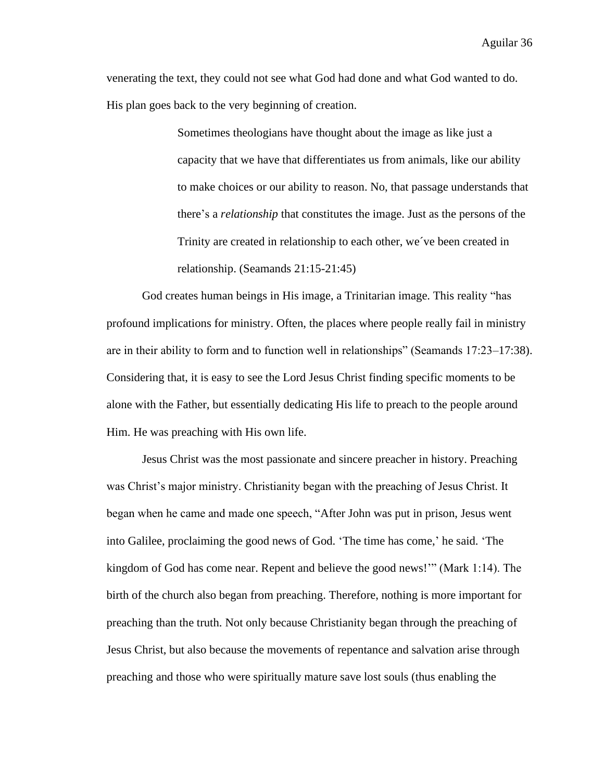venerating the text, they could not see what God had done and what God wanted to do. His plan goes back to the very beginning of creation.

> Sometimes theologians have thought about the image as like just a capacity that we have that differentiates us from animals, like our ability to make choices or our ability to reason. No, that passage understands that there's a *relationship* that constitutes the image. Just as the persons of the Trinity are created in relationship to each other, we´ve been created in relationship. (Seamands 21:15-21:45)

God creates human beings in His image, a Trinitarian image. This reality "has profound implications for ministry. Often, the places where people really fail in ministry are in their ability to form and to function well in relationships" (Seamands 17:23–17:38). Considering that, it is easy to see the Lord Jesus Christ finding specific moments to be alone with the Father, but essentially dedicating His life to preach to the people around Him. He was preaching with His own life.

Jesus Christ was the most passionate and sincere preacher in history. Preaching was Christ's major ministry. Christianity began with the preaching of Jesus Christ. It began when he came and made one speech, "After John was put in prison, Jesus went into Galilee, proclaiming the good news of God. 'The time has come,' he said. 'The kingdom of God has come near. Repent and believe the good news!'" (Mark 1:14). The birth of the church also began from preaching. Therefore, nothing is more important for preaching than the truth. Not only because Christianity began through the preaching of Jesus Christ, but also because the movements of repentance and salvation arise through preaching and those who were spiritually mature save lost souls (thus enabling the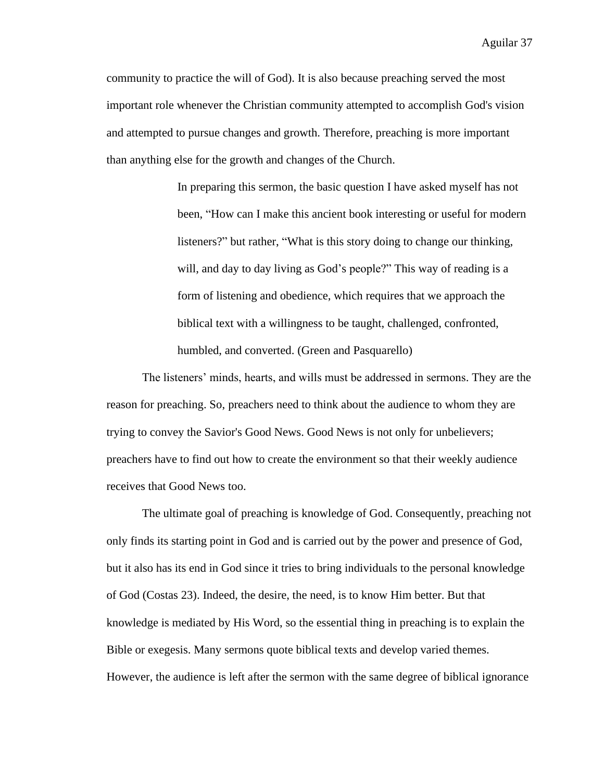community to practice the will of God). It is also because preaching served the most important role whenever the Christian community attempted to accomplish God's vision and attempted to pursue changes and growth. Therefore, preaching is more important than anything else for the growth and changes of the Church.

> In preparing this sermon, the basic question I have asked myself has not been, "How can I make this ancient book interesting or useful for modern listeners?" but rather, "What is this story doing to change our thinking, will, and day to day living as God's people?" This way of reading is a form of listening and obedience, which requires that we approach the biblical text with a willingness to be taught, challenged, confronted, humbled, and converted. (Green and Pasquarello)

The listeners' minds, hearts, and wills must be addressed in sermons. They are the reason for preaching. So, preachers need to think about the audience to whom they are trying to convey the Savior's Good News. Good News is not only for unbelievers; preachers have to find out how to create the environment so that their weekly audience receives that Good News too.

The ultimate goal of preaching is knowledge of God. Consequently, preaching not only finds its starting point in God and is carried out by the power and presence of God, but it also has its end in God since it tries to bring individuals to the personal knowledge of God (Costas 23). Indeed, the desire, the need, is to know Him better. But that knowledge is mediated by His Word, so the essential thing in preaching is to explain the Bible or exegesis. Many sermons quote biblical texts and develop varied themes. However, the audience is left after the sermon with the same degree of biblical ignorance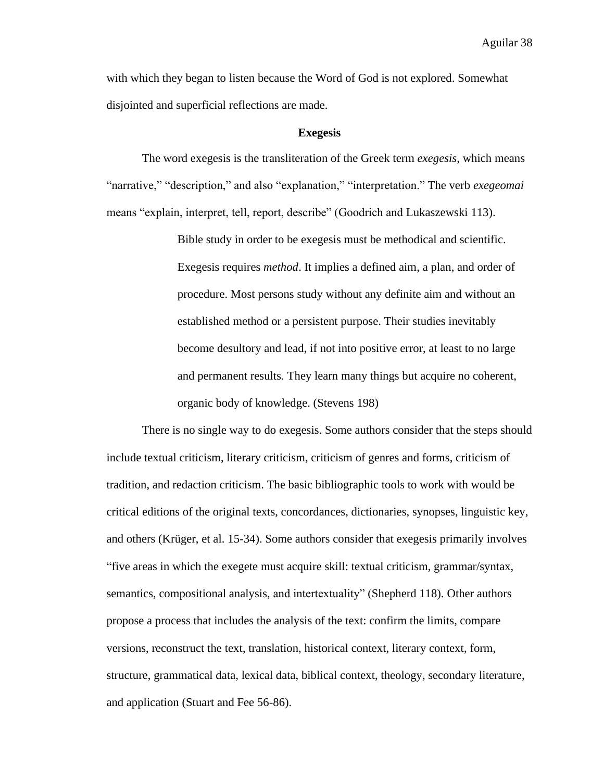with which they began to listen because the Word of God is not explored. Somewhat disjointed and superficial reflections are made.

### **Exegesis**

The word exegesis is the transliteration of the Greek term *exegesis*, which means "narrative," "description," and also "explanation," "interpretation." The verb *exegeomai* means "explain, interpret, tell, report, describe" (Goodrich and Lukaszewski 113).

> Bible study in order to be exegesis must be methodical and scientific. Exegesis requires *method*. It implies a defined aim, a plan, and order of procedure. Most persons study without any definite aim and without an established method or a persistent purpose. Their studies inevitably become desultory and lead, if not into positive error, at least to no large and permanent results. They learn many things but acquire no coherent, organic body of knowledge. (Stevens 198)

There is no single way to do exegesis. Some authors consider that the steps should include textual criticism, literary criticism, criticism of genres and forms, criticism of tradition, and redaction criticism. The basic bibliographic tools to work with would be critical editions of the original texts, concordances, dictionaries, synopses, linguistic key, and others (Krüger, et al. 15-34). Some authors consider that exegesis primarily involves "five areas in which the exegete must acquire skill: textual criticism, grammar/syntax, semantics, compositional analysis, and intertextuality" (Shepherd 118). Other authors propose a process that includes the analysis of the text: confirm the limits, compare versions, reconstruct the text, translation, historical context, literary context, form, structure, grammatical data, lexical data, biblical context, theology, secondary literature, and application (Stuart and Fee 56-86).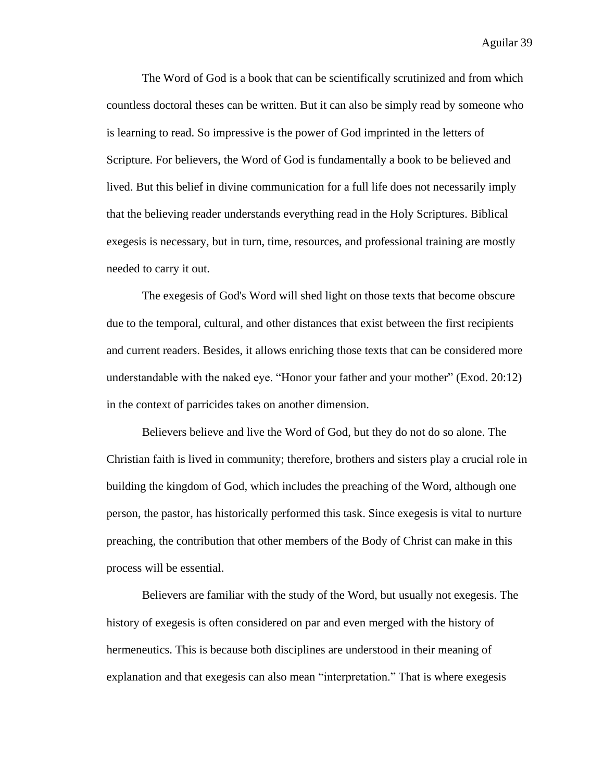The Word of God is a book that can be scientifically scrutinized and from which countless doctoral theses can be written. But it can also be simply read by someone who is learning to read. So impressive is the power of God imprinted in the letters of Scripture. For believers, the Word of God is fundamentally a book to be believed and lived. But this belief in divine communication for a full life does not necessarily imply that the believing reader understands everything read in the Holy Scriptures. Biblical exegesis is necessary, but in turn, time, resources, and professional training are mostly needed to carry it out.

The exegesis of God's Word will shed light on those texts that become obscure due to the temporal, cultural, and other distances that exist between the first recipients and current readers. Besides, it allows enriching those texts that can be considered more understandable with the naked eye. "Honor your father and your mother" (Exod. 20:12) in the context of parricides takes on another dimension.

Believers believe and live the Word of God, but they do not do so alone. The Christian faith is lived in community; therefore, brothers and sisters play a crucial role in building the kingdom of God, which includes the preaching of the Word, although one person, the pastor, has historically performed this task. Since exegesis is vital to nurture preaching, the contribution that other members of the Body of Christ can make in this process will be essential.

Believers are familiar with the study of the Word, but usually not exegesis. The history of exegesis is often considered on par and even merged with the history of hermeneutics. This is because both disciplines are understood in their meaning of explanation and that exegesis can also mean "interpretation." That is where exegesis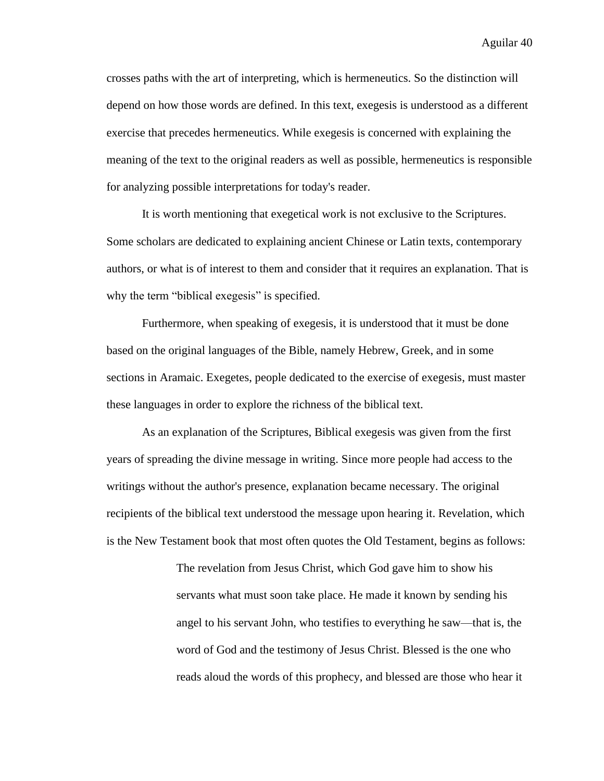crosses paths with the art of interpreting, which is hermeneutics. So the distinction will depend on how those words are defined. In this text, exegesis is understood as a different exercise that precedes hermeneutics. While exegesis is concerned with explaining the meaning of the text to the original readers as well as possible, hermeneutics is responsible for analyzing possible interpretations for today's reader.

It is worth mentioning that exegetical work is not exclusive to the Scriptures. Some scholars are dedicated to explaining ancient Chinese or Latin texts, contemporary authors, or what is of interest to them and consider that it requires an explanation. That is why the term "biblical exegesis" is specified.

Furthermore, when speaking of exegesis, it is understood that it must be done based on the original languages of the Bible, namely Hebrew, Greek, and in some sections in Aramaic. Exegetes, people dedicated to the exercise of exegesis, must master these languages in order to explore the richness of the biblical text.

As an explanation of the Scriptures, Biblical exegesis was given from the first years of spreading the divine message in writing. Since more people had access to the writings without the author's presence, explanation became necessary. The original recipients of the biblical text understood the message upon hearing it. Revelation, which is the New Testament book that most often quotes the Old Testament, begins as follows:

> The revelation from Jesus Christ, which God gave him to show his servants what must soon take place. He made it known by sending his angel to his servant John, who testifies to everything he saw—that is, the word of God and the testimony of Jesus Christ. Blessed is the one who reads aloud the words of this prophecy, and blessed are those who hear it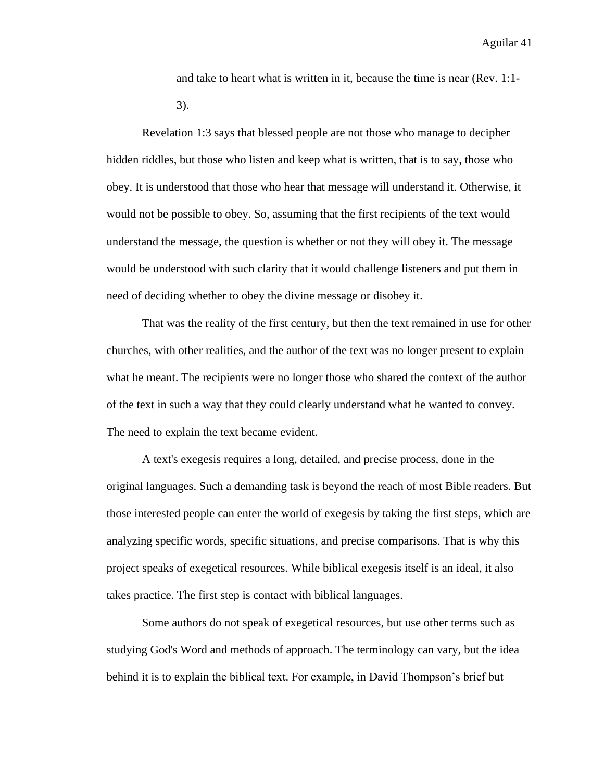and take to heart what is written in it, because the time is near (Rev. 1:1- 3).

Revelation 1:3 says that blessed people are not those who manage to decipher hidden riddles, but those who listen and keep what is written, that is to say, those who obey. It is understood that those who hear that message will understand it. Otherwise, it would not be possible to obey. So, assuming that the first recipients of the text would understand the message, the question is whether or not they will obey it. The message would be understood with such clarity that it would challenge listeners and put them in need of deciding whether to obey the divine message or disobey it.

That was the reality of the first century, but then the text remained in use for other churches, with other realities, and the author of the text was no longer present to explain what he meant. The recipients were no longer those who shared the context of the author of the text in such a way that they could clearly understand what he wanted to convey. The need to explain the text became evident.

A text's exegesis requires a long, detailed, and precise process, done in the original languages. Such a demanding task is beyond the reach of most Bible readers. But those interested people can enter the world of exegesis by taking the first steps, which are analyzing specific words, specific situations, and precise comparisons. That is why this project speaks of exegetical resources. While biblical exegesis itself is an ideal, it also takes practice. The first step is contact with biblical languages.

Some authors do not speak of exegetical resources, but use other terms such as studying God's Word and methods of approach. The terminology can vary, but the idea behind it is to explain the biblical text. For example, in David Thompson's brief but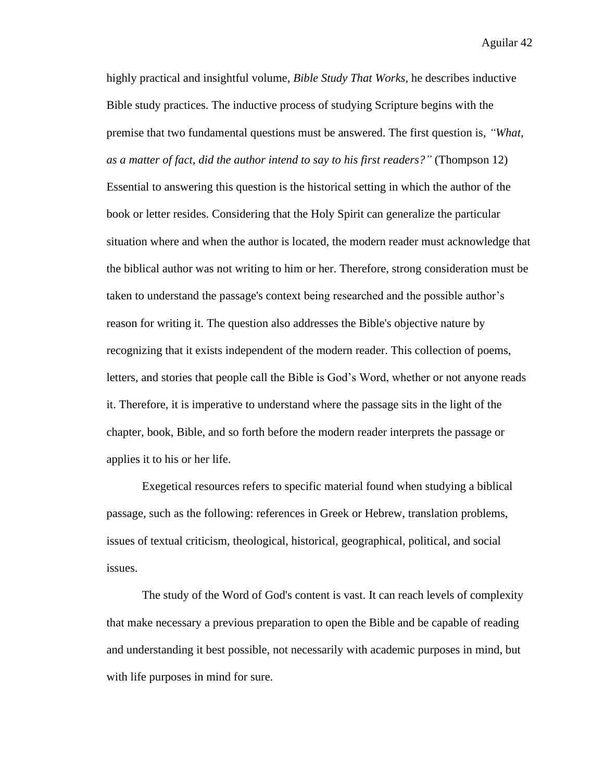highly practical and insightful volume, *Bible Study That Works*, he describes inductive Bible study practices. The inductive process of studying Scripture begins with the premise that two fundamental questions must be answered. The first question is, *"What, as a matter of fact, did the author intend to say to his first readers?"* (Thompson 12) Essential to answering this question is the historical setting in which the author of the book or letter resides. Considering that the Holy Spirit can generalize the particular situation where and when the author is located, the modern reader must acknowledge that the biblical author was not writing to him or her. Therefore, strong consideration must be taken to understand the passage's context being researched and the possible author's reason for writing it. The question also addresses the Bible's objective nature by recognizing that it exists independent of the modern reader. This collection of poems, letters, and stories that people call the Bible is God's Word, whether or not anyone reads it. Therefore, it is imperative to understand where the passage sits in the light of the chapter, book, Bible, and so forth before the modern reader interprets the passage or applies it to his or her life.

Exegetical resources refers to specific material found when studying a biblical passage, such as the following: references in Greek or Hebrew, translation problems, issues of textual criticism, theological, historical, geographical, political, and social issues.

The study of the Word of God's content is vast. It can reach levels of complexity that make necessary a previous preparation to open the Bible and be capable of reading and understanding it best possible, not necessarily with academic purposes in mind, but with life purposes in mind for sure.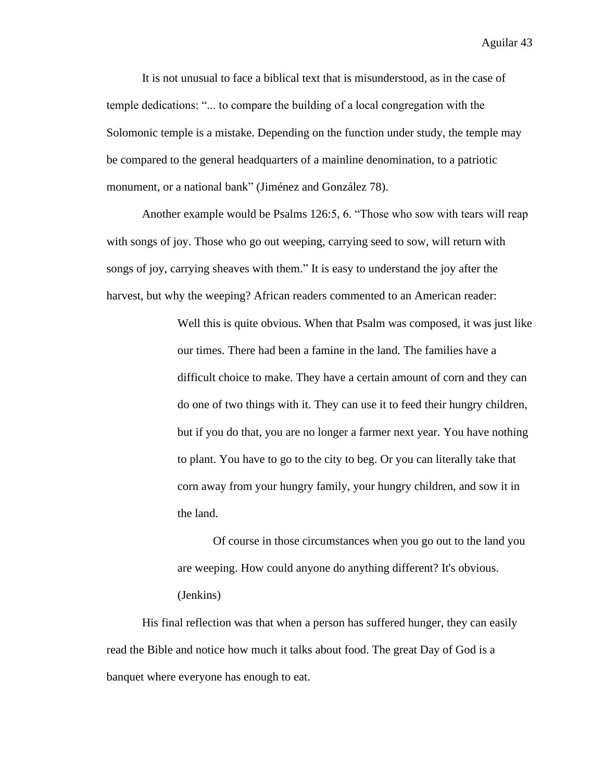It is not unusual to face a biblical text that is misunderstood, as in the case of temple dedications: "... to compare the building of a local congregation with the Solomonic temple is a mistake. Depending on the function under study, the temple may be compared to the general headquarters of a mainline denomination, to a patriotic monument, or a national bank" (Jiménez and González 78).

Another example would be Psalms 126:5, 6. "Those who sow with tears will reap with songs of joy. Those who go out weeping, carrying seed to sow, will return with songs of joy, carrying sheaves with them." It is easy to understand the joy after the harvest, but why the weeping? African readers commented to an American reader:

> Well this is quite obvious. When that Psalm was composed, it was just like our times. There had been a famine in the land. The families have a difficult choice to make. They have a certain amount of corn and they can do one of two things with it. They can use it to feed their hungry children, but if you do that, you are no longer a farmer next year. You have nothing to plant. You have to go to the city to beg. Or you can literally take that corn away from your hungry family, your hungry children, and sow it in the land.

Of course in those circumstances when you go out to the land you are weeping. How could anyone do anything different? It's obvious. (Jenkins)

His final reflection was that when a person has suffered hunger, they can easily read the Bible and notice how much it talks about food. The great Day of God is a banquet where everyone has enough to eat.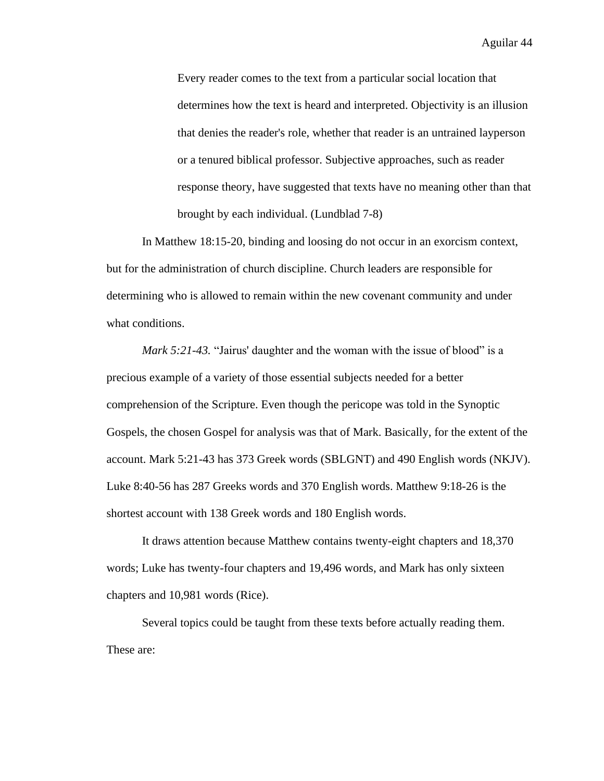Every reader comes to the text from a particular social location that determines how the text is heard and interpreted. Objectivity is an illusion that denies the reader's role, whether that reader is an untrained layperson or a tenured biblical professor. Subjective approaches, such as reader response theory, have suggested that texts have no meaning other than that brought by each individual. (Lundblad 7-8)

In Matthew 18:15-20, binding and loosing do not occur in an exorcism context, but for the administration of church discipline. Church leaders are responsible for determining who is allowed to remain within the new covenant community and under what conditions.

*Mark 5:21-43.* "Jairus' daughter and the woman with the issue of blood" is a precious example of a variety of those essential subjects needed for a better comprehension of the Scripture. Even though the pericope was told in the Synoptic Gospels, the chosen Gospel for analysis was that of Mark. Basically, for the extent of the account. Mark 5:21-43 has 373 Greek words (SBLGNT) and 490 English words (NKJV). Luke 8:40-56 has 287 Greeks words and 370 English words. Matthew 9:18-26 is the shortest account with 138 Greek words and 180 English words.

It draws attention because Matthew contains twenty-eight chapters and 18,370 words; Luke has twenty-four chapters and 19,496 words, and Mark has only sixteen chapters and 10,981 words (Rice).

Several topics could be taught from these texts before actually reading them. These are: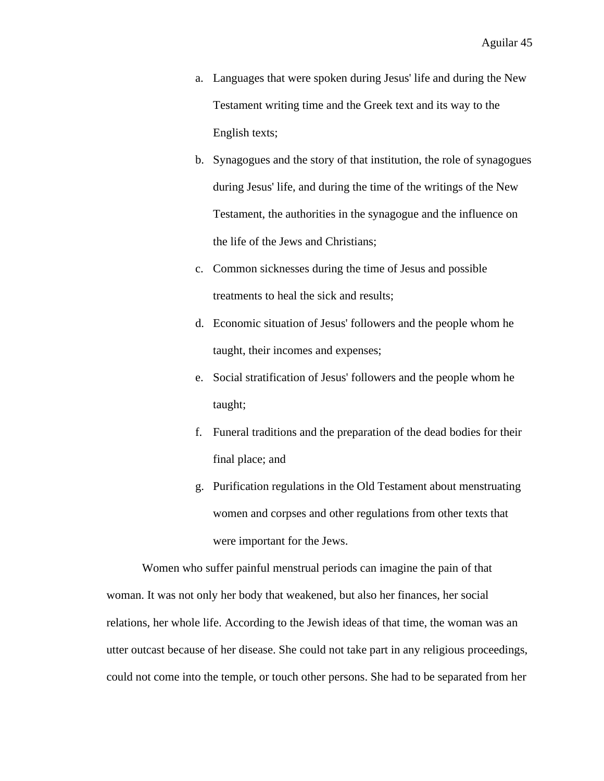- a. Languages that were spoken during Jesus' life and during the New Testament writing time and the Greek text and its way to the English texts;
- b. Synagogues and the story of that institution, the role of synagogues during Jesus' life, and during the time of the writings of the New Testament, the authorities in the synagogue and the influence on the life of the Jews and Christians;
- c. Common sicknesses during the time of Jesus and possible treatments to heal the sick and results;
- d. Economic situation of Jesus' followers and the people whom he taught, their incomes and expenses;
- e. Social stratification of Jesus' followers and the people whom he taught;
- f. Funeral traditions and the preparation of the dead bodies for their final place; and
- g. Purification regulations in the Old Testament about menstruating women and corpses and other regulations from other texts that were important for the Jews.

Women who suffer painful menstrual periods can imagine the pain of that woman. It was not only her body that weakened, but also her finances, her social relations, her whole life. According to the Jewish ideas of that time, the woman was an utter outcast because of her disease. She could not take part in any religious proceedings, could not come into the temple, or touch other persons. She had to be separated from her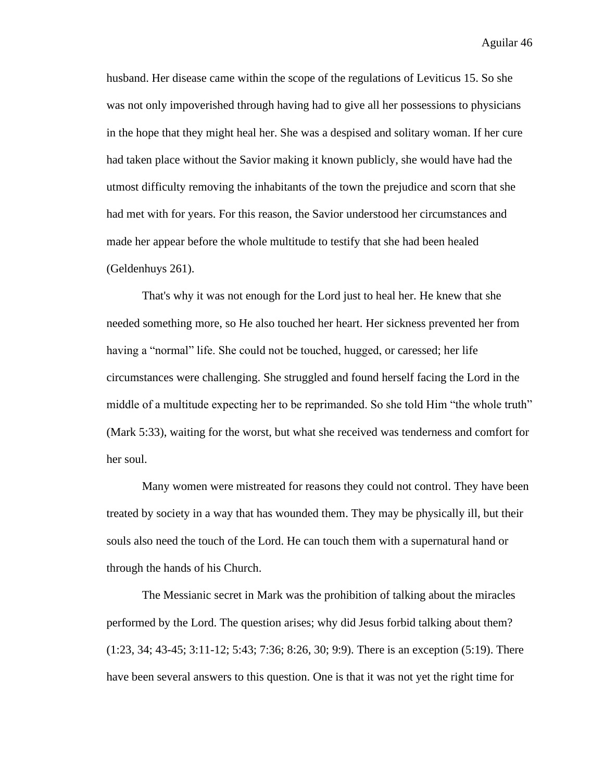husband. Her disease came within the scope of the regulations of Leviticus 15. So she was not only impoverished through having had to give all her possessions to physicians in the hope that they might heal her. She was a despised and solitary woman. If her cure had taken place without the Savior making it known publicly, she would have had the utmost difficulty removing the inhabitants of the town the prejudice and scorn that she had met with for years. For this reason, the Savior understood her circumstances and made her appear before the whole multitude to testify that she had been healed (Geldenhuys 261).

That's why it was not enough for the Lord just to heal her. He knew that she needed something more, so He also touched her heart. Her sickness prevented her from having a "normal" life. She could not be touched, hugged, or caressed; her life circumstances were challenging. She struggled and found herself facing the Lord in the middle of a multitude expecting her to be reprimanded. So she told Him "the whole truth" (Mark 5:33), waiting for the worst, but what she received was tenderness and comfort for her soul.

Many women were mistreated for reasons they could not control. They have been treated by society in a way that has wounded them. They may be physically ill, but their souls also need the touch of the Lord. He can touch them with a supernatural hand or through the hands of his Church.

The Messianic secret in Mark was the prohibition of talking about the miracles performed by the Lord. The question arises; why did Jesus forbid talking about them? (1:23, 34; 43-45; 3:11-12; 5:43; 7:36; 8:26, 30; 9:9). There is an exception (5:19). There have been several answers to this question. One is that it was not yet the right time for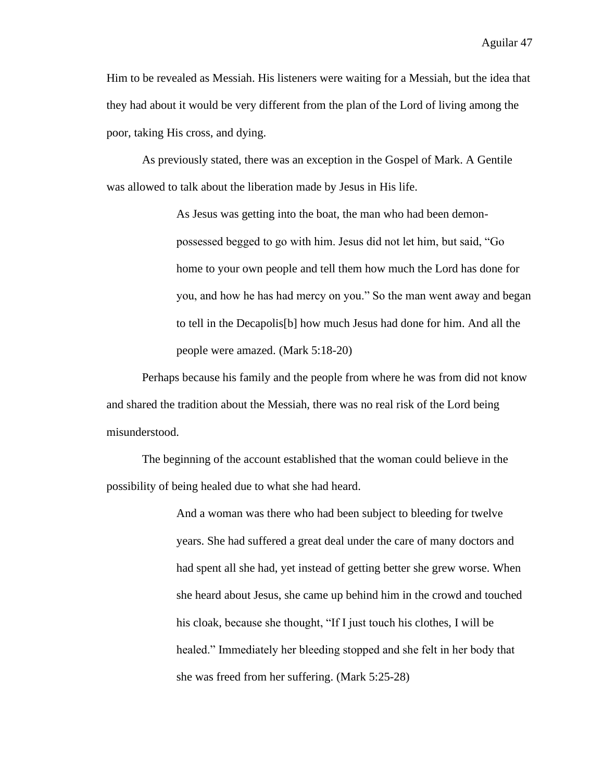Him to be revealed as Messiah. His listeners were waiting for a Messiah, but the idea that they had about it would be very different from the plan of the Lord of living among the poor, taking His cross, and dying.

As previously stated, there was an exception in the Gospel of Mark. A Gentile was allowed to talk about the liberation made by Jesus in His life.

> As Jesus was getting into the boat, the man who had been demonpossessed begged to go with him. Jesus did not let him, but said, "Go home to your own people and tell them how much the Lord has done for you, and how he has had mercy on you." So the man went away and began to tell in the Decapolis[b] how much Jesus had done for him. And all the people were amazed. (Mark 5:18-20)

Perhaps because his family and the people from where he was from did not know and shared the tradition about the Messiah, there was no real risk of the Lord being misunderstood.

The beginning of the account established that the woman could believe in the possibility of being healed due to what she had heard.

> And a woman was there who had been subject to bleeding for twelve years. She had suffered a great deal under the care of many doctors and had spent all she had, yet instead of getting better she grew worse. When she heard about Jesus, she came up behind him in the crowd and touched his cloak, because she thought, "If I just touch his clothes, I will be healed." Immediately her bleeding stopped and she felt in her body that she was freed from her suffering. (Mark 5:25-28)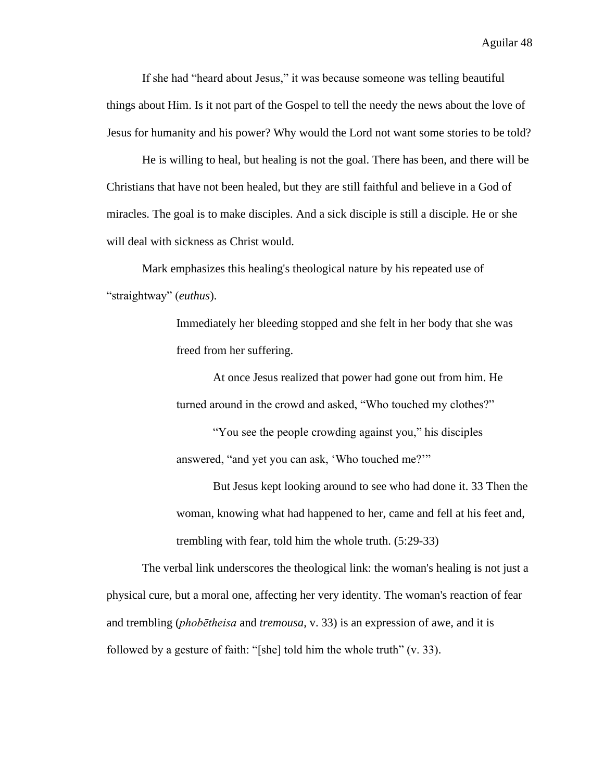If she had "heard about Jesus," it was because someone was telling beautiful things about Him. Is it not part of the Gospel to tell the needy the news about the love of Jesus for humanity and his power? Why would the Lord not want some stories to be told?

He is willing to heal, but healing is not the goal. There has been, and there will be Christians that have not been healed, but they are still faithful and believe in a God of miracles. The goal is to make disciples. And a sick disciple is still a disciple. He or she will deal with sickness as Christ would.

Mark emphasizes this healing's theological nature by his repeated use of "straightway" (*euthus*).

> Immediately her bleeding stopped and she felt in her body that she was freed from her suffering.

At once Jesus realized that power had gone out from him. He turned around in the crowd and asked, "Who touched my clothes?"

"You see the people crowding against you," his disciples answered, "and yet you can ask, 'Who touched me?'"

But Jesus kept looking around to see who had done it. 33 Then the woman, knowing what had happened to her, came and fell at his feet and, trembling with fear, told him the whole truth. (5:29-33)

The verbal link underscores the theological link: the woman's healing is not just a physical cure, but a moral one, affecting her very identity. The woman's reaction of fear and trembling (*phobētheisa* and *tremousa*, v. 33) is an expression of awe, and it is followed by a gesture of faith: "[she] told him the whole truth"  $(v. 33)$ .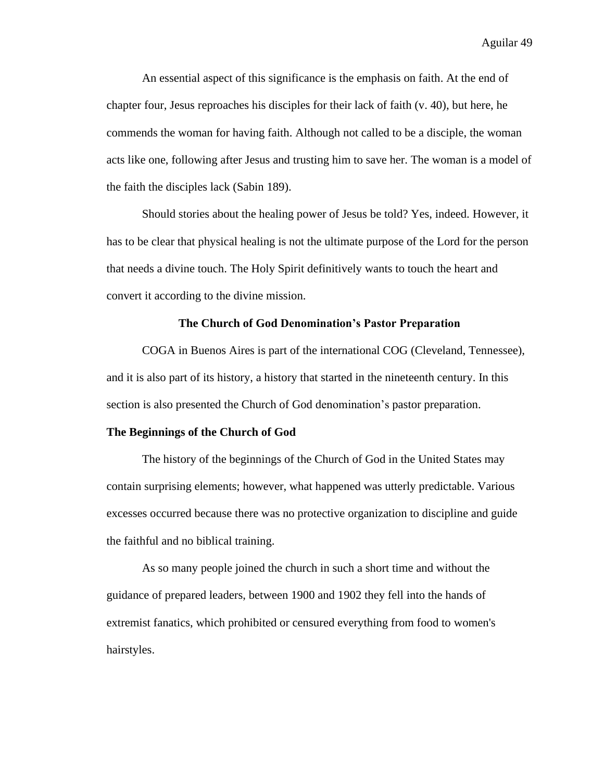An essential aspect of this significance is the emphasis on faith. At the end of chapter four, Jesus reproaches his disciples for their lack of faith (v. 40), but here, he commends the woman for having faith. Although not called to be a disciple, the woman acts like one, following after Jesus and trusting him to save her. The woman is a model of the faith the disciples lack (Sabin 189).

Should stories about the healing power of Jesus be told? Yes, indeed. However, it has to be clear that physical healing is not the ultimate purpose of the Lord for the person that needs a divine touch. The Holy Spirit definitively wants to touch the heart and convert it according to the divine mission.

### **The Church of God Denomination's Pastor Preparation**

COGA in Buenos Aires is part of the international COG (Cleveland, Tennessee), and it is also part of its history, a history that started in the nineteenth century. In this section is also presented the Church of God denomination's pastor preparation.

#### **The Beginnings of the Church of God**

The history of the beginnings of the Church of God in the United States may contain surprising elements; however, what happened was utterly predictable. Various excesses occurred because there was no protective organization to discipline and guide the faithful and no biblical training.

As so many people joined the church in such a short time and without the guidance of prepared leaders, between 1900 and 1902 they fell into the hands of extremist fanatics, which prohibited or censured everything from food to women's hairstyles.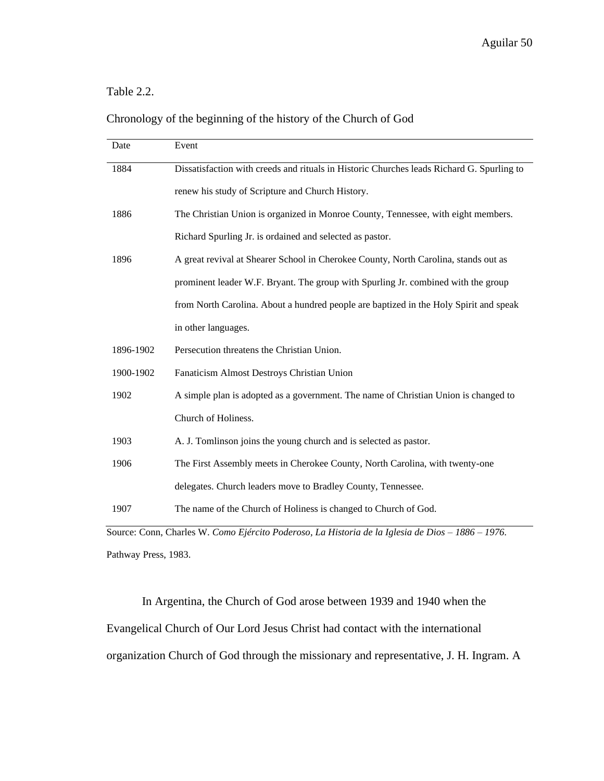# Table 2.2.

# Chronology of the beginning of the history of the Church of God

| Date      | Event                                                                                     |
|-----------|-------------------------------------------------------------------------------------------|
| 1884      | Dissatisfaction with creeds and rituals in Historic Churches leads Richard G. Spurling to |
|           | renew his study of Scripture and Church History.                                          |
| 1886      | The Christian Union is organized in Monroe County, Tennessee, with eight members.         |
|           | Richard Spurling Jr. is ordained and selected as pastor.                                  |
| 1896      | A great revival at Shearer School in Cherokee County, North Carolina, stands out as       |
|           | prominent leader W.F. Bryant. The group with Spurling Jr. combined with the group         |
|           | from North Carolina. About a hundred people are baptized in the Holy Spirit and speak     |
|           | in other languages.                                                                       |
| 1896-1902 | Persecution threatens the Christian Union.                                                |
| 1900-1902 | Fanaticism Almost Destroys Christian Union                                                |
| 1902      | A simple plan is adopted as a government. The name of Christian Union is changed to       |
|           | Church of Holiness.                                                                       |
| 1903      | A. J. Tomlinson joins the young church and is selected as pastor.                         |
| 1906      | The First Assembly meets in Cherokee County, North Carolina, with twenty-one              |
|           | delegates. Church leaders move to Bradley County, Tennessee.                              |
| 1907      | The name of the Church of Holiness is changed to Church of God.                           |

Source: Conn, Charles W. *Como Ejército Poderoso, La Historia de la Iglesia de Dios – 1886 – 1976.* Pathway Press, 1983.

In Argentina, the Church of God arose between 1939 and 1940 when the Evangelical Church of Our Lord Jesus Christ had contact with the international organization Church of God through the missionary and representative, J. H. Ingram. A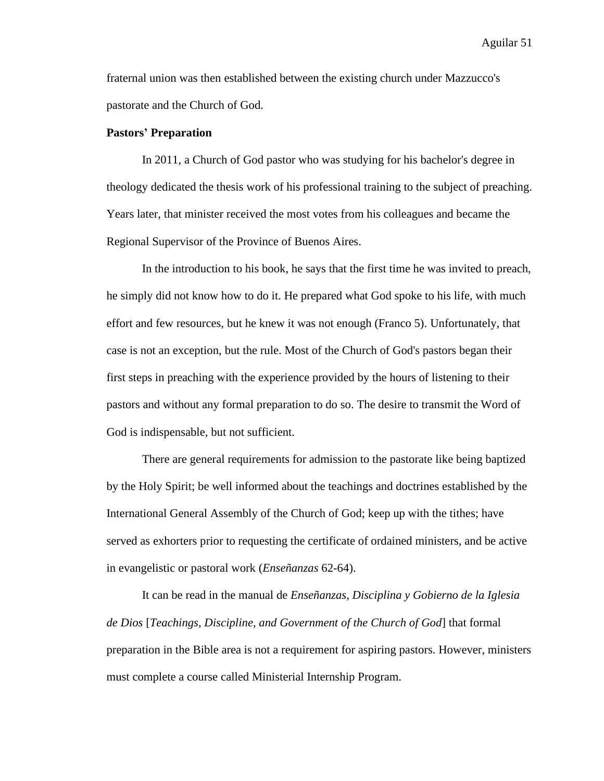fraternal union was then established between the existing church under Mazzucco's pastorate and the Church of God.

## **Pastors' Preparation**

In 2011, a Church of God pastor who was studying for his bachelor's degree in theology dedicated the thesis work of his professional training to the subject of preaching. Years later, that minister received the most votes from his colleagues and became the Regional Supervisor of the Province of Buenos Aires.

In the introduction to his book, he says that the first time he was invited to preach, he simply did not know how to do it. He prepared what God spoke to his life, with much effort and few resources, but he knew it was not enough (Franco 5). Unfortunately, that case is not an exception, but the rule. Most of the Church of God's pastors began their first steps in preaching with the experience provided by the hours of listening to their pastors and without any formal preparation to do so. The desire to transmit the Word of God is indispensable, but not sufficient.

There are general requirements for admission to the pastorate like being baptized by the Holy Spirit; be well informed about the teachings and doctrines established by the International General Assembly of the Church of God; keep up with the tithes; have served as exhorters prior to requesting the certificate of ordained ministers, and be active in evangelistic or pastoral work (*Enseñanzas* 62-64).

It can be read in the manual de *Enseñanzas, Disciplina y Gobierno de la Iglesia de Dios* [*Teachings, Discipline, and Government of the Church of God*] that formal preparation in the Bible area is not a requirement for aspiring pastors. However, ministers must complete a course called Ministerial Internship Program.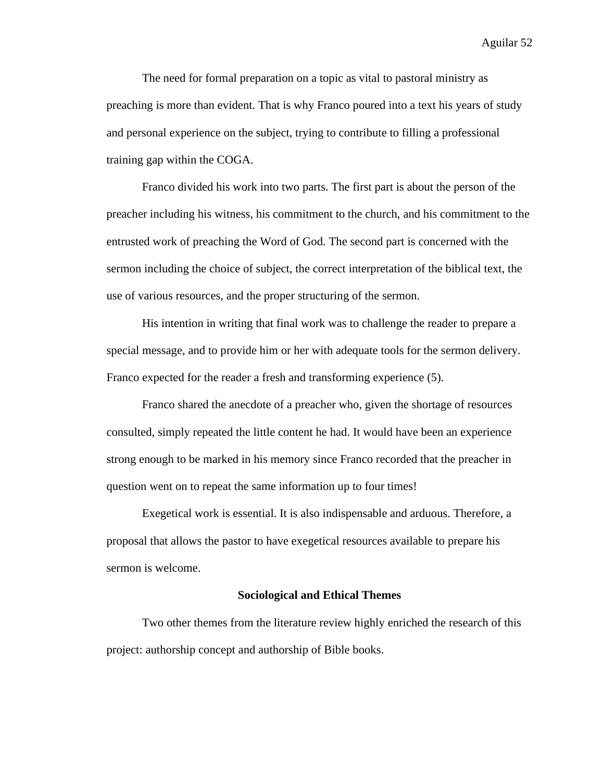The need for formal preparation on a topic as vital to pastoral ministry as preaching is more than evident. That is why Franco poured into a text his years of study and personal experience on the subject, trying to contribute to filling a professional training gap within the COGA.

Franco divided his work into two parts. The first part is about the person of the preacher including his witness, his commitment to the church, and his commitment to the entrusted work of preaching the Word of God. The second part is concerned with the sermon including the choice of subject, the correct interpretation of the biblical text, the use of various resources, and the proper structuring of the sermon.

His intention in writing that final work was to challenge the reader to prepare a special message, and to provide him or her with adequate tools for the sermon delivery. Franco expected for the reader a fresh and transforming experience (5).

Franco shared the anecdote of a preacher who, given the shortage of resources consulted, simply repeated the little content he had. It would have been an experience strong enough to be marked in his memory since Franco recorded that the preacher in question went on to repeat the same information up to four times!

Exegetical work is essential. It is also indispensable and arduous. Therefore, a proposal that allows the pastor to have exegetical resources available to prepare his sermon is welcome.

### **Sociological and Ethical Themes**

Two other themes from the literature review highly enriched the research of this project: authorship concept and authorship of Bible books.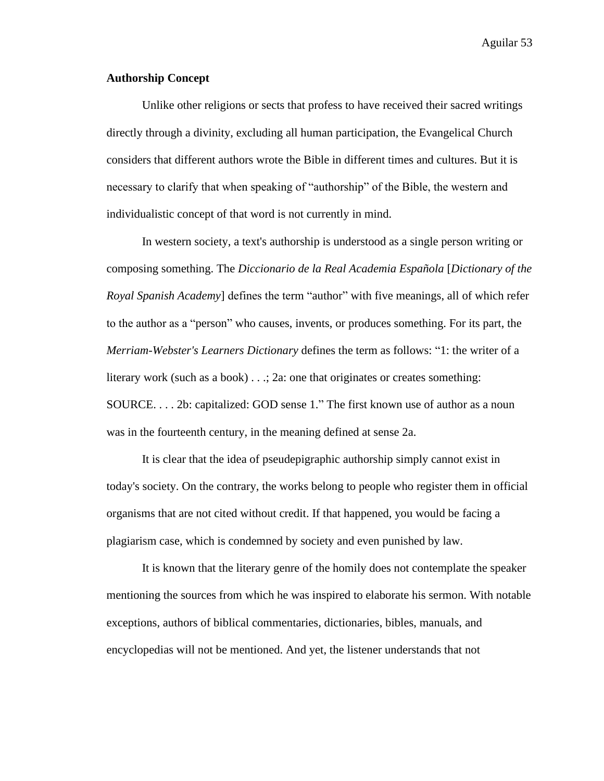# **Authorship Concept**

Unlike other religions or sects that profess to have received their sacred writings directly through a divinity, excluding all human participation, the Evangelical Church considers that different authors wrote the Bible in different times and cultures. But it is necessary to clarify that when speaking of "authorship" of the Bible, the western and individualistic concept of that word is not currently in mind.

In western society, a text's authorship is understood as a single person writing or composing something. The *Diccionario de la Real Academia Española* [*Dictionary of the Royal Spanish Academy*] defines the term "author" with five meanings, all of which refer to the author as a "person" who causes, invents, or produces something. For its part, the *Merriam-Webster's Learners Dictionary* defines the term as follows: "1: the writer of a literary work (such as a book) . . .; 2a: one that originates or creates something: SOURCE. . . . 2b: capitalized: GOD sense 1." The first known use of author as a noun was in the fourteenth century, in the meaning defined at sense 2a.

It is clear that the idea of pseudepigraphic authorship simply cannot exist in today's society. On the contrary, the works belong to people who register them in official organisms that are not cited without credit. If that happened, you would be facing a plagiarism case, which is condemned by society and even punished by law.

It is known that the literary genre of the homily does not contemplate the speaker mentioning the sources from which he was inspired to elaborate his sermon. With notable exceptions, authors of biblical commentaries, dictionaries, bibles, manuals, and encyclopedias will not be mentioned. And yet, the listener understands that not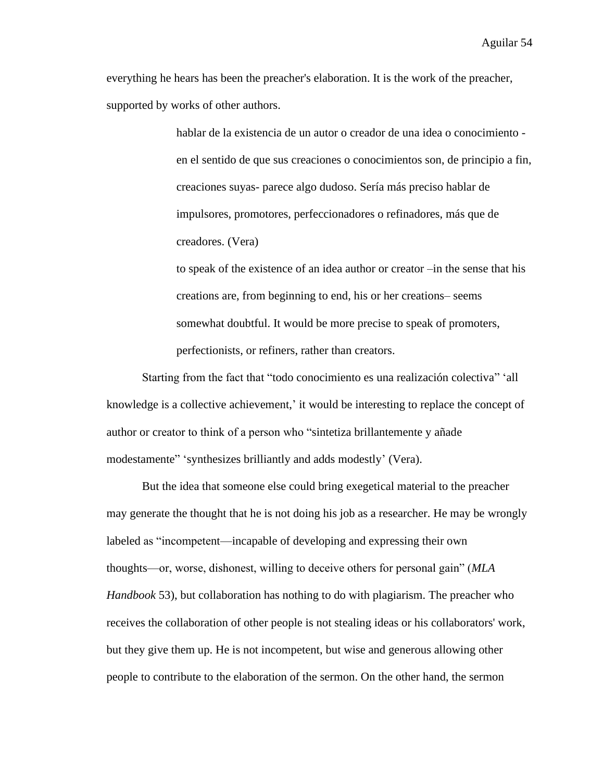everything he hears has been the preacher's elaboration. It is the work of the preacher, supported by works of other authors.

> hablar de la existencia de un autor o creador de una idea o conocimiento en el sentido de que sus creaciones o conocimientos son, de principio a fin, creaciones suyas- parece algo dudoso. Sería más preciso hablar de impulsores, promotores, perfeccionadores o refinadores, más que de creadores. (Vera)

to speak of the existence of an idea author or creator –in the sense that his creations are, from beginning to end, his or her creations– seems somewhat doubtful. It would be more precise to speak of promoters, perfectionists, or refiners, rather than creators.

Starting from the fact that "todo conocimiento es una realización colectiva" 'all knowledge is a collective achievement,' it would be interesting to replace the concept of author or creator to think of a person who "sintetiza brillantemente y añade modestamente" 'synthesizes brilliantly and adds modestly' (Vera).

But the idea that someone else could bring exegetical material to the preacher may generate the thought that he is not doing his job as a researcher. He may be wrongly labeled as "incompetent⸺incapable of developing and expressing their own thoughts⸺or, worse, dishonest, willing to deceive others for personal gain" (*MLA Handbook* 53), but collaboration has nothing to do with plagiarism. The preacher who receives the collaboration of other people is not stealing ideas or his collaborators' work, but they give them up. He is not incompetent, but wise and generous allowing other people to contribute to the elaboration of the sermon. On the other hand, the sermon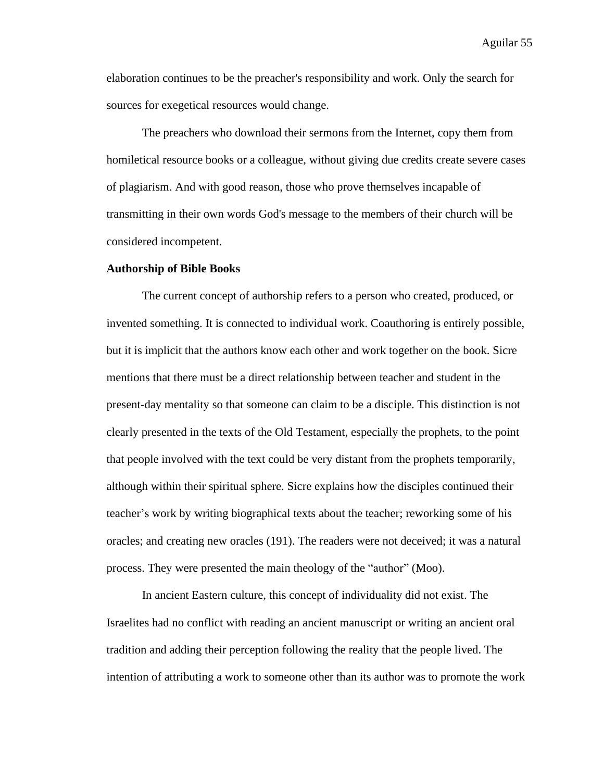elaboration continues to be the preacher's responsibility and work. Only the search for sources for exegetical resources would change.

The preachers who download their sermons from the Internet, copy them from homiletical resource books or a colleague, without giving due credits create severe cases of plagiarism. And with good reason, those who prove themselves incapable of transmitting in their own words God's message to the members of their church will be considered incompetent.

# **Authorship of Bible Books**

The current concept of authorship refers to a person who created, produced, or invented something. It is connected to individual work. Coauthoring is entirely possible, but it is implicit that the authors know each other and work together on the book. Sicre mentions that there must be a direct relationship between teacher and student in the present-day mentality so that someone can claim to be a disciple. This distinction is not clearly presented in the texts of the Old Testament, especially the prophets, to the point that people involved with the text could be very distant from the prophets temporarily, although within their spiritual sphere. Sicre explains how the disciples continued their teacher's work by writing biographical texts about the teacher; reworking some of his oracles; and creating new oracles (191). The readers were not deceived; it was a natural process. They were presented the main theology of the "author" (Moo).

In ancient Eastern culture, this concept of individuality did not exist. The Israelites had no conflict with reading an ancient manuscript or writing an ancient oral tradition and adding their perception following the reality that the people lived. The intention of attributing a work to someone other than its author was to promote the work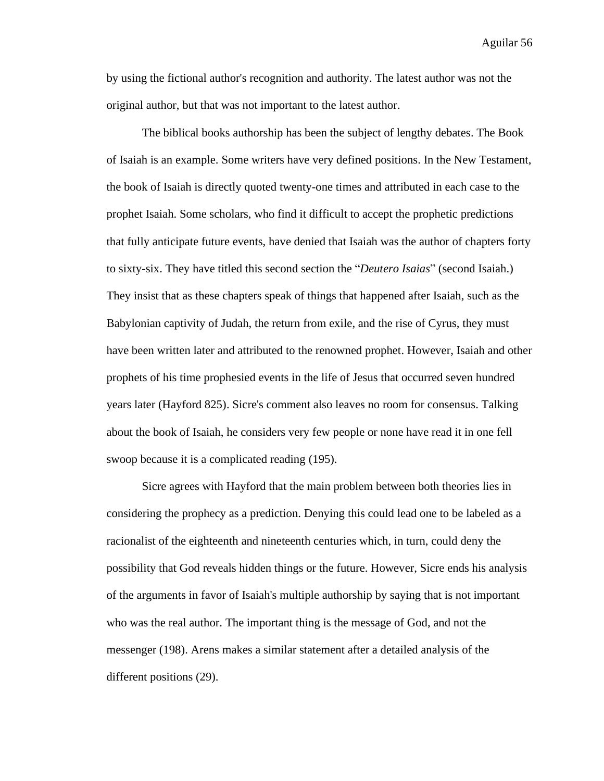by using the fictional author's recognition and authority. The latest author was not the original author, but that was not important to the latest author.

The biblical books authorship has been the subject of lengthy debates. The Book of Isaiah is an example. Some writers have very defined positions. In the New Testament, the book of Isaiah is directly quoted twenty-one times and attributed in each case to the prophet Isaiah. Some scholars, who find it difficult to accept the prophetic predictions that fully anticipate future events, have denied that Isaiah was the author of chapters forty to sixty-six. They have titled this second section the "*Deutero Isaias*" (second Isaiah.) They insist that as these chapters speak of things that happened after Isaiah, such as the Babylonian captivity of Judah, the return from exile, and the rise of Cyrus, they must have been written later and attributed to the renowned prophet. However, Isaiah and other prophets of his time prophesied events in the life of Jesus that occurred seven hundred years later (Hayford 825). Sicre's comment also leaves no room for consensus. Talking about the book of Isaiah, he considers very few people or none have read it in one fell swoop because it is a complicated reading (195).

Sicre agrees with Hayford that the main problem between both theories lies in considering the prophecy as a prediction. Denying this could lead one to be labeled as a racionalist of the eighteenth and nineteenth centuries which, in turn, could deny the possibility that God reveals hidden things or the future. However, Sicre ends his analysis of the arguments in favor of Isaiah's multiple authorship by saying that is not important who was the real author. The important thing is the message of God, and not the messenger (198). Arens makes a similar statement after a detailed analysis of the different positions (29).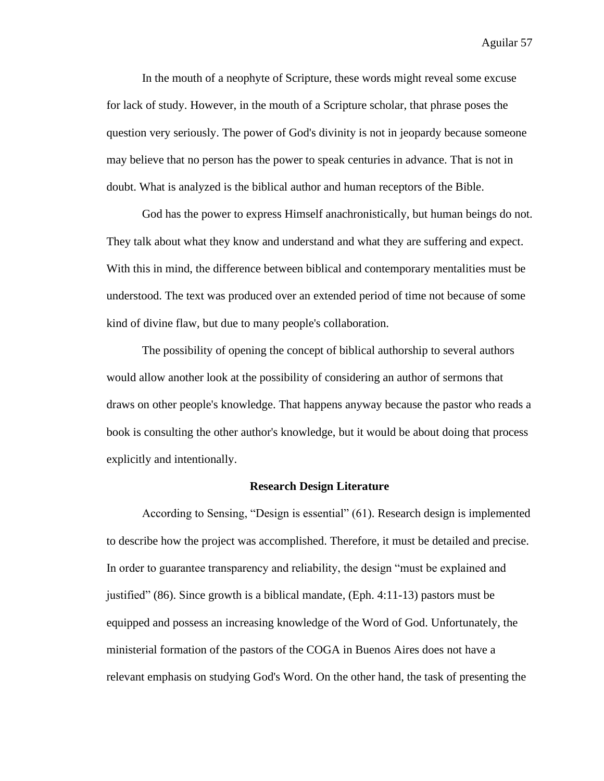In the mouth of a neophyte of Scripture, these words might reveal some excuse for lack of study. However, in the mouth of a Scripture scholar, that phrase poses the question very seriously. The power of God's divinity is not in jeopardy because someone may believe that no person has the power to speak centuries in advance. That is not in doubt. What is analyzed is the biblical author and human receptors of the Bible.

God has the power to express Himself anachronistically, but human beings do not. They talk about what they know and understand and what they are suffering and expect. With this in mind, the difference between biblical and contemporary mentalities must be understood. The text was produced over an extended period of time not because of some kind of divine flaw, but due to many people's collaboration.

The possibility of opening the concept of biblical authorship to several authors would allow another look at the possibility of considering an author of sermons that draws on other people's knowledge. That happens anyway because the pastor who reads a book is consulting the other author's knowledge, but it would be about doing that process explicitly and intentionally.

### **Research Design Literature**

According to Sensing, "Design is essential" (61). Research design is implemented to describe how the project was accomplished. Therefore, it must be detailed and precise. In order to guarantee transparency and reliability, the design "must be explained and justified" (86). Since growth is a biblical mandate, (Eph. 4:11-13) pastors must be equipped and possess an increasing knowledge of the Word of God. Unfortunately, the ministerial formation of the pastors of the COGA in Buenos Aires does not have a relevant emphasis on studying God's Word. On the other hand, the task of presenting the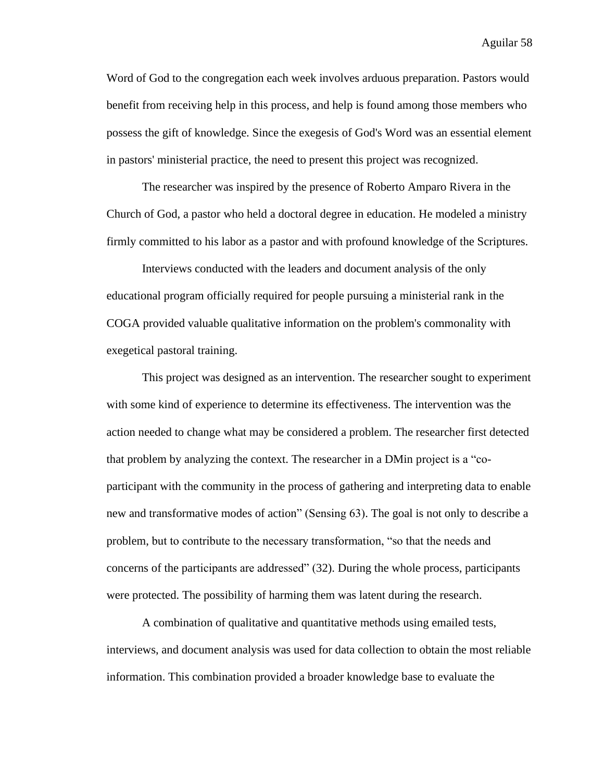Word of God to the congregation each week involves arduous preparation. Pastors would benefit from receiving help in this process, and help is found among those members who possess the gift of knowledge. Since the exegesis of God's Word was an essential element in pastors' ministerial practice, the need to present this project was recognized.

The researcher was inspired by the presence of Roberto Amparo Rivera in the Church of God, a pastor who held a doctoral degree in education. He modeled a ministry firmly committed to his labor as a pastor and with profound knowledge of the Scriptures.

Interviews conducted with the leaders and document analysis of the only educational program officially required for people pursuing a ministerial rank in the COGA provided valuable qualitative information on the problem's commonality with exegetical pastoral training.

This project was designed as an intervention. The researcher sought to experiment with some kind of experience to determine its effectiveness. The intervention was the action needed to change what may be considered a problem. The researcher first detected that problem by analyzing the context. The researcher in a DMin project is a "coparticipant with the community in the process of gathering and interpreting data to enable new and transformative modes of action" (Sensing 63). The goal is not only to describe a problem, but to contribute to the necessary transformation, "so that the needs and concerns of the participants are addressed" (32). During the whole process, participants were protected. The possibility of harming them was latent during the research.

A combination of qualitative and quantitative methods using emailed tests, interviews, and document analysis was used for data collection to obtain the most reliable information. This combination provided a broader knowledge base to evaluate the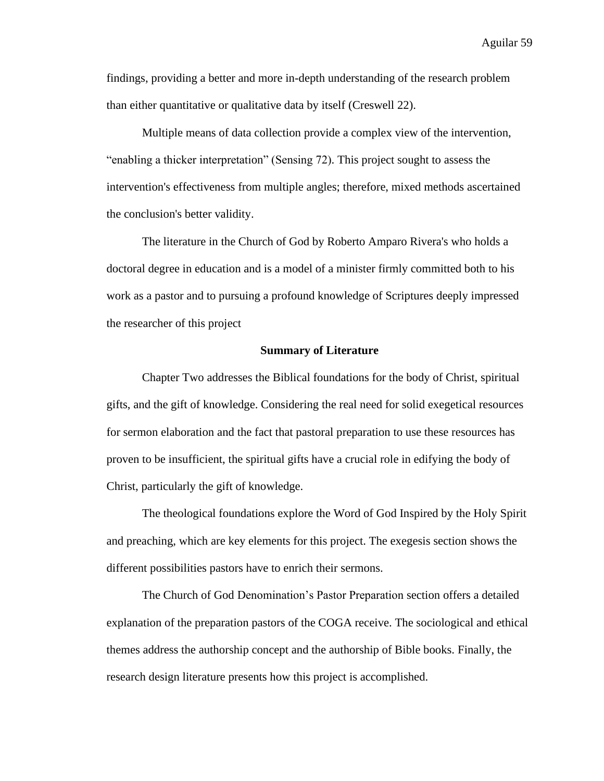findings, providing a better and more in-depth understanding of the research problem than either quantitative or qualitative data by itself (Creswell 22).

Multiple means of data collection provide a complex view of the intervention, "enabling a thicker interpretation" (Sensing 72). This project sought to assess the intervention's effectiveness from multiple angles; therefore, mixed methods ascertained the conclusion's better validity.

The literature in the Church of God by Roberto Amparo Rivera's who holds a doctoral degree in education and is a model of a minister firmly committed both to his work as a pastor and to pursuing a profound knowledge of Scriptures deeply impressed the researcher of this project

### **Summary of Literature**

Chapter Two addresses the Biblical foundations for the body of Christ, spiritual gifts, and the gift of knowledge. Considering the real need for solid exegetical resources for sermon elaboration and the fact that pastoral preparation to use these resources has proven to be insufficient, the spiritual gifts have a crucial role in edifying the body of Christ, particularly the gift of knowledge.

The theological foundations explore the Word of God Inspired by the Holy Spirit and preaching, which are key elements for this project. The exegesis section shows the different possibilities pastors have to enrich their sermons.

The Church of God Denomination's Pastor Preparation section offers a detailed explanation of the preparation pastors of the COGA receive. The sociological and ethical themes address the authorship concept and the authorship of Bible books. Finally, the research design literature presents how this project is accomplished.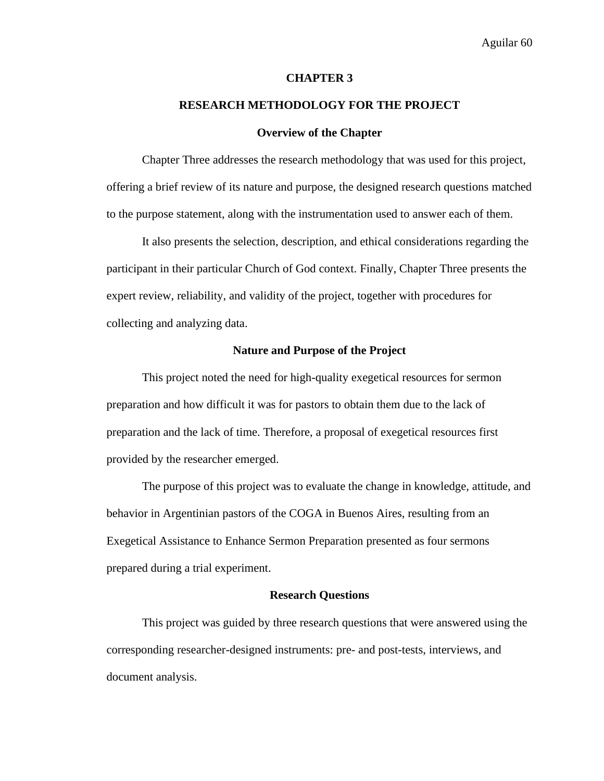### **CHAPTER 3**

# **RESEARCH METHODOLOGY FOR THE PROJECT**

### **Overview of the Chapter**

Chapter Three addresses the research methodology that was used for this project, offering a brief review of its nature and purpose, the designed research questions matched to the purpose statement, along with the instrumentation used to answer each of them.

It also presents the selection, description, and ethical considerations regarding the participant in their particular Church of God context. Finally, Chapter Three presents the expert review, reliability, and validity of the project, together with procedures for collecting and analyzing data.

## **Nature and Purpose of the Project**

This project noted the need for high-quality exegetical resources for sermon preparation and how difficult it was for pastors to obtain them due to the lack of preparation and the lack of time. Therefore, a proposal of exegetical resources first provided by the researcher emerged.

The purpose of this project was to evaluate the change in knowledge, attitude, and behavior in Argentinian pastors of the COGA in Buenos Aires, resulting from an Exegetical Assistance to Enhance Sermon Preparation presented as four sermons prepared during a trial experiment.

#### **Research Questions**

This project was guided by three research questions that were answered using the corresponding researcher-designed instruments: pre- and post-tests, interviews, and document analysis.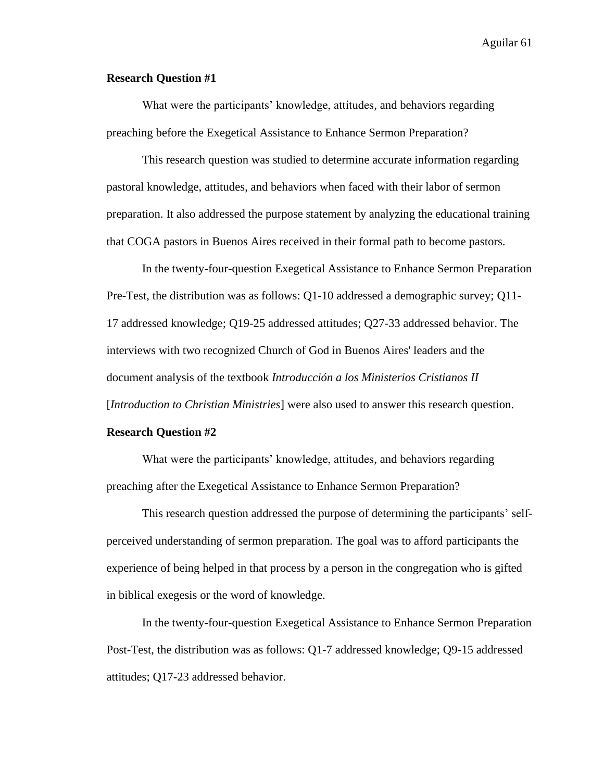# **Research Question #1**

What were the participants' knowledge, attitudes, and behaviors regarding preaching before the Exegetical Assistance to Enhance Sermon Preparation?

This research question was studied to determine accurate information regarding pastoral knowledge, attitudes, and behaviors when faced with their labor of sermon preparation. It also addressed the purpose statement by analyzing the educational training that COGA pastors in Buenos Aires received in their formal path to become pastors.

In the twenty-four-question Exegetical Assistance to Enhance Sermon Preparation Pre-Test, the distribution was as follows: Q1-10 addressed a demographic survey; Q11- 17 addressed knowledge; Q19-25 addressed attitudes; Q27-33 addressed behavior. The interviews with two recognized Church of God in Buenos Aires' leaders and the document analysis of the textbook *Introducción a los Ministerios Cristianos II*  [*Introduction to Christian Ministries*] were also used to answer this research question.

# **Research Question #2**

What were the participants' knowledge, attitudes, and behaviors regarding preaching after the Exegetical Assistance to Enhance Sermon Preparation?

This research question addressed the purpose of determining the participants' selfperceived understanding of sermon preparation. The goal was to afford participants the experience of being helped in that process by a person in the congregation who is gifted in biblical exegesis or the word of knowledge.

In the twenty-four-question Exegetical Assistance to Enhance Sermon Preparation Post-Test, the distribution was as follows: Q1-7 addressed knowledge; Q9-15 addressed attitudes; Q17-23 addressed behavior.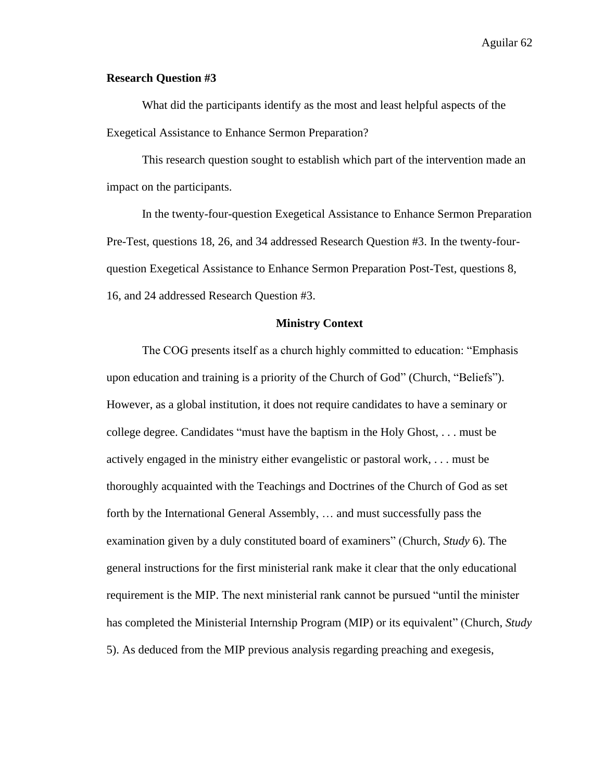# **Research Question #3**

What did the participants identify as the most and least helpful aspects of the Exegetical Assistance to Enhance Sermon Preparation?

This research question sought to establish which part of the intervention made an impact on the participants.

In the twenty-four-question Exegetical Assistance to Enhance Sermon Preparation Pre-Test, questions 18, 26, and 34 addressed Research Question #3. In the twenty-fourquestion Exegetical Assistance to Enhance Sermon Preparation Post-Test, questions 8, 16, and 24 addressed Research Question #3.

### **Ministry Context**

The COG presents itself as a church highly committed to education: "Emphasis upon education and training is a priority of the Church of God" (Church, "Beliefs"). However, as a global institution, it does not require candidates to have a seminary or college degree. Candidates "must have the baptism in the Holy Ghost, . . . must be actively engaged in the ministry either evangelistic or pastoral work, . . . must be thoroughly acquainted with the Teachings and Doctrines of the Church of God as set forth by the International General Assembly, … and must successfully pass the examination given by a duly constituted board of examiners" (Church, *Study* 6). The general instructions for the first ministerial rank make it clear that the only educational requirement is the MIP. The next ministerial rank cannot be pursued "until the minister has completed the Ministerial Internship Program (MIP) or its equivalent" (Church, *Study* 5). As deduced from the MIP previous analysis regarding preaching and exegesis,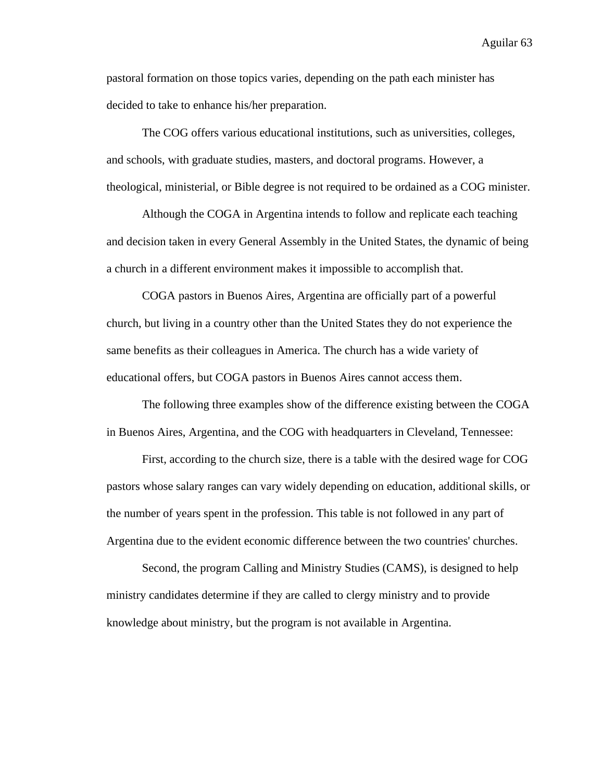pastoral formation on those topics varies, depending on the path each minister has decided to take to enhance his/her preparation.

The COG offers various educational institutions, such as universities, colleges, and schools, with graduate studies, masters, and doctoral programs. However, a theological, ministerial, or Bible degree is not required to be ordained as a COG minister.

Although the COGA in Argentina intends to follow and replicate each teaching and decision taken in every General Assembly in the United States, the dynamic of being a church in a different environment makes it impossible to accomplish that.

COGA pastors in Buenos Aires, Argentina are officially part of a powerful church, but living in a country other than the United States they do not experience the same benefits as their colleagues in America. The church has a wide variety of educational offers, but COGA pastors in Buenos Aires cannot access them.

The following three examples show of the difference existing between the COGA in Buenos Aires, Argentina, and the COG with headquarters in Cleveland, Tennessee:

First, according to the church size, there is a table with the desired wage for COG pastors whose salary ranges can vary widely depending on education, additional skills, or the number of years spent in the profession. This table is not followed in any part of Argentina due to the evident economic difference between the two countries' churches.

Second, the program Calling and Ministry Studies (CAMS), is designed to help ministry candidates determine if they are called to clergy ministry and to provide knowledge about ministry, but the program is not available in Argentina.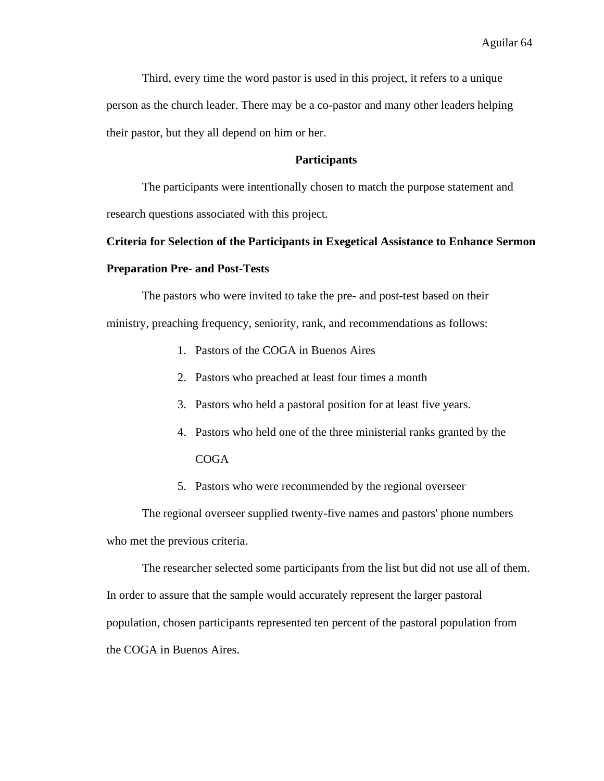Third, every time the word pastor is used in this project, it refers to a unique person as the church leader. There may be a co-pastor and many other leaders helping their pastor, but they all depend on him or her.

# **Participants**

The participants were intentionally chosen to match the purpose statement and research questions associated with this project.

# **Criteria for Selection of the Participants in Exegetical Assistance to Enhance Sermon Preparation Pre- and Post-Tests**

The pastors who were invited to take the pre- and post-test based on their ministry, preaching frequency, seniority, rank, and recommendations as follows:

- 1. Pastors of the COGA in Buenos Aires
- 2. Pastors who preached at least four times a month
- 3. Pastors who held a pastoral position for at least five years.
- 4. Pastors who held one of the three ministerial ranks granted by the COGA
- 5. Pastors who were recommended by the regional overseer

The regional overseer supplied twenty-five names and pastors' phone numbers who met the previous criteria.

The researcher selected some participants from the list but did not use all of them. In order to assure that the sample would accurately represent the larger pastoral population, chosen participants represented ten percent of the pastoral population from the COGA in Buenos Aires.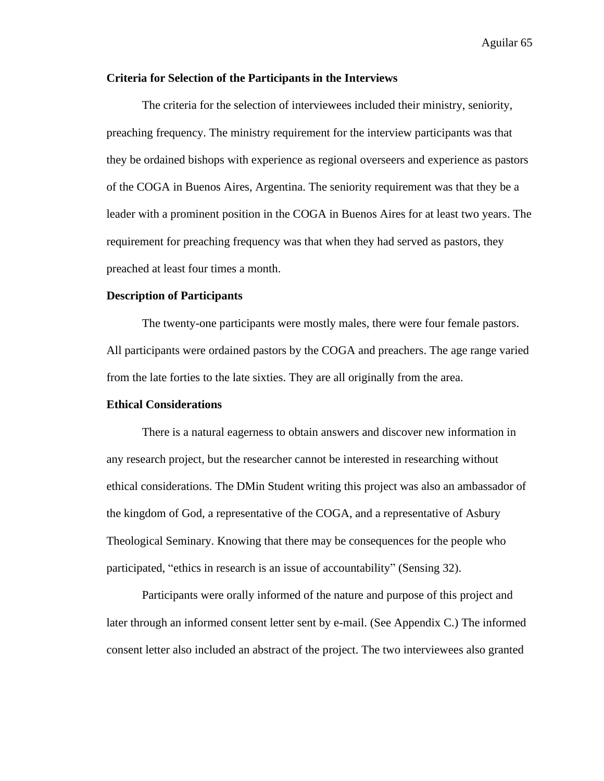# **Criteria for Selection of the Participants in the Interviews**

The criteria for the selection of interviewees included their ministry, seniority, preaching frequency. The ministry requirement for the interview participants was that they be ordained bishops with experience as regional overseers and experience as pastors of the COGA in Buenos Aires, Argentina. The seniority requirement was that they be a leader with a prominent position in the COGA in Buenos Aires for at least two years. The requirement for preaching frequency was that when they had served as pastors, they preached at least four times a month.

# **Description of Participants**

The twenty-one participants were mostly males, there were four female pastors. All participants were ordained pastors by the COGA and preachers. The age range varied from the late forties to the late sixties. They are all originally from the area.

### **Ethical Considerations**

There is a natural eagerness to obtain answers and discover new information in any research project, but the researcher cannot be interested in researching without ethical considerations. The DMin Student writing this project was also an ambassador of the kingdom of God, a representative of the COGA, and a representative of Asbury Theological Seminary. Knowing that there may be consequences for the people who participated, "ethics in research is an issue of accountability" (Sensing 32).

Participants were orally informed of the nature and purpose of this project and later through an informed consent letter sent by e-mail. (See Appendix C.) The informed consent letter also included an abstract of the project. The two interviewees also granted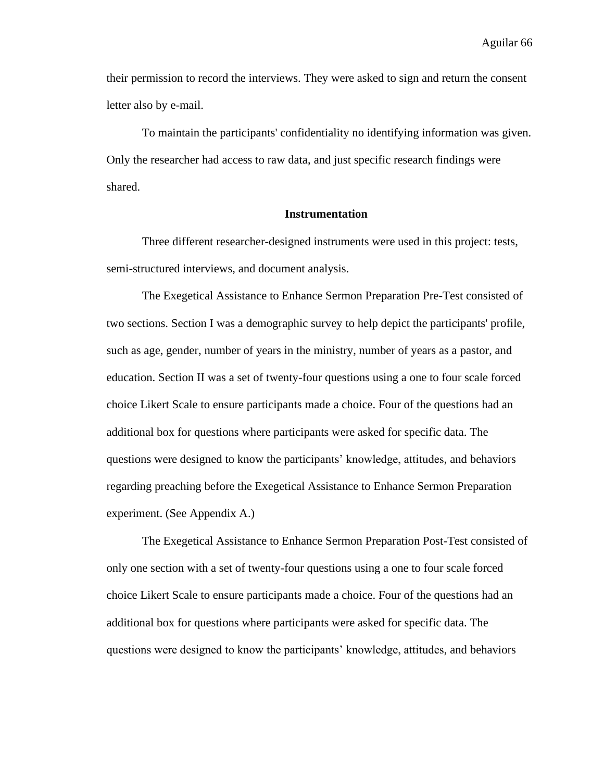their permission to record the interviews. They were asked to sign and return the consent letter also by e-mail.

To maintain the participants' confidentiality no identifying information was given. Only the researcher had access to raw data, and just specific research findings were shared.

# **Instrumentation**

Three different researcher-designed instruments were used in this project: tests, semi-structured interviews, and document analysis.

The Exegetical Assistance to Enhance Sermon Preparation Pre-Test consisted of two sections. Section I was a demographic survey to help depict the participants' profile, such as age, gender, number of years in the ministry, number of years as a pastor, and education. Section II was a set of twenty-four questions using a one to four scale forced choice Likert Scale to ensure participants made a choice. Four of the questions had an additional box for questions where participants were asked for specific data. The questions were designed to know the participants' knowledge, attitudes, and behaviors regarding preaching before the Exegetical Assistance to Enhance Sermon Preparation experiment. (See Appendix A.)

The Exegetical Assistance to Enhance Sermon Preparation Post-Test consisted of only one section with a set of twenty-four questions using a one to four scale forced choice Likert Scale to ensure participants made a choice. Four of the questions had an additional box for questions where participants were asked for specific data. The questions were designed to know the participants' knowledge, attitudes, and behaviors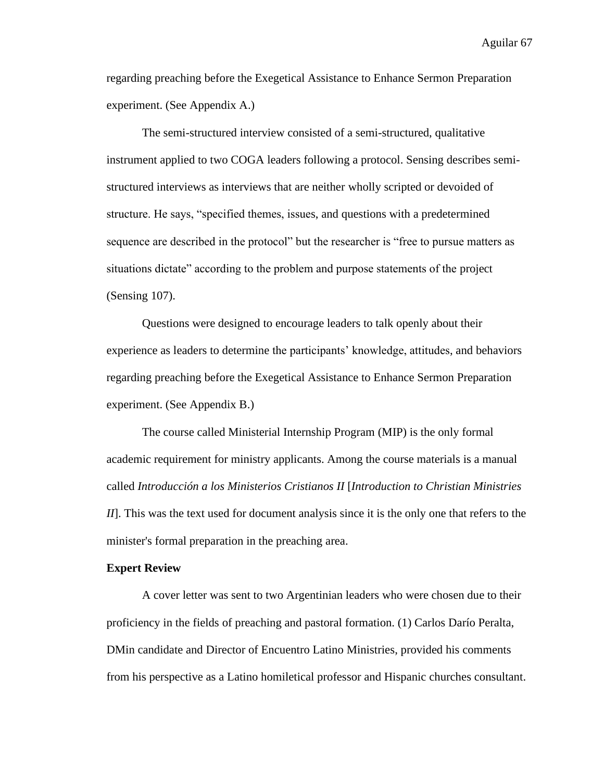regarding preaching before the Exegetical Assistance to Enhance Sermon Preparation experiment. (See Appendix A.)

The semi-structured interview consisted of a semi-structured, qualitative instrument applied to two COGA leaders following a protocol. Sensing describes semistructured interviews as interviews that are neither wholly scripted or devoided of structure. He says, "specified themes, issues, and questions with a predetermined sequence are described in the protocol" but the researcher is "free to pursue matters as situations dictate" according to the problem and purpose statements of the project (Sensing 107).

Questions were designed to encourage leaders to talk openly about their experience as leaders to determine the participants' knowledge, attitudes, and behaviors regarding preaching before the Exegetical Assistance to Enhance Sermon Preparation experiment. (See Appendix B.)

The course called Ministerial Internship Program (MIP) is the only formal academic requirement for ministry applicants. Among the course materials is a manual called *Introducción a los Ministerios Cristianos II* [*Introduction to Christian Ministries II*]. This was the text used for document analysis since it is the only one that refers to the minister's formal preparation in the preaching area.

### **Expert Review**

A cover letter was sent to two Argentinian leaders who were chosen due to their proficiency in the fields of preaching and pastoral formation. (1) Carlos Darío Peralta, DMin candidate and Director of Encuentro Latino Ministries, provided his comments from his perspective as a Latino homiletical professor and Hispanic churches consultant.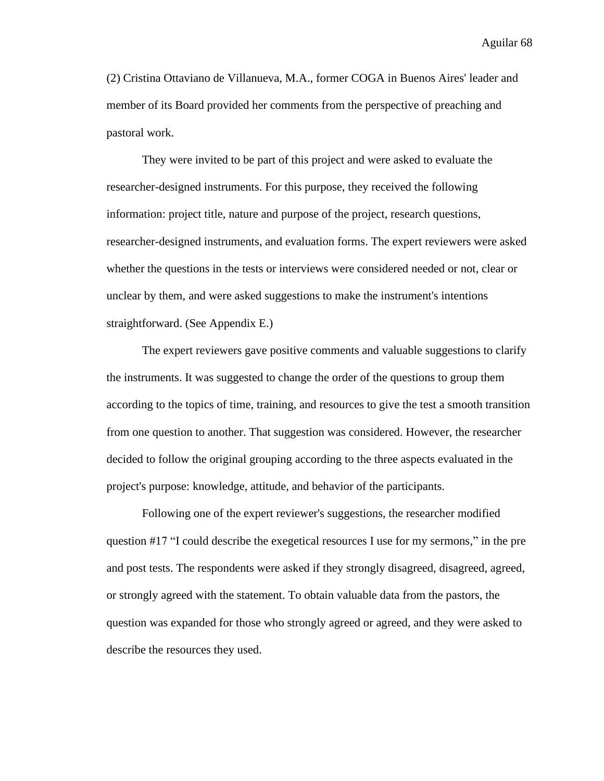(2) Cristina Ottaviano de Villanueva, M.A., former COGA in Buenos Aires' leader and member of its Board provided her comments from the perspective of preaching and pastoral work.

They were invited to be part of this project and were asked to evaluate the researcher-designed instruments. For this purpose, they received the following information: project title, nature and purpose of the project, research questions, researcher-designed instruments, and evaluation forms. The expert reviewers were asked whether the questions in the tests or interviews were considered needed or not, clear or unclear by them, and were asked suggestions to make the instrument's intentions straightforward. (See Appendix E.)

The expert reviewers gave positive comments and valuable suggestions to clarify the instruments. It was suggested to change the order of the questions to group them according to the topics of time, training, and resources to give the test a smooth transition from one question to another. That suggestion was considered. However, the researcher decided to follow the original grouping according to the three aspects evaluated in the project's purpose: knowledge, attitude, and behavior of the participants.

Following one of the expert reviewer's suggestions, the researcher modified question #17 "I could describe the exegetical resources I use for my sermons," in the pre and post tests. The respondents were asked if they strongly disagreed, disagreed, agreed, or strongly agreed with the statement. To obtain valuable data from the pastors, the question was expanded for those who strongly agreed or agreed, and they were asked to describe the resources they used.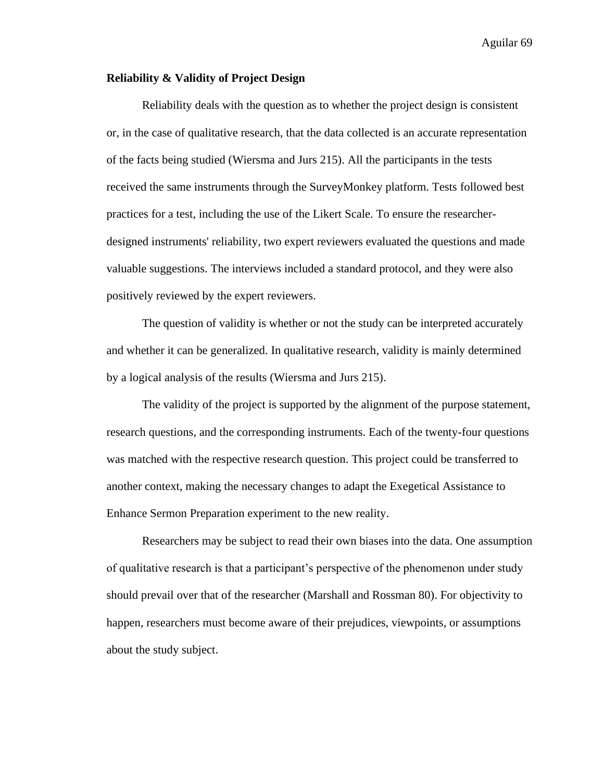# **Reliability & Validity of Project Design**

Reliability deals with the question as to whether the project design is consistent or, in the case of qualitative research, that the data collected is an accurate representation of the facts being studied (Wiersma and Jurs 215). All the participants in the tests received the same instruments through the SurveyMonkey platform. Tests followed best practices for a test, including the use of the Likert Scale. To ensure the researcherdesigned instruments' reliability, two expert reviewers evaluated the questions and made valuable suggestions. The interviews included a standard protocol, and they were also positively reviewed by the expert reviewers.

The question of validity is whether or not the study can be interpreted accurately and whether it can be generalized. In qualitative research, validity is mainly determined by a logical analysis of the results (Wiersma and Jurs 215).

The validity of the project is supported by the alignment of the purpose statement, research questions, and the corresponding instruments. Each of the twenty-four questions was matched with the respective research question. This project could be transferred to another context, making the necessary changes to adapt the Exegetical Assistance to Enhance Sermon Preparation experiment to the new reality.

Researchers may be subject to read their own biases into the data. One assumption of qualitative research is that a participant's perspective of the phenomenon under study should prevail over that of the researcher (Marshall and Rossman 80). For objectivity to happen, researchers must become aware of their prejudices, viewpoints, or assumptions about the study subject.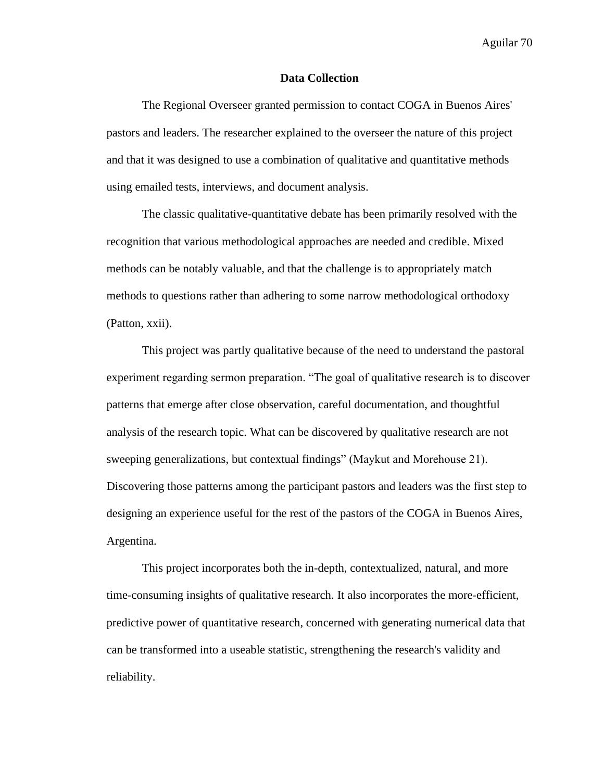### **Data Collection**

The Regional Overseer granted permission to contact COGA in Buenos Aires' pastors and leaders. The researcher explained to the overseer the nature of this project and that it was designed to use a combination of qualitative and quantitative methods using emailed tests, interviews, and document analysis.

The classic qualitative-quantitative debate has been primarily resolved with the recognition that various methodological approaches are needed and credible. Mixed methods can be notably valuable, and that the challenge is to appropriately match methods to questions rather than adhering to some narrow methodological orthodoxy (Patton, xxii).

This project was partly qualitative because of the need to understand the pastoral experiment regarding sermon preparation. "The goal of qualitative research is to discover patterns that emerge after close observation, careful documentation, and thoughtful analysis of the research topic. What can be discovered by qualitative research are not sweeping generalizations, but contextual findings" (Maykut and Morehouse 21). Discovering those patterns among the participant pastors and leaders was the first step to designing an experience useful for the rest of the pastors of the COGA in Buenos Aires, Argentina.

This project incorporates both the in-depth, contextualized, natural, and more time-consuming insights of qualitative research. It also incorporates the more-efficient, predictive power of quantitative research, concerned with generating numerical data that can be transformed into a useable statistic, strengthening the research's validity and reliability.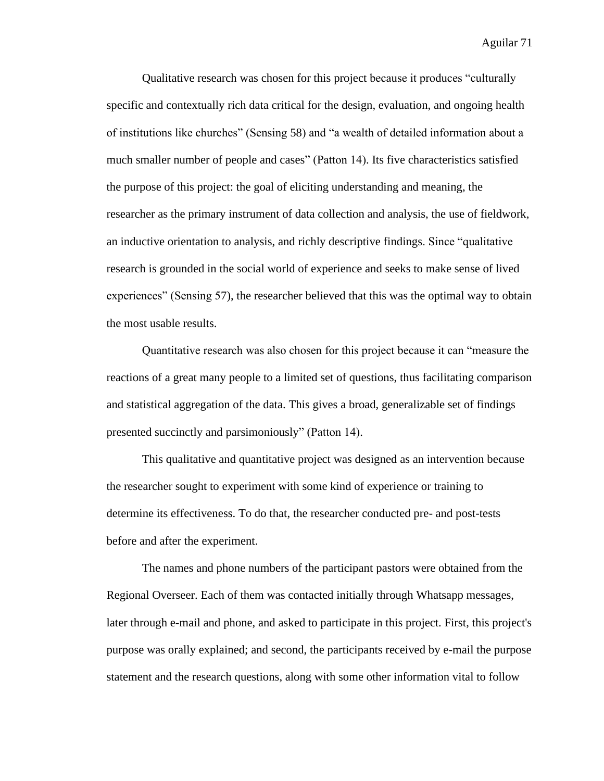Qualitative research was chosen for this project because it produces "culturally specific and contextually rich data critical for the design, evaluation, and ongoing health of institutions like churches" (Sensing 58) and "a wealth of detailed information about a much smaller number of people and cases" (Patton 14). Its five characteristics satisfied the purpose of this project: the goal of eliciting understanding and meaning, the researcher as the primary instrument of data collection and analysis, the use of fieldwork, an inductive orientation to analysis, and richly descriptive findings. Since "qualitative research is grounded in the social world of experience and seeks to make sense of lived experiences" (Sensing 57), the researcher believed that this was the optimal way to obtain the most usable results.

Quantitative research was also chosen for this project because it can "measure the reactions of a great many people to a limited set of questions, thus facilitating comparison and statistical aggregation of the data. This gives a broad, generalizable set of findings presented succinctly and parsimoniously" (Patton 14).

This qualitative and quantitative project was designed as an intervention because the researcher sought to experiment with some kind of experience or training to determine its effectiveness. To do that, the researcher conducted pre- and post-tests before and after the experiment.

The names and phone numbers of the participant pastors were obtained from the Regional Overseer. Each of them was contacted initially through Whatsapp messages, later through e-mail and phone, and asked to participate in this project. First, this project's purpose was orally explained; and second, the participants received by e-mail the purpose statement and the research questions, along with some other information vital to follow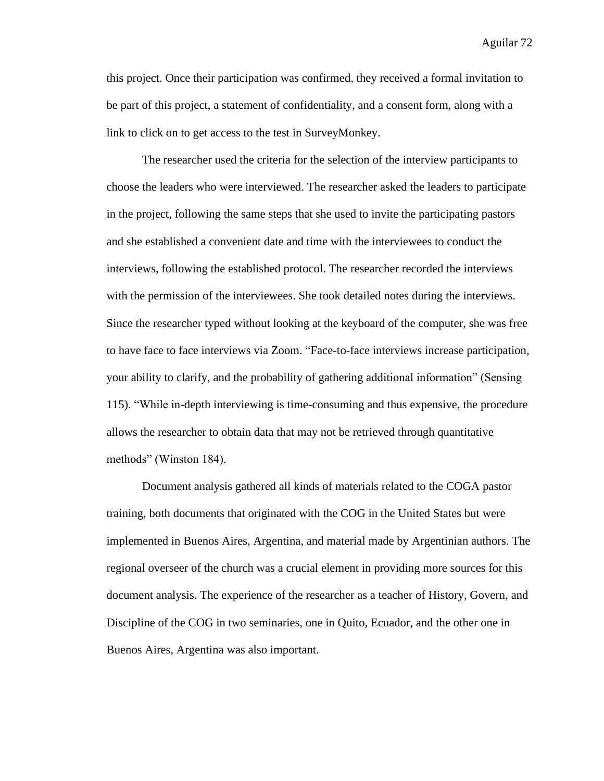this project. Once their participation was confirmed, they received a formal invitation to be part of this project, a statement of confidentiality, and a consent form, along with a link to click on to get access to the test in SurveyMonkey.

The researcher used the criteria for the selection of the interview participants to choose the leaders who were interviewed. The researcher asked the leaders to participate in the project, following the same steps that she used to invite the participating pastors and she established a convenient date and time with the interviewees to conduct the interviews, following the established protocol. The researcher recorded the interviews with the permission of the interviewees. She took detailed notes during the interviews. Since the researcher typed without looking at the keyboard of the computer, she was free to have face to face interviews via Zoom. "Face-to-face interviews increase participation, your ability to clarify, and the probability of gathering additional information" (Sensing 115). "While in-depth interviewing is time-consuming and thus expensive, the procedure allows the researcher to obtain data that may not be retrieved through quantitative methods" (Winston 184).

Document analysis gathered all kinds of materials related to the COGA pastor training, both documents that originated with the COG in the United States but were implemented in Buenos Aires, Argentina, and material made by Argentinian authors. The regional overseer of the church was a crucial element in providing more sources for this document analysis. The experience of the researcher as a teacher of History, Govern, and Discipline of the COG in two seminaries, one in Quito, Ecuador, and the other one in Buenos Aires, Argentina was also important.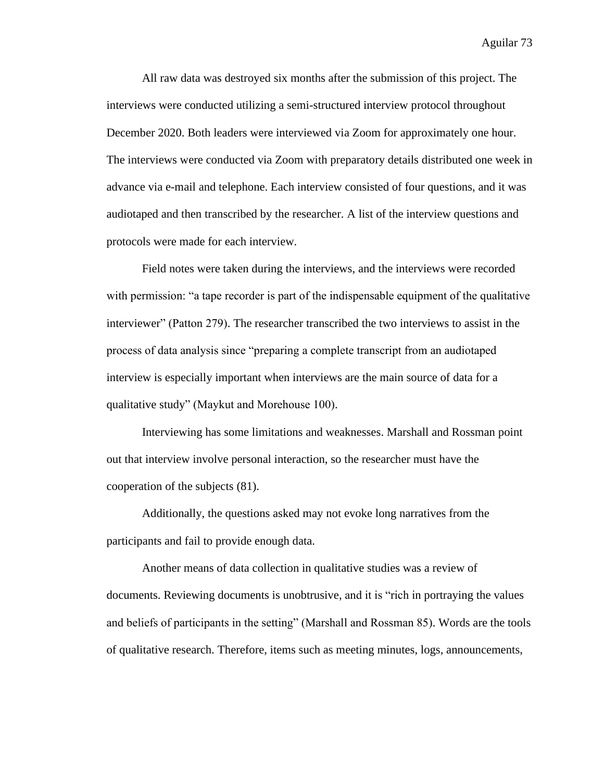All raw data was destroyed six months after the submission of this project. The interviews were conducted utilizing a semi-structured interview protocol throughout December 2020. Both leaders were interviewed via Zoom for approximately one hour. The interviews were conducted via Zoom with preparatory details distributed one week in advance via e-mail and telephone. Each interview consisted of four questions, and it was audiotaped and then transcribed by the researcher. A list of the interview questions and protocols were made for each interview.

Field notes were taken during the interviews, and the interviews were recorded with permission: "a tape recorder is part of the indispensable equipment of the qualitative interviewer" (Patton 279). The researcher transcribed the two interviews to assist in the process of data analysis since "preparing a complete transcript from an audiotaped interview is especially important when interviews are the main source of data for a qualitative study" (Maykut and Morehouse 100).

Interviewing has some limitations and weaknesses. Marshall and Rossman point out that interview involve personal interaction, so the researcher must have the cooperation of the subjects (81).

Additionally, the questions asked may not evoke long narratives from the participants and fail to provide enough data.

Another means of data collection in qualitative studies was a review of documents. Reviewing documents is unobtrusive, and it is "rich in portraying the values and beliefs of participants in the setting" (Marshall and Rossman 85). Words are the tools of qualitative research. Therefore, items such as meeting minutes, logs, announcements,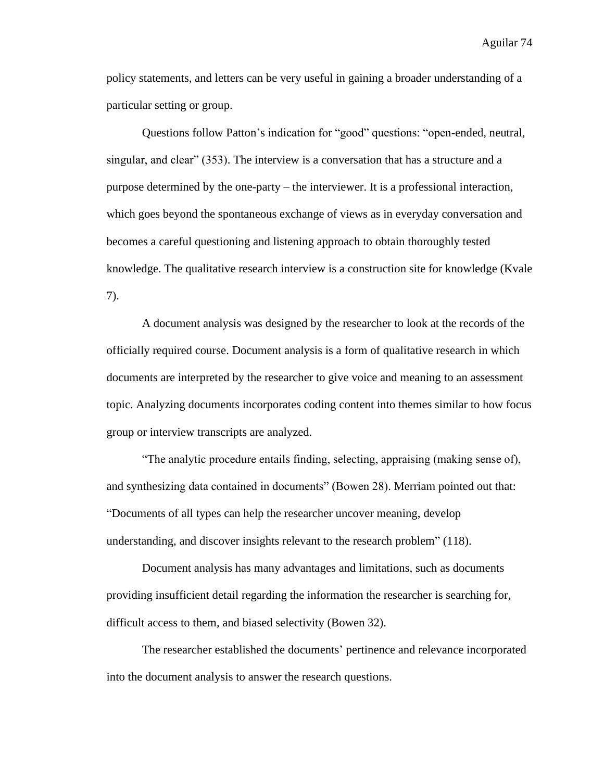policy statements, and letters can be very useful in gaining a broader understanding of a particular setting or group.

Questions follow Patton's indication for "good" questions: "open-ended, neutral, singular, and clear" (353). The interview is a conversation that has a structure and a purpose determined by the one-party – the interviewer. It is a professional interaction, which goes beyond the spontaneous exchange of views as in everyday conversation and becomes a careful questioning and listening approach to obtain thoroughly tested knowledge. The qualitative research interview is a construction site for knowledge (Kvale 7).

A document analysis was designed by the researcher to look at the records of the officially required course. Document analysis is a form of qualitative research in which documents are interpreted by the researcher to give voice and meaning to an assessment topic. Analyzing documents incorporates coding content into themes similar to how focus group or interview transcripts are analyzed.

"The analytic procedure entails finding, selecting, appraising (making sense of), and synthesizing data contained in documents" (Bowen 28). Merriam pointed out that: "Documents of all types can help the researcher uncover meaning, develop understanding, and discover insights relevant to the research problem" (118).

Document analysis has many advantages and limitations, such as documents providing insufficient detail regarding the information the researcher is searching for, difficult access to them, and biased selectivity (Bowen 32).

The researcher established the documents' pertinence and relevance incorporated into the document analysis to answer the research questions.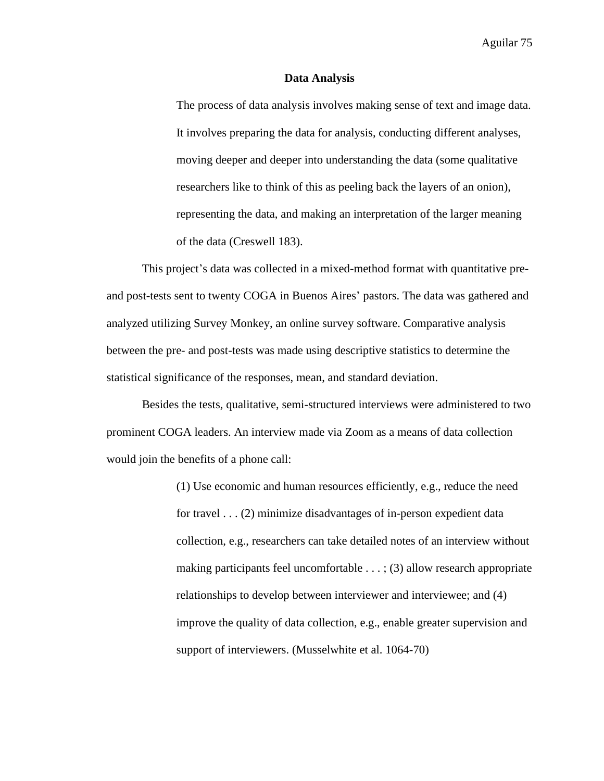### **Data Analysis**

The process of data analysis involves making sense of text and image data. It involves preparing the data for analysis, conducting different analyses, moving deeper and deeper into understanding the data (some qualitative researchers like to think of this as peeling back the layers of an onion), representing the data, and making an interpretation of the larger meaning of the data (Creswell 183).

This project's data was collected in a mixed-method format with quantitative preand post-tests sent to twenty COGA in Buenos Aires' pastors. The data was gathered and analyzed utilizing Survey Monkey, an online survey software. Comparative analysis between the pre- and post-tests was made using descriptive statistics to determine the statistical significance of the responses, mean, and standard deviation.

Besides the tests, qualitative, semi-structured interviews were administered to two prominent COGA leaders. An interview made via Zoom as a means of data collection would join the benefits of a phone call:

> (1) Use economic and human resources efficiently, e.g., reduce the need for travel . . . (2) minimize disadvantages of in-person expedient data collection, e.g., researchers can take detailed notes of an interview without making participants feel uncomfortable . . . ; (3) allow research appropriate relationships to develop between interviewer and interviewee; and (4) improve the quality of data collection, e.g., enable greater supervision and support of interviewers. (Musselwhite et al. 1064-70)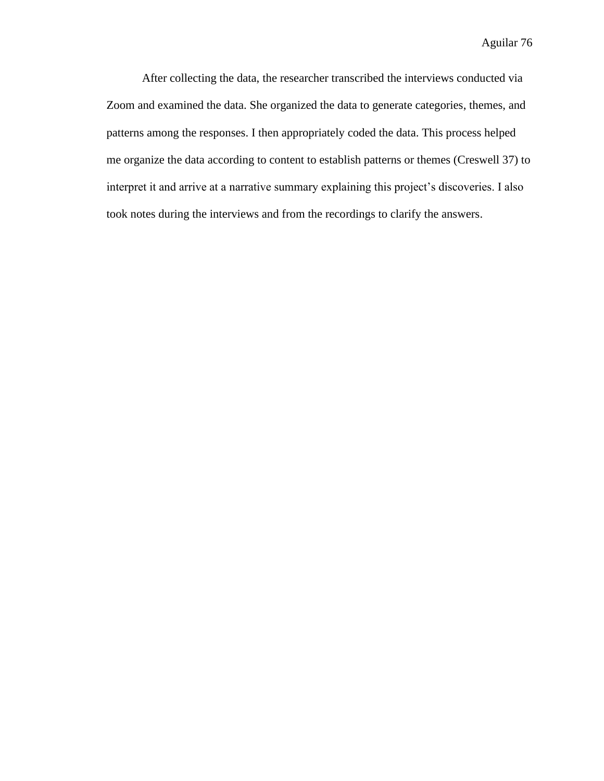After collecting the data, the researcher transcribed the interviews conducted via Zoom and examined the data. She organized the data to generate categories, themes, and patterns among the responses. I then appropriately coded the data. This process helped me organize the data according to content to establish patterns or themes (Creswell 37) to interpret it and arrive at a narrative summary explaining this project's discoveries. I also took notes during the interviews and from the recordings to clarify the answers.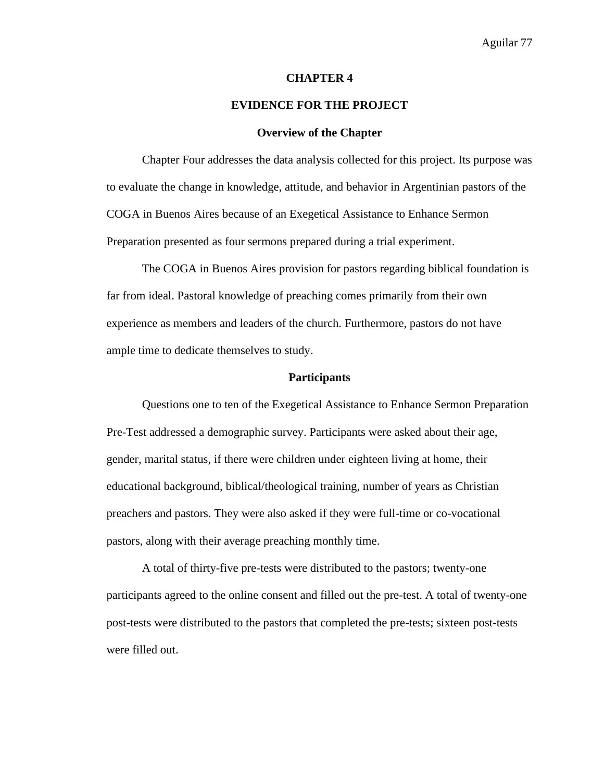### **CHAPTER 4**

### **EVIDENCE FOR THE PROJECT**

### **Overview of the Chapter**

Chapter Four addresses the data analysis collected for this project. Its purpose was to evaluate the change in knowledge, attitude, and behavior in Argentinian pastors of the COGA in Buenos Aires because of an Exegetical Assistance to Enhance Sermon Preparation presented as four sermons prepared during a trial experiment.

The COGA in Buenos Aires provision for pastors regarding biblical foundation is far from ideal. Pastoral knowledge of preaching comes primarily from their own experience as members and leaders of the church. Furthermore, pastors do not have ample time to dedicate themselves to study.

### **Participants**

Questions one to ten of the Exegetical Assistance to Enhance Sermon Preparation Pre-Test addressed a demographic survey. Participants were asked about their age, gender, marital status, if there were children under eighteen living at home, their educational background, biblical/theological training, number of years as Christian preachers and pastors. They were also asked if they were full-time or co-vocational pastors, along with their average preaching monthly time.

A total of thirty-five pre-tests were distributed to the pastors; twenty-one participants agreed to the online consent and filled out the pre-test. A total of twenty-one post-tests were distributed to the pastors that completed the pre-tests; sixteen post-tests were filled out.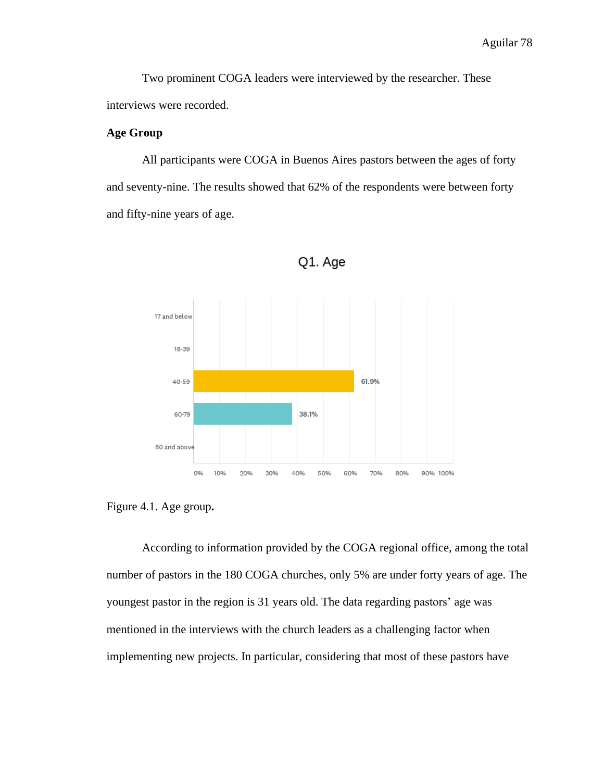Two prominent COGA leaders were interviewed by the researcher. These interviews were recorded.

# **Age Group**

All participants were COGA in Buenos Aires pastors between the ages of forty and seventy-nine. The results showed that 62% of the respondents were between forty and fifty-nine years of age.



Q1. Age

According to information provided by the COGA regional office, among the total number of pastors in the 180 COGA churches, only 5% are under forty years of age. The youngest pastor in the region is 31 years old. The data regarding pastors' age was mentioned in the interviews with the church leaders as a challenging factor when implementing new projects. In particular, considering that most of these pastors have

Figure 4.1. Age group**.**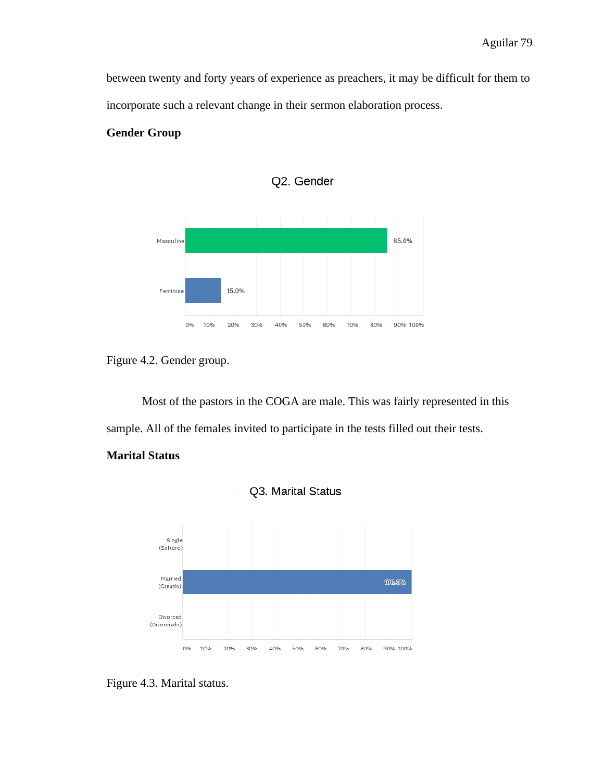between twenty and forty years of experience as preachers, it may be difficult for them to incorporate such a relevant change in their sermon elaboration process.

# **Gender Group**



Q2. Gender

Most of the pastors in the COGA are male. This was fairly represented in this sample. All of the females invited to participate in the tests filled out their tests.

# **Marital Status**





Figure 4.2. Gender group.

Figure 4.3. Marital status.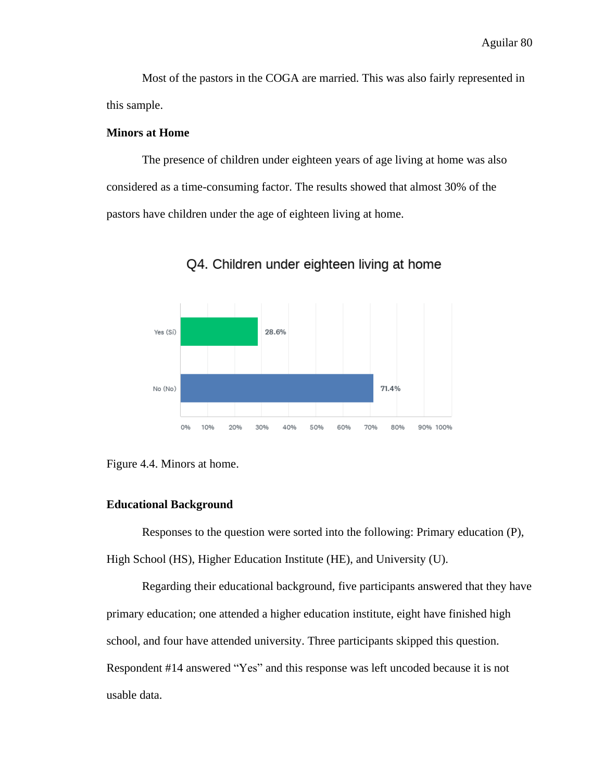Most of the pastors in the COGA are married. This was also fairly represented in this sample.

### **Minors at Home**

The presence of children under eighteen years of age living at home was also considered as a time-consuming factor. The results showed that almost 30% of the pastors have children under the age of eighteen living at home.



Q4. Children under eighteen living at home

# **Educational Background**

Responses to the question were sorted into the following: Primary education (P), High School (HS), Higher Education Institute (HE), and University (U).

Regarding their educational background, five participants answered that they have primary education; one attended a higher education institute, eight have finished high school, and four have attended university. Three participants skipped this question. Respondent #14 answered "Yes" and this response was left uncoded because it is not usable data.

Figure 4.4. Minors at home.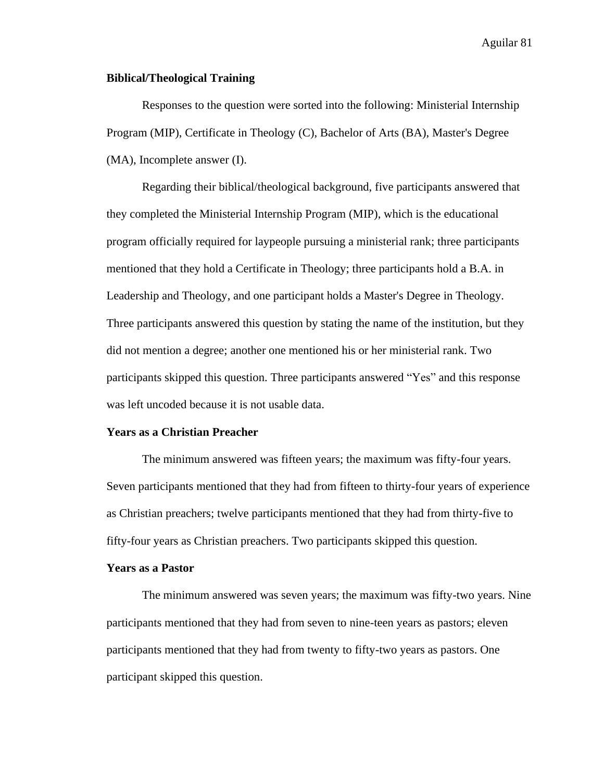### **Biblical/Theological Training**

Responses to the question were sorted into the following: Ministerial Internship Program (MIP), Certificate in Theology (C), Bachelor of Arts (BA), Master's Degree (MA), Incomplete answer (I).

Regarding their biblical/theological background, five participants answered that they completed the Ministerial Internship Program (MIP), which is the educational program officially required for laypeople pursuing a ministerial rank; three participants mentioned that they hold a Certificate in Theology; three participants hold a B.A. in Leadership and Theology, and one participant holds a Master's Degree in Theology. Three participants answered this question by stating the name of the institution, but they did not mention a degree; another one mentioned his or her ministerial rank. Two participants skipped this question. Three participants answered "Yes" and this response was left uncoded because it is not usable data.

#### **Years as a Christian Preacher**

The minimum answered was fifteen years; the maximum was fifty-four years. Seven participants mentioned that they had from fifteen to thirty-four years of experience as Christian preachers; twelve participants mentioned that they had from thirty-five to fifty-four years as Christian preachers. Two participants skipped this question.

#### **Years as a Pastor**

The minimum answered was seven years; the maximum was fifty-two years. Nine participants mentioned that they had from seven to nine-teen years as pastors; eleven participants mentioned that they had from twenty to fifty-two years as pastors. One participant skipped this question.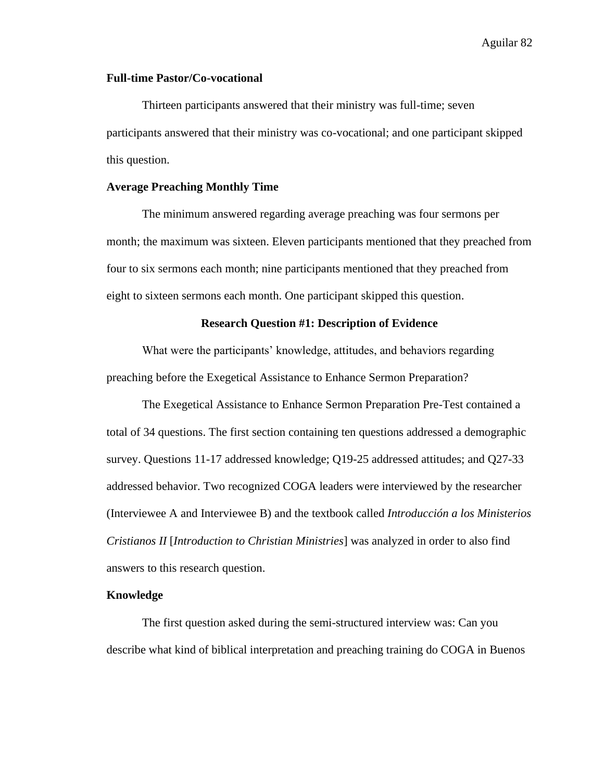# **Full-time Pastor/Co-vocational**

Thirteen participants answered that their ministry was full-time; seven participants answered that their ministry was co-vocational; and one participant skipped this question.

### **Average Preaching Monthly Time**

The minimum answered regarding average preaching was four sermons per month; the maximum was sixteen. Eleven participants mentioned that they preached from four to six sermons each month; nine participants mentioned that they preached from eight to sixteen sermons each month. One participant skipped this question.

### **Research Question #1: Description of Evidence**

What were the participants' knowledge, attitudes, and behaviors regarding preaching before the Exegetical Assistance to Enhance Sermon Preparation?

The Exegetical Assistance to Enhance Sermon Preparation Pre-Test contained a total of 34 questions. The first section containing ten questions addressed a demographic survey. Questions 11-17 addressed knowledge; Q19-25 addressed attitudes; and Q27-33 addressed behavior. Two recognized COGA leaders were interviewed by the researcher (Interviewee A and Interviewee B) and the textbook called *Introducción a los Ministerios Cristianos II* [*Introduction to Christian Ministries*] was analyzed in order to also find answers to this research question.

### **Knowledge**

The first question asked during the semi-structured interview was: Can you describe what kind of biblical interpretation and preaching training do COGA in Buenos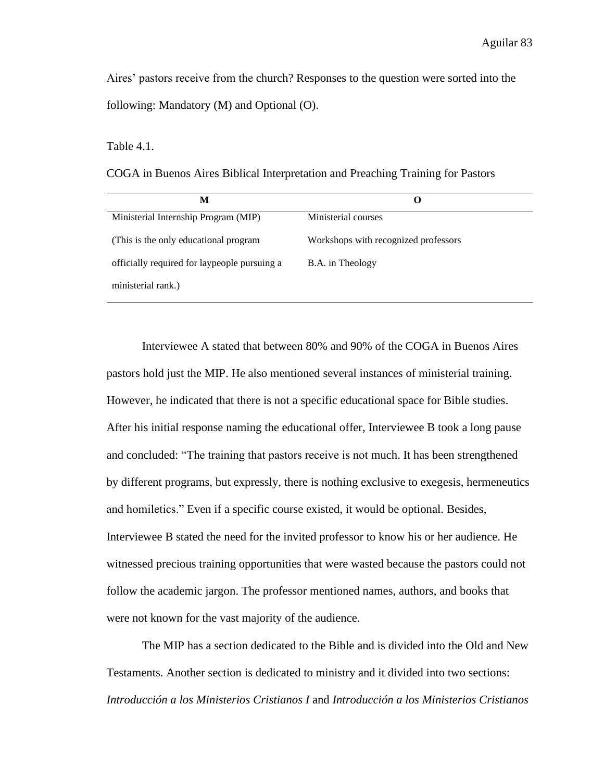Aires' pastors receive from the church? Responses to the question were sorted into the following: Mandatory (M) and Optional (O).

### Table 4.1.

COGA in Buenos Aires Biblical Interpretation and Preaching Training for Pastors

| M                                            | O                                    |
|----------------------------------------------|--------------------------------------|
| Ministerial Internship Program (MIP)         | Ministerial courses                  |
| (This is the only educational program)       | Workshops with recognized professors |
| officially required for laypeople pursuing a | B.A. in Theology                     |
| ministerial rank.)                           |                                      |

Interviewee A stated that between 80% and 90% of the COGA in Buenos Aires pastors hold just the MIP. He also mentioned several instances of ministerial training. However, he indicated that there is not a specific educational space for Bible studies. After his initial response naming the educational offer, Interviewee B took a long pause and concluded: "The training that pastors receive is not much. It has been strengthened by different programs, but expressly, there is nothing exclusive to exegesis, hermeneutics and homiletics." Even if a specific course existed, it would be optional. Besides, Interviewee B stated the need for the invited professor to know his or her audience. He witnessed precious training opportunities that were wasted because the pastors could not follow the academic jargon. The professor mentioned names, authors, and books that were not known for the vast majority of the audience.

The MIP has a section dedicated to the Bible and is divided into the Old and New Testaments. Another section is dedicated to ministry and it divided into two sections: *Introducción a los Ministerios Cristianos I* and *Introducción a los Ministerios Cristianos*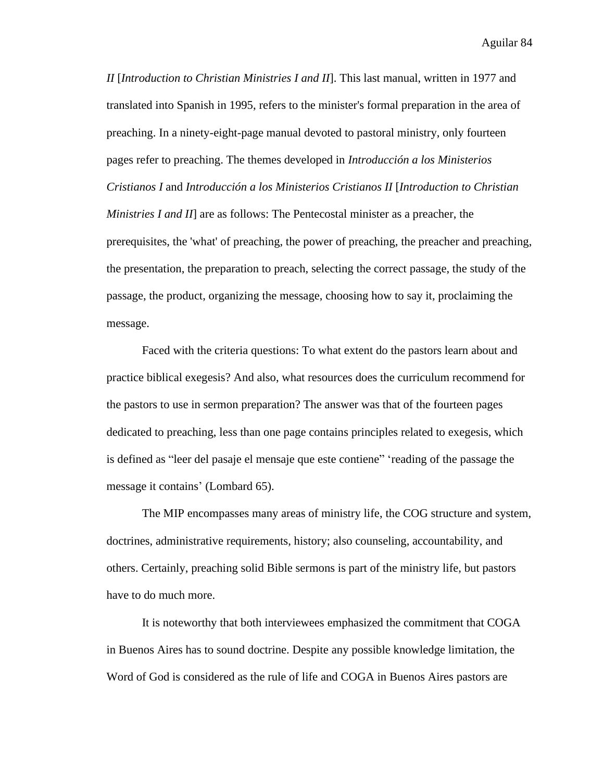*II* [*Introduction to Christian Ministries I and II*]. This last manual, written in 1977 and translated into Spanish in 1995, refers to the minister's formal preparation in the area of preaching. In a ninety-eight-page manual devoted to pastoral ministry, only fourteen pages refer to preaching. The themes developed in *Introducción a los Ministerios Cristianos I* and *Introducción a los Ministerios Cristianos II* [*Introduction to Christian Ministries I and II*] are as follows: The Pentecostal minister as a preacher, the prerequisites, the 'what' of preaching, the power of preaching, the preacher and preaching, the presentation, the preparation to preach, selecting the correct passage, the study of the passage, the product, organizing the message, choosing how to say it, proclaiming the message.

Faced with the criteria questions: To what extent do the pastors learn about and practice biblical exegesis? And also, what resources does the curriculum recommend for the pastors to use in sermon preparation? The answer was that of the fourteen pages dedicated to preaching, less than one page contains principles related to exegesis, which is defined as "leer del pasaje el mensaje que este contiene" 'reading of the passage the message it contains' (Lombard 65).

The MIP encompasses many areas of ministry life, the COG structure and system, doctrines, administrative requirements, history; also counseling, accountability, and others. Certainly, preaching solid Bible sermons is part of the ministry life, but pastors have to do much more.

It is noteworthy that both interviewees emphasized the commitment that COGA in Buenos Aires has to sound doctrine. Despite any possible knowledge limitation, the Word of God is considered as the rule of life and COGA in Buenos Aires pastors are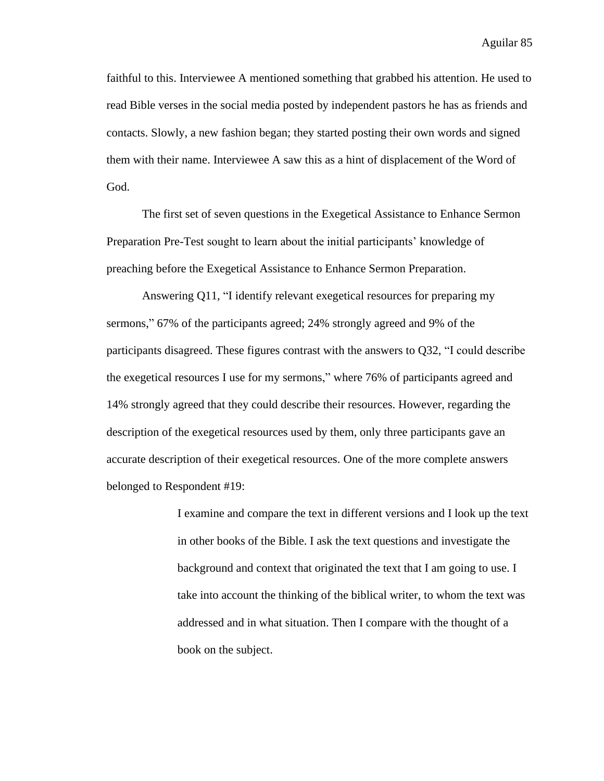faithful to this. Interviewee A mentioned something that grabbed his attention. He used to read Bible verses in the social media posted by independent pastors he has as friends and contacts. Slowly, a new fashion began; they started posting their own words and signed them with their name. Interviewee A saw this as a hint of displacement of the Word of God.

The first set of seven questions in the Exegetical Assistance to Enhance Sermon Preparation Pre-Test sought to learn about the initial participants' knowledge of preaching before the Exegetical Assistance to Enhance Sermon Preparation.

Answering Q11, "I identify relevant exegetical resources for preparing my sermons," 67% of the participants agreed; 24% strongly agreed and 9% of the participants disagreed. These figures contrast with the answers to Q32, "I could describe the exegetical resources I use for my sermons," where 76% of participants agreed and 14% strongly agreed that they could describe their resources. However, regarding the description of the exegetical resources used by them, only three participants gave an accurate description of their exegetical resources. One of the more complete answers belonged to Respondent #19:

> I examine and compare the text in different versions and I look up the text in other books of the Bible. I ask the text questions and investigate the background and context that originated the text that I am going to use. I take into account the thinking of the biblical writer, to whom the text was addressed and in what situation. Then I compare with the thought of a book on the subject.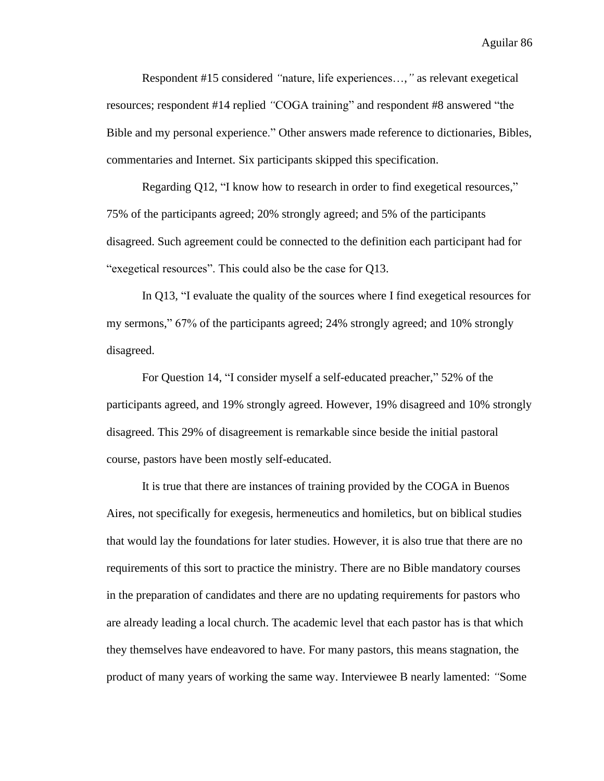Respondent #15 considered *"*nature, life experiences…,*"* as relevant exegetical resources; respondent #14 replied *"*COGA training" and respondent #8 answered "the Bible and my personal experience." Other answers made reference to dictionaries, Bibles, commentaries and Internet. Six participants skipped this specification.

Regarding Q12, "I know how to research in order to find exegetical resources," 75% of the participants agreed; 20% strongly agreed; and 5% of the participants disagreed. Such agreement could be connected to the definition each participant had for "exegetical resources". This could also be the case for Q13.

In Q13, "I evaluate the quality of the sources where I find exegetical resources for my sermons," 67% of the participants agreed; 24% strongly agreed; and 10% strongly disagreed.

For Question 14, "I consider myself a self-educated preacher," 52% of the participants agreed, and 19% strongly agreed. However, 19% disagreed and 10% strongly disagreed. This 29% of disagreement is remarkable since beside the initial pastoral course, pastors have been mostly self-educated.

It is true that there are instances of training provided by the COGA in Buenos Aires, not specifically for exegesis, hermeneutics and homiletics, but on biblical studies that would lay the foundations for later studies. However, it is also true that there are no requirements of this sort to practice the ministry. There are no Bible mandatory courses in the preparation of candidates and there are no updating requirements for pastors who are already leading a local church. The academic level that each pastor has is that which they themselves have endeavored to have. For many pastors, this means stagnation, the product of many years of working the same way. Interviewee B nearly lamented: *"*Some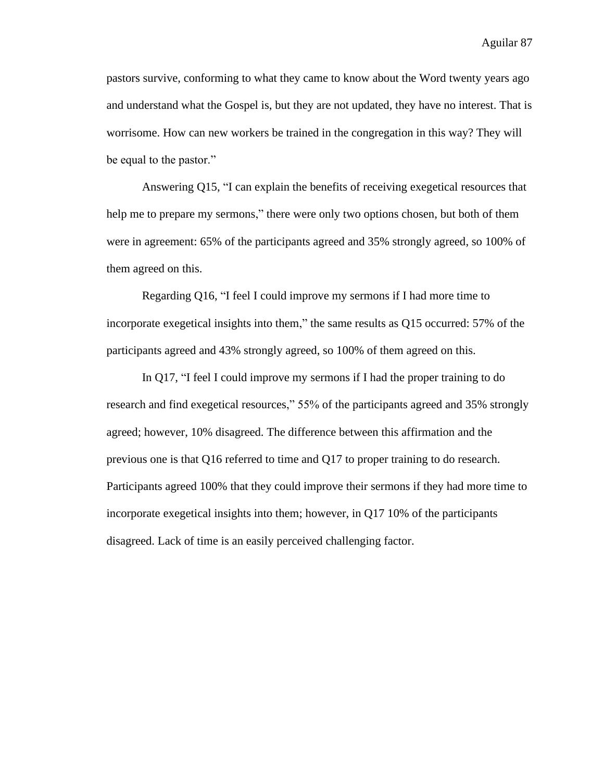pastors survive, conforming to what they came to know about the Word twenty years ago and understand what the Gospel is, but they are not updated, they have no interest. That is worrisome. How can new workers be trained in the congregation in this way? They will be equal to the pastor."

Answering Q15, "I can explain the benefits of receiving exegetical resources that help me to prepare my sermons," there were only two options chosen, but both of them were in agreement: 65% of the participants agreed and 35% strongly agreed, so 100% of them agreed on this.

Regarding Q16, "I feel I could improve my sermons if I had more time to incorporate exegetical insights into them," the same results as Q15 occurred: 57% of the participants agreed and 43% strongly agreed, so 100% of them agreed on this.

In Q17, "I feel I could improve my sermons if I had the proper training to do research and find exegetical resources," 55% of the participants agreed and 35% strongly agreed; however, 10% disagreed. The difference between this affirmation and the previous one is that Q16 referred to time and Q17 to proper training to do research. Participants agreed 100% that they could improve their sermons if they had more time to incorporate exegetical insights into them; however, in Q17 10% of the participants disagreed. Lack of time is an easily perceived challenging factor.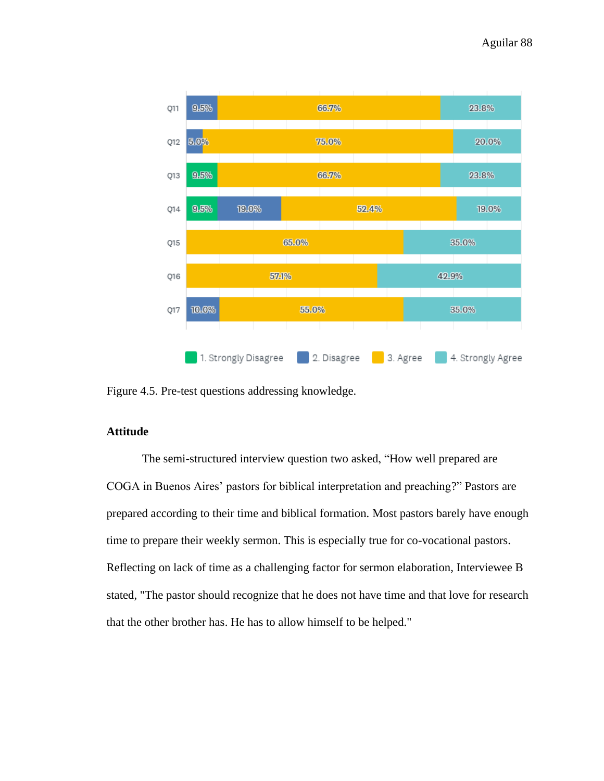

Figure 4.5. Pre-test questions addressing knowledge.

# **Attitude**

The semi-structured interview question two asked, "How well prepared are COGA in Buenos Aires' pastors for biblical interpretation and preaching?" Pastors are prepared according to their time and biblical formation. Most pastors barely have enough time to prepare their weekly sermon. This is especially true for co-vocational pastors. Reflecting on lack of time as a challenging factor for sermon elaboration, Interviewee B stated, "The pastor should recognize that he does not have time and that love for research that the other brother has. He has to allow himself to be helped."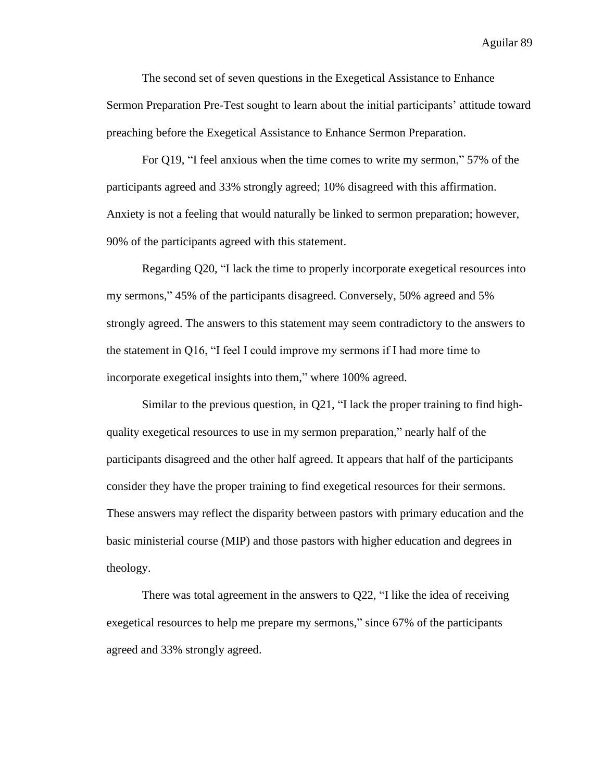The second set of seven questions in the Exegetical Assistance to Enhance Sermon Preparation Pre-Test sought to learn about the initial participants' attitude toward preaching before the Exegetical Assistance to Enhance Sermon Preparation.

For Q19, "I feel anxious when the time comes to write my sermon," 57% of the participants agreed and 33% strongly agreed; 10% disagreed with this affirmation. Anxiety is not a feeling that would naturally be linked to sermon preparation; however, 90% of the participants agreed with this statement.

Regarding Q20, "I lack the time to properly incorporate exegetical resources into my sermons," 45% of the participants disagreed. Conversely, 50% agreed and 5% strongly agreed. The answers to this statement may seem contradictory to the answers to the statement in Q16, "I feel I could improve my sermons if I had more time to incorporate exegetical insights into them," where 100% agreed.

Similar to the previous question, in Q21, "I lack the proper training to find highquality exegetical resources to use in my sermon preparation," nearly half of the participants disagreed and the other half agreed. It appears that half of the participants consider they have the proper training to find exegetical resources for their sermons. These answers may reflect the disparity between pastors with primary education and the basic ministerial course (MIP) and those pastors with higher education and degrees in theology.

There was total agreement in the answers to  $Q22$ , "I like the idea of receiving exegetical resources to help me prepare my sermons," since 67% of the participants agreed and 33% strongly agreed.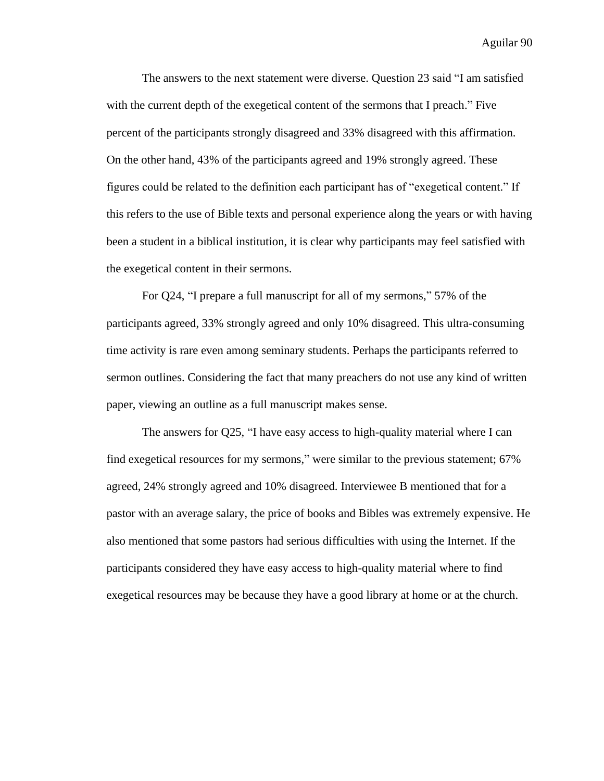The answers to the next statement were diverse. Question 23 said "I am satisfied with the current depth of the exegetical content of the sermons that I preach." Five percent of the participants strongly disagreed and 33% disagreed with this affirmation. On the other hand, 43% of the participants agreed and 19% strongly agreed. These figures could be related to the definition each participant has of "exegetical content." If this refers to the use of Bible texts and personal experience along the years or with having been a student in a biblical institution, it is clear why participants may feel satisfied with the exegetical content in their sermons.

For Q24, "I prepare a full manuscript for all of my sermons," 57% of the participants agreed, 33% strongly agreed and only 10% disagreed. This ultra-consuming time activity is rare even among seminary students. Perhaps the participants referred to sermon outlines. Considering the fact that many preachers do not use any kind of written paper, viewing an outline as a full manuscript makes sense.

The answers for Q25, "I have easy access to high-quality material where I can find exegetical resources for my sermons," were similar to the previous statement; 67% agreed, 24% strongly agreed and 10% disagreed. Interviewee B mentioned that for a pastor with an average salary, the price of books and Bibles was extremely expensive. He also mentioned that some pastors had serious difficulties with using the Internet. If the participants considered they have easy access to high-quality material where to find exegetical resources may be because they have a good library at home or at the church.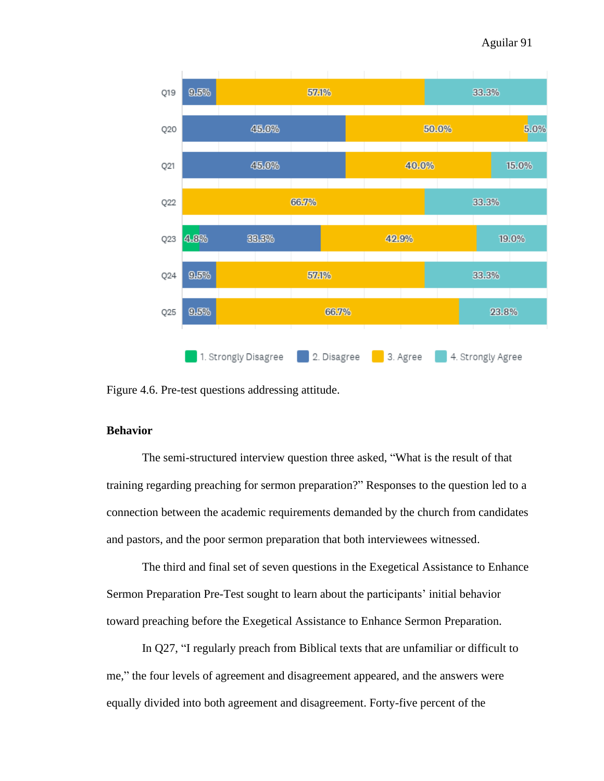

Figure 4.6. Pre-test questions addressing attitude.

# **Behavior**

The semi-structured interview question three asked, "What is the result of that training regarding preaching for sermon preparation?" Responses to the question led to a connection between the academic requirements demanded by the church from candidates and pastors, and the poor sermon preparation that both interviewees witnessed.

The third and final set of seven questions in the Exegetical Assistance to Enhance Sermon Preparation Pre-Test sought to learn about the participants' initial behavior toward preaching before the Exegetical Assistance to Enhance Sermon Preparation.

In Q27, "I regularly preach from Biblical texts that are unfamiliar or difficult to me," the four levels of agreement and disagreement appeared, and the answers were equally divided into both agreement and disagreement. Forty-five percent of the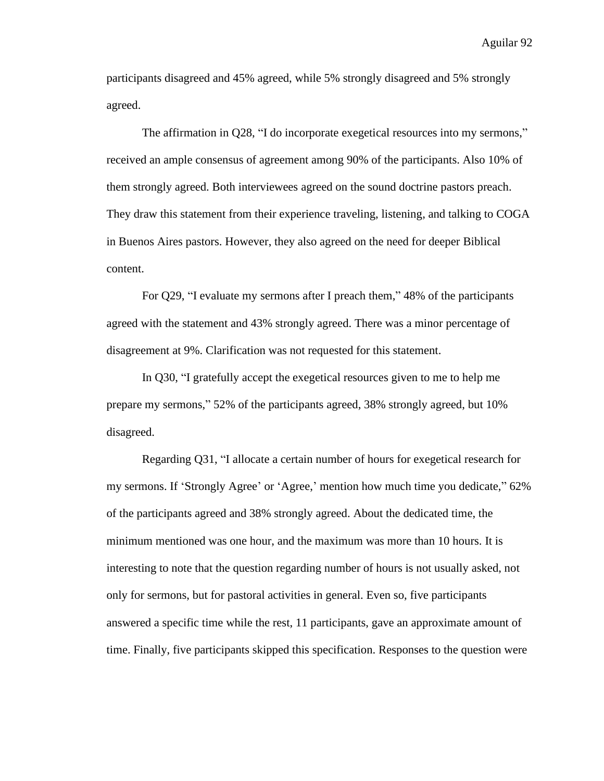participants disagreed and 45% agreed, while 5% strongly disagreed and 5% strongly agreed.

The affirmation in Q28, "I do incorporate exegetical resources into my sermons," received an ample consensus of agreement among 90% of the participants. Also 10% of them strongly agreed. Both interviewees agreed on the sound doctrine pastors preach. They draw this statement from their experience traveling, listening, and talking to COGA in Buenos Aires pastors. However, they also agreed on the need for deeper Biblical content.

For Q29, "I evaluate my sermons after I preach them," 48% of the participants agreed with the statement and 43% strongly agreed. There was a minor percentage of disagreement at 9%. Clarification was not requested for this statement.

In Q30, "I gratefully accept the exegetical resources given to me to help me prepare my sermons," 52% of the participants agreed, 38% strongly agreed, but 10% disagreed.

Regarding Q31, "I allocate a certain number of hours for exegetical research for my sermons. If 'Strongly Agree' or 'Agree,' mention how much time you dedicate," 62% of the participants agreed and 38% strongly agreed. About the dedicated time, the minimum mentioned was one hour, and the maximum was more than 10 hours. It is interesting to note that the question regarding number of hours is not usually asked, not only for sermons, but for pastoral activities in general. Even so, five participants answered a specific time while the rest, 11 participants, gave an approximate amount of time. Finally, five participants skipped this specification. Responses to the question were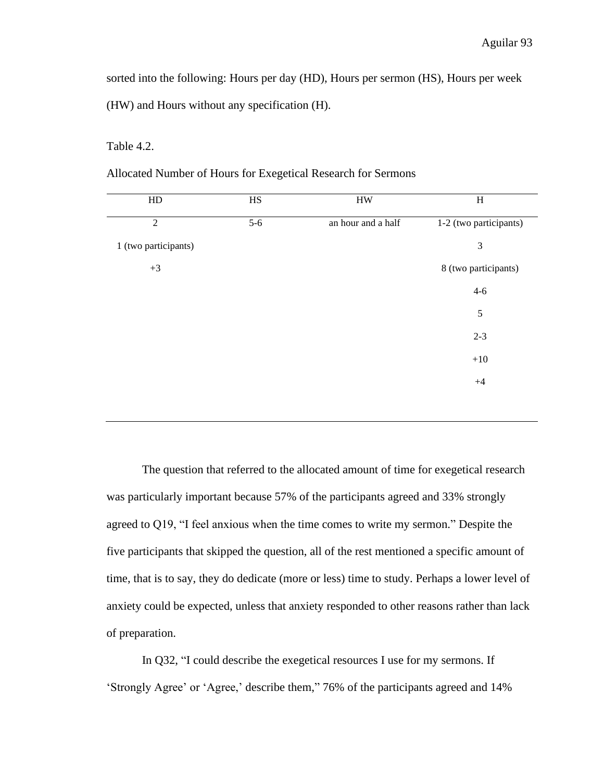sorted into the following: Hours per day (HD), Hours per sermon (HS), Hours per week (HW) and Hours without any specification (H).

Table 4.2.

| Allocated Number of Hours for Exegetical Research for Sermons |  |
|---------------------------------------------------------------|--|
|                                                               |  |

| HD                   | HS    | <b>HW</b>          | $H_{\rm}$              |
|----------------------|-------|--------------------|------------------------|
| $\overline{2}$       | $5-6$ | an hour and a half | 1-2 (two participants) |
| 1 (two participants) |       |                    | $\mathfrak{Z}$         |
| $+3$                 |       |                    | 8 (two participants)   |
|                      |       |                    | $4 - 6$                |
|                      |       |                    | $\sqrt{5}$             |
|                      |       |                    | $2 - 3$                |
|                      |       |                    | $+10$                  |
|                      |       |                    | $+4$                   |
|                      |       |                    |                        |

The question that referred to the allocated amount of time for exegetical research was particularly important because 57% of the participants agreed and 33% strongly agreed to Q19, "I feel anxious when the time comes to write my sermon." Despite the five participants that skipped the question, all of the rest mentioned a specific amount of time, that is to say, they do dedicate (more or less) time to study. Perhaps a lower level of anxiety could be expected, unless that anxiety responded to other reasons rather than lack of preparation.

In Q32, "I could describe the exegetical resources I use for my sermons. If 'Strongly Agree' or 'Agree,' describe them," 76% of the participants agreed and 14%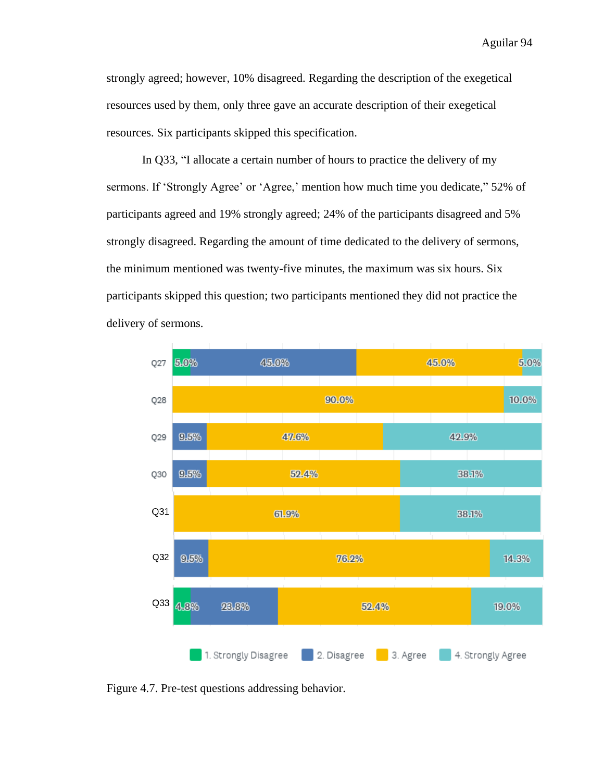strongly agreed; however, 10% disagreed. Regarding the description of the exegetical resources used by them, only three gave an accurate description of their exegetical resources. Six participants skipped this specification.

In Q33, "I allocate a certain number of hours to practice the delivery of my sermons. If 'Strongly Agree' or 'Agree,' mention how much time you dedicate," 52% of participants agreed and 19% strongly agreed; 24% of the participants disagreed and 5% strongly disagreed. Regarding the amount of time dedicated to the delivery of sermons, the minimum mentioned was twenty-five minutes, the maximum was six hours. Six participants skipped this question; two participants mentioned they did not practice the delivery of sermons.



Figure 4.7. Pre-test questions addressing behavior.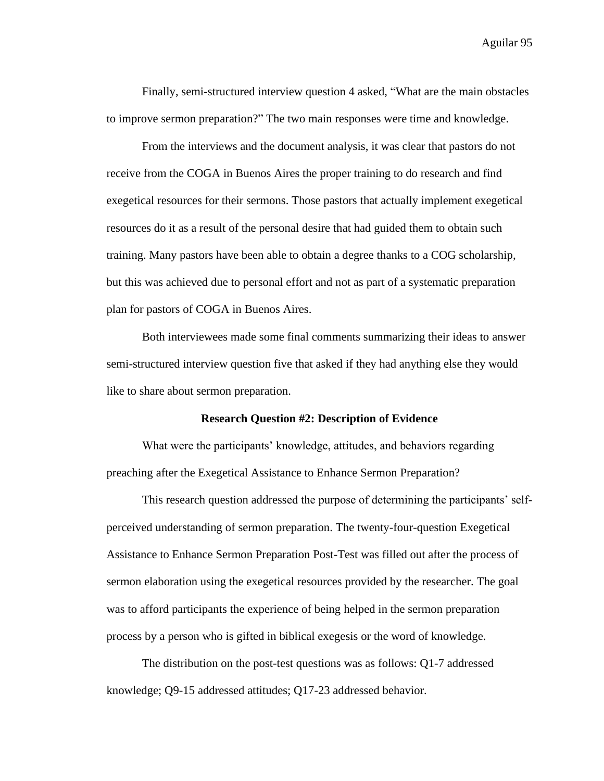Finally, semi-structured interview question 4 asked, "What are the main obstacles to improve sermon preparation?" The two main responses were time and knowledge.

From the interviews and the document analysis, it was clear that pastors do not receive from the COGA in Buenos Aires the proper training to do research and find exegetical resources for their sermons. Those pastors that actually implement exegetical resources do it as a result of the personal desire that had guided them to obtain such training. Many pastors have been able to obtain a degree thanks to a COG scholarship, but this was achieved due to personal effort and not as part of a systematic preparation plan for pastors of COGA in Buenos Aires.

Both interviewees made some final comments summarizing their ideas to answer semi-structured interview question five that asked if they had anything else they would like to share about sermon preparation.

### **Research Question #2: Description of Evidence**

What were the participants' knowledge, attitudes, and behaviors regarding preaching after the Exegetical Assistance to Enhance Sermon Preparation?

This research question addressed the purpose of determining the participants' selfperceived understanding of sermon preparation. The twenty-four-question Exegetical Assistance to Enhance Sermon Preparation Post-Test was filled out after the process of sermon elaboration using the exegetical resources provided by the researcher. The goal was to afford participants the experience of being helped in the sermon preparation process by a person who is gifted in biblical exegesis or the word of knowledge.

The distribution on the post-test questions was as follows: Q1-7 addressed knowledge; Q9-15 addressed attitudes; Q17-23 addressed behavior.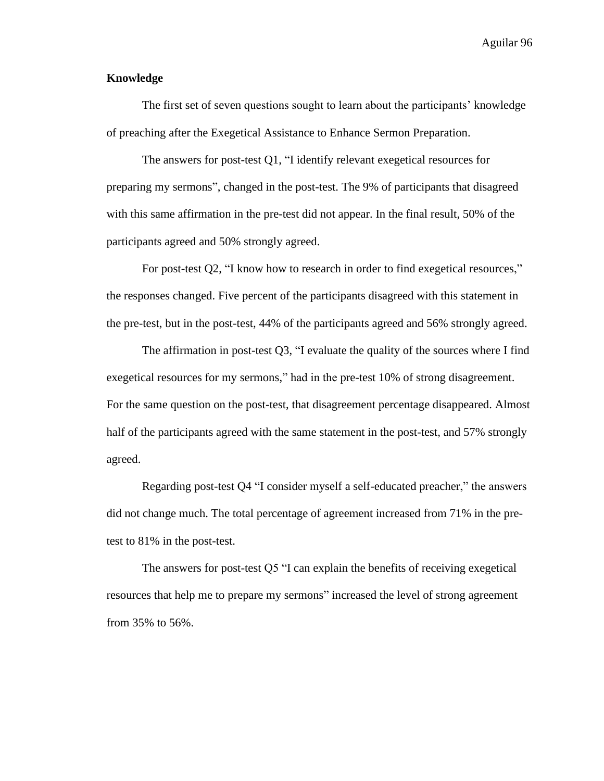# **Knowledge**

The first set of seven questions sought to learn about the participants' knowledge of preaching after the Exegetical Assistance to Enhance Sermon Preparation.

The answers for post-test Q1, "I identify relevant exegetical resources for preparing my sermons", changed in the post-test. The 9% of participants that disagreed with this same affirmation in the pre-test did not appear. In the final result, 50% of the participants agreed and 50% strongly agreed.

For post-test Q2, "I know how to research in order to find exegetical resources," the responses changed. Five percent of the participants disagreed with this statement in the pre-test, but in the post-test, 44% of the participants agreed and 56% strongly agreed.

The affirmation in post-test Q3, "I evaluate the quality of the sources where I find exegetical resources for my sermons," had in the pre-test 10% of strong disagreement. For the same question on the post-test, that disagreement percentage disappeared. Almost half of the participants agreed with the same statement in the post-test, and 57% strongly agreed.

Regarding post-test Q4 "I consider myself a self-educated preacher," the answers did not change much. The total percentage of agreement increased from 71% in the pretest to 81% in the post-test.

The answers for post-test Q5 "I can explain the benefits of receiving exegetical resources that help me to prepare my sermons" increased the level of strong agreement from 35% to 56%.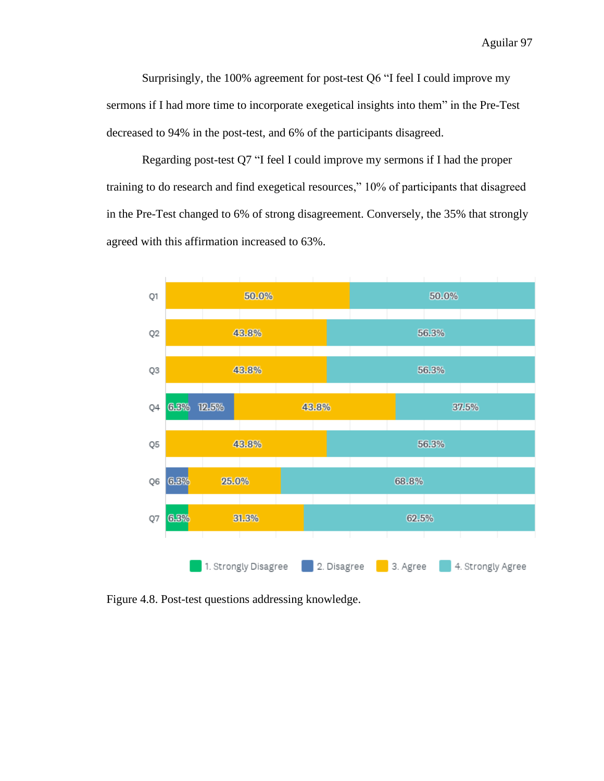Surprisingly, the 100% agreement for post-test Q6 "I feel I could improve my sermons if I had more time to incorporate exegetical insights into them" in the Pre-Test decreased to 94% in the post-test, and 6% of the participants disagreed.

Regarding post-test Q7 "I feel I could improve my sermons if I had the proper training to do research and find exegetical resources," 10% of participants that disagreed in the Pre-Test changed to 6% of strong disagreement. Conversely, the 35% that strongly agreed with this affirmation increased to 63%.



Figure 4.8. Post-test questions addressing knowledge.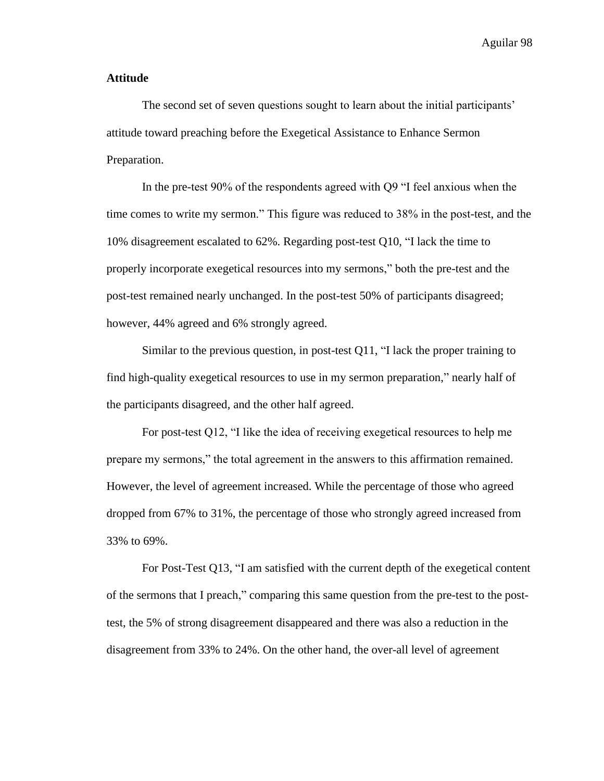#### **Attitude**

The second set of seven questions sought to learn about the initial participants' attitude toward preaching before the Exegetical Assistance to Enhance Sermon Preparation.

In the pre-test 90% of the respondents agreed with Q9 "I feel anxious when the time comes to write my sermon." This figure was reduced to 38% in the post-test, and the 10% disagreement escalated to 62%. Regarding post-test Q10, "I lack the time to properly incorporate exegetical resources into my sermons," both the pre-test and the post-test remained nearly unchanged. In the post-test 50% of participants disagreed; however, 44% agreed and 6% strongly agreed.

Similar to the previous question, in post-test Q11, "I lack the proper training to find high-quality exegetical resources to use in my sermon preparation," nearly half of the participants disagreed, and the other half agreed.

For post-test Q12, "I like the idea of receiving exegetical resources to help me prepare my sermons," the total agreement in the answers to this affirmation remained. However, the level of agreement increased. While the percentage of those who agreed dropped from 67% to 31%, the percentage of those who strongly agreed increased from 33% to 69%.

For Post-Test Q13, "I am satisfied with the current depth of the exegetical content of the sermons that I preach," comparing this same question from the pre-test to the posttest, the 5% of strong disagreement disappeared and there was also a reduction in the disagreement from 33% to 24%. On the other hand, the over-all level of agreement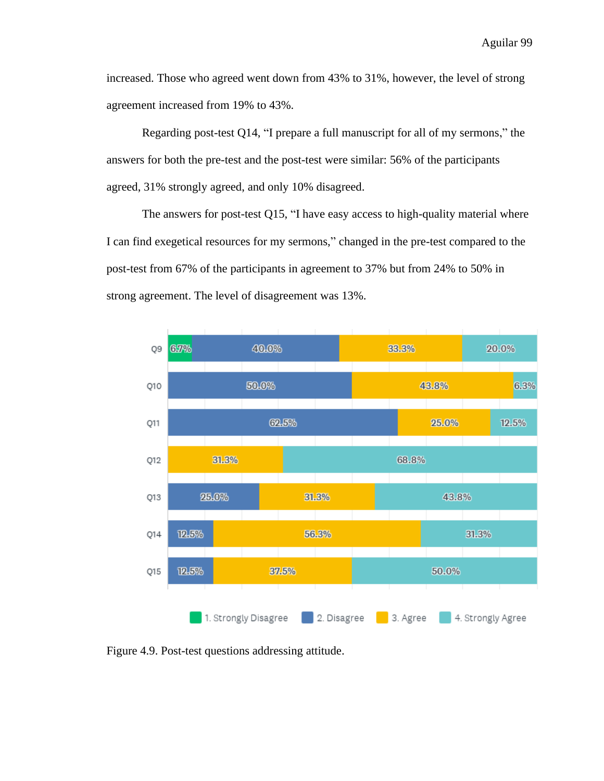increased. Those who agreed went down from 43% to 31%, however, the level of strong agreement increased from 19% to 43%.

Regarding post-test Q14, "I prepare a full manuscript for all of my sermons," the answers for both the pre-test and the post-test were similar: 56% of the participants agreed, 31% strongly agreed, and only 10% disagreed.

The answers for post-test Q15, "I have easy access to high-quality material where I can find exegetical resources for my sermons," changed in the pre-test compared to the post-test from 67% of the participants in agreement to 37% but from 24% to 50% in strong agreement. The level of disagreement was 13%.



Figure 4.9. Post-test questions addressing attitude.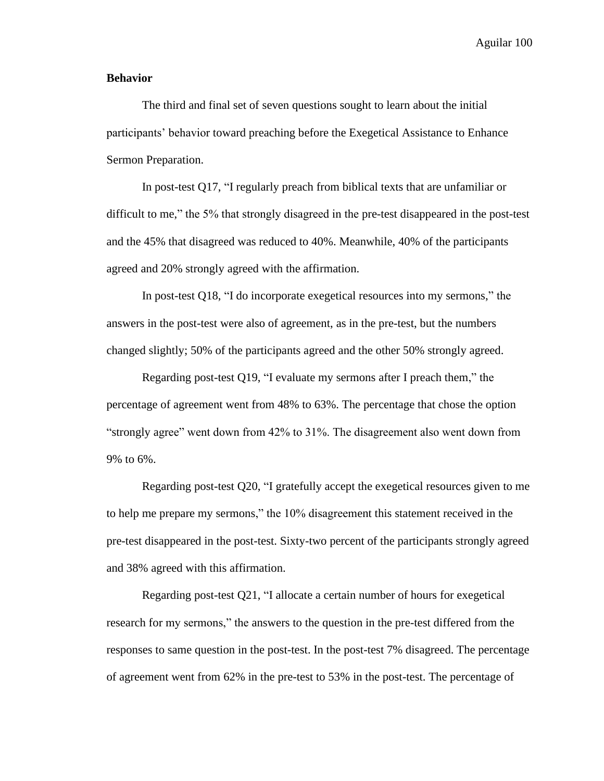#### **Behavior**

The third and final set of seven questions sought to learn about the initial participants' behavior toward preaching before the Exegetical Assistance to Enhance Sermon Preparation.

In post-test Q17, "I regularly preach from biblical texts that are unfamiliar or difficult to me," the 5% that strongly disagreed in the pre-test disappeared in the post-test and the 45% that disagreed was reduced to 40%. Meanwhile, 40% of the participants agreed and 20% strongly agreed with the affirmation.

In post-test Q18, "I do incorporate exegetical resources into my sermons," the answers in the post-test were also of agreement, as in the pre-test, but the numbers changed slightly; 50% of the participants agreed and the other 50% strongly agreed.

Regarding post-test Q19, "I evaluate my sermons after I preach them," the percentage of agreement went from 48% to 63%. The percentage that chose the option "strongly agree" went down from 42% to 31%. The disagreement also went down from 9% to 6%.

Regarding post-test Q20, "I gratefully accept the exegetical resources given to me to help me prepare my sermons," the 10% disagreement this statement received in the pre-test disappeared in the post-test. Sixty-two percent of the participants strongly agreed and 38% agreed with this affirmation.

Regarding post-test Q21, "I allocate a certain number of hours for exegetical research for my sermons," the answers to the question in the pre-test differed from the responses to same question in the post-test. In the post-test 7% disagreed. The percentage of agreement went from 62% in the pre-test to 53% in the post-test. The percentage of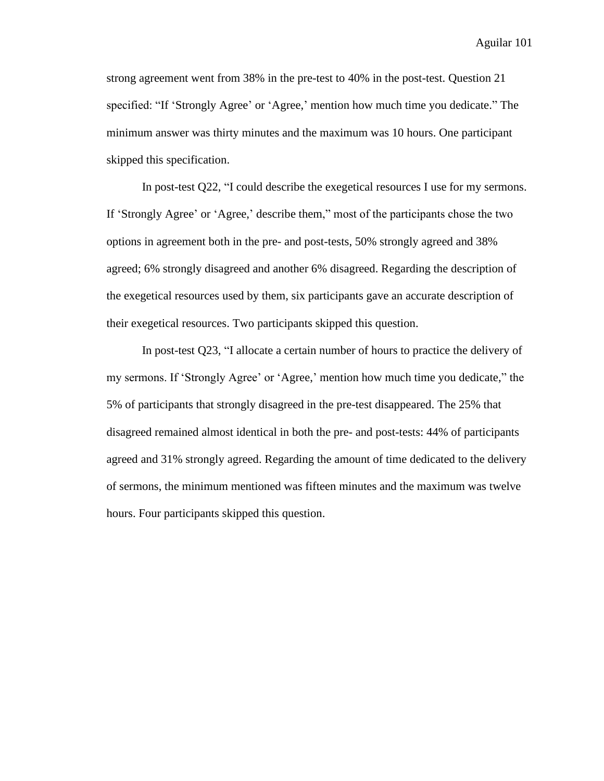strong agreement went from 38% in the pre-test to 40% in the post-test. Question 21 specified: "If 'Strongly Agree' or 'Agree,' mention how much time you dedicate." The minimum answer was thirty minutes and the maximum was 10 hours. One participant skipped this specification.

In post-test Q22, "I could describe the exegetical resources I use for my sermons. If 'Strongly Agree' or 'Agree,' describe them," most of the participants chose the two options in agreement both in the pre- and post-tests, 50% strongly agreed and 38% agreed; 6% strongly disagreed and another 6% disagreed. Regarding the description of the exegetical resources used by them, six participants gave an accurate description of their exegetical resources. Two participants skipped this question.

In post-test Q23, "I allocate a certain number of hours to practice the delivery of my sermons. If 'Strongly Agree' or 'Agree,' mention how much time you dedicate," the 5% of participants that strongly disagreed in the pre-test disappeared. The 25% that disagreed remained almost identical in both the pre- and post-tests: 44% of participants agreed and 31% strongly agreed. Regarding the amount of time dedicated to the delivery of sermons, the minimum mentioned was fifteen minutes and the maximum was twelve hours. Four participants skipped this question.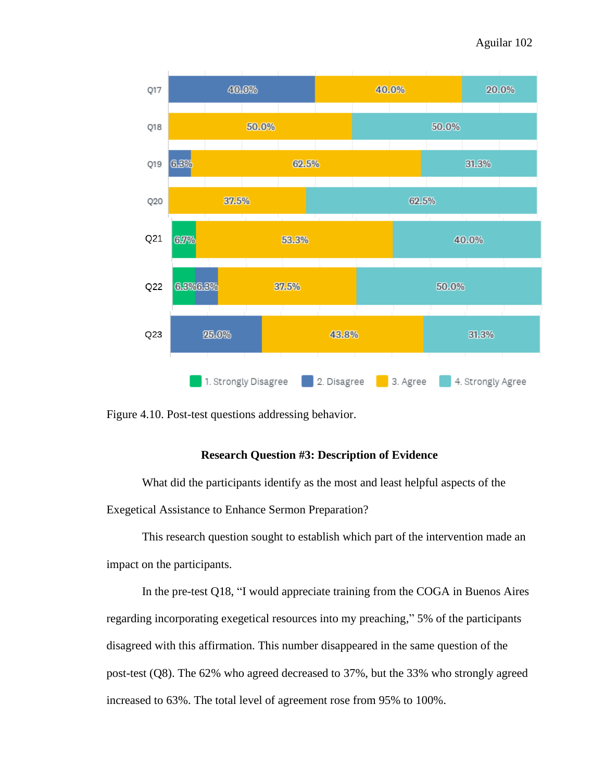

Figure 4.10. Post-test questions addressing behavior.

## **Research Question #3: Description of Evidence**

What did the participants identify as the most and least helpful aspects of the Exegetical Assistance to Enhance Sermon Preparation?

This research question sought to establish which part of the intervention made an impact on the participants.

In the pre-test Q18, "I would appreciate training from the COGA in Buenos Aires regarding incorporating exegetical resources into my preaching," 5% of the participants disagreed with this affirmation. This number disappeared in the same question of the post-test (Q8). The 62% who agreed decreased to 37%, but the 33% who strongly agreed increased to 63%. The total level of agreement rose from 95% to 100%.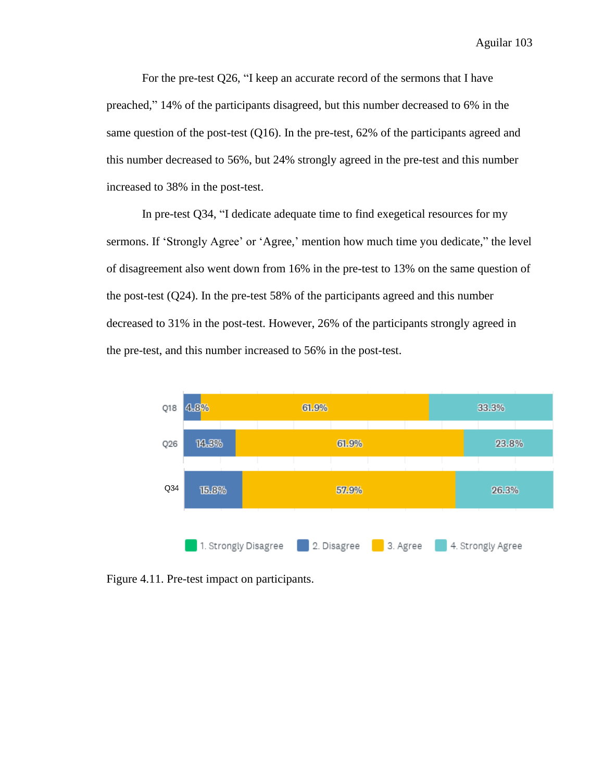For the pre-test Q26, "I keep an accurate record of the sermons that I have preached," 14% of the participants disagreed, but this number decreased to 6% in the same question of the post-test (Q16). In the pre-test, 62% of the participants agreed and this number decreased to 56%, but 24% strongly agreed in the pre-test and this number increased to 38% in the post-test.

In pre-test Q34, "I dedicate adequate time to find exegetical resources for my sermons. If 'Strongly Agree' or 'Agree,' mention how much time you dedicate," the level of disagreement also went down from 16% in the pre-test to 13% on the same question of the post-test (Q24). In the pre-test 58% of the participants agreed and this number decreased to 31% in the post-test. However, 26% of the participants strongly agreed in the pre-test, and this number increased to 56% in the post-test.



Figure 4.11. Pre-test impact on participants.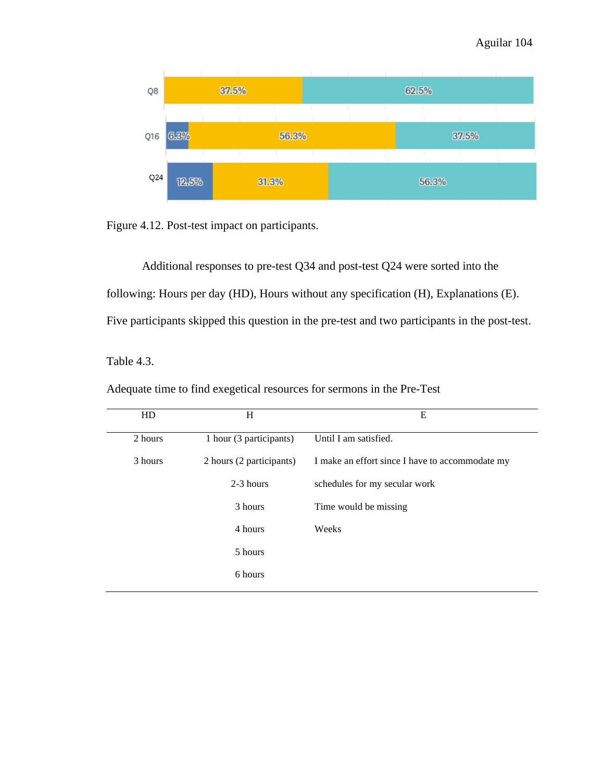

Figure 4.12. Post-test impact on participants.

Additional responses to pre-test Q34 and post-test Q24 were sorted into the following: Hours per day (HD), Hours without any specification (H), Explanations (E). Five participants skipped this question in the pre-test and two participants in the post-test.

Table 4.3.

| HD      | H                        | E                                               |
|---------|--------------------------|-------------------------------------------------|
| 2 hours | 1 hour (3 participants)  | Until I am satisfied.                           |
| 3 hours | 2 hours (2 participants) | I make an effort since I have to accommodate my |
|         | 2-3 hours                | schedules for my secular work                   |
|         | 3 hours                  | Time would be missing.                          |
|         | 4 hours                  | Weeks                                           |
|         | 5 hours                  |                                                 |
|         | 6 hours                  |                                                 |

Adequate time to find exegetical resources for sermons in the Pre-Test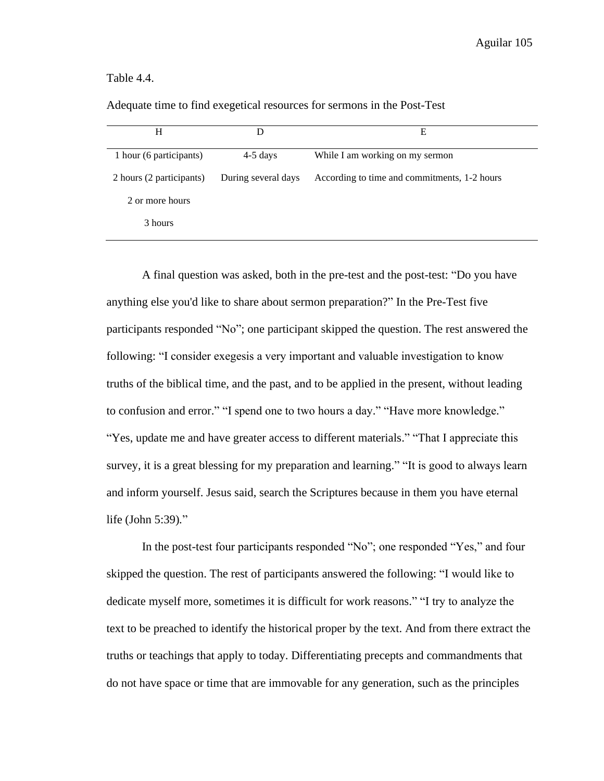#### Table 4.4.

| H                        | D                   | Е                                            |
|--------------------------|---------------------|----------------------------------------------|
| 1 hour (6 participants)  | $4-5$ days          | While I am working on my sermon              |
| 2 hours (2 participants) | During several days | According to time and commitments, 1-2 hours |
| 2 or more hours          |                     |                                              |
| 3 hours                  |                     |                                              |

Adequate time to find exegetical resources for sermons in the Post-Test

A final question was asked, both in the pre-test and the post-test: "Do you have anything else you'd like to share about sermon preparation?" In the Pre-Test five participants responded "No"; one participant skipped the question. The rest answered the following: "I consider exegesis a very important and valuable investigation to know truths of the biblical time, and the past, and to be applied in the present, without leading to confusion and error." "I spend one to two hours a day." "Have more knowledge." "Yes, update me and have greater access to different materials." "That I appreciate this survey, it is a great blessing for my preparation and learning." "It is good to always learn and inform yourself. Jesus said, search the Scriptures because in them you have eternal life (John 5:39)*.*"

In the post-test four participants responded "No"; one responded "Yes," and four skipped the question. The rest of participants answered the following: "I would like to dedicate myself more, sometimes it is difficult for work reasons." "I try to analyze the text to be preached to identify the historical proper by the text. And from there extract the truths or teachings that apply to today. Differentiating precepts and commandments that do not have space or time that are immovable for any generation, such as the principles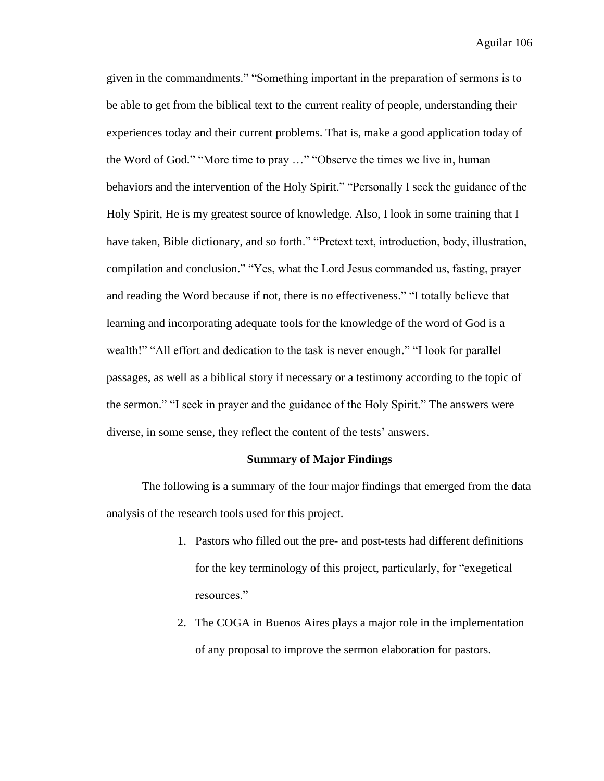given in the commandments." "Something important in the preparation of sermons is to be able to get from the biblical text to the current reality of people, understanding their experiences today and their current problems. That is, make a good application today of the Word of God." "More time to pray …" "Observe the times we live in, human behaviors and the intervention of the Holy Spirit." "Personally I seek the guidance of the Holy Spirit, He is my greatest source of knowledge. Also, I look in some training that I have taken, Bible dictionary, and so forth." "Pretext text, introduction, body, illustration, compilation and conclusion." "Yes, what the Lord Jesus commanded us, fasting, prayer and reading the Word because if not, there is no effectiveness." "I totally believe that learning and incorporating adequate tools for the knowledge of the word of God is a wealth!" "All effort and dedication to the task is never enough." "I look for parallel passages, as well as a biblical story if necessary or a testimony according to the topic of the sermon." "I seek in prayer and the guidance of the Holy Spirit." The answers were diverse, in some sense, they reflect the content of the tests' answers.

#### **Summary of Major Findings**

The following is a summary of the four major findings that emerged from the data analysis of the research tools used for this project.

- 1. Pastors who filled out the pre- and post-tests had different definitions for the key terminology of this project, particularly, for "exegetical resources."
- 2. The COGA in Buenos Aires plays a major role in the implementation of any proposal to improve the sermon elaboration for pastors.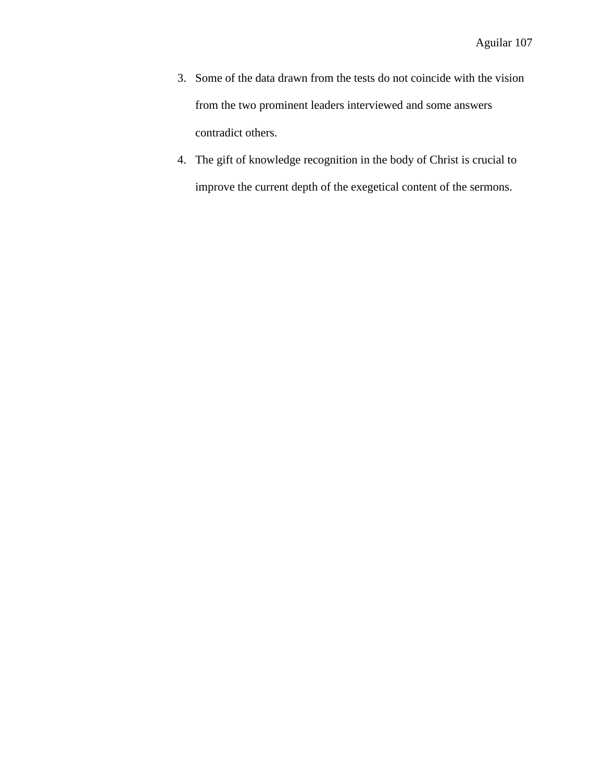- 3. Some of the data drawn from the tests do not coincide with the vision from the two prominent leaders interviewed and some answers contradict others.
- 4. The gift of knowledge recognition in the body of Christ is crucial to improve the current depth of the exegetical content of the sermons.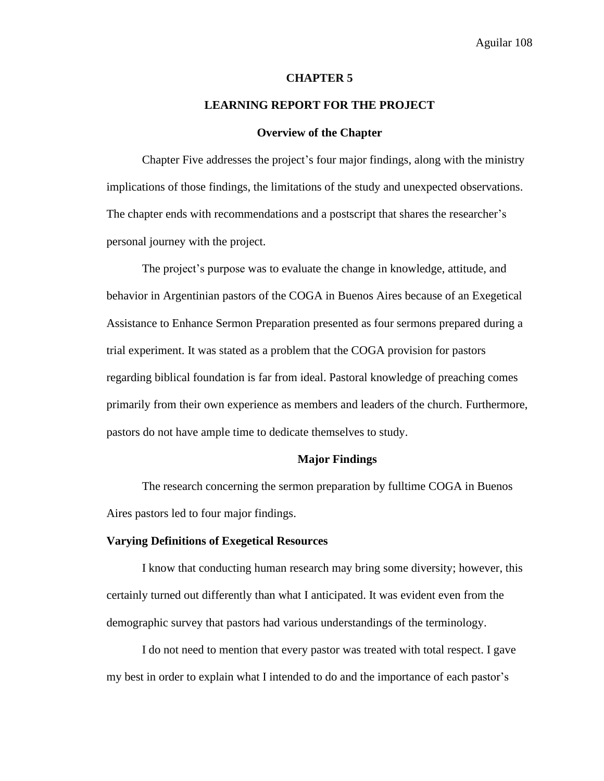#### **CHAPTER 5**

### **LEARNING REPORT FOR THE PROJECT**

#### **Overview of the Chapter**

Chapter Five addresses the project's four major findings, along with the ministry implications of those findings, the limitations of the study and unexpected observations. The chapter ends with recommendations and a postscript that shares the researcher's personal journey with the project.

The project's purpose was to evaluate the change in knowledge, attitude, and behavior in Argentinian pastors of the COGA in Buenos Aires because of an Exegetical Assistance to Enhance Sermon Preparation presented as four sermons prepared during a trial experiment. It was stated as a problem that the COGA provision for pastors regarding biblical foundation is far from ideal. Pastoral knowledge of preaching comes primarily from their own experience as members and leaders of the church. Furthermore, pastors do not have ample time to dedicate themselves to study.

#### **Major Findings**

The research concerning the sermon preparation by fulltime COGA in Buenos Aires pastors led to four major findings.

#### **Varying Definitions of Exegetical Resources**

I know that conducting human research may bring some diversity; however, this certainly turned out differently than what I anticipated. It was evident even from the demographic survey that pastors had various understandings of the terminology.

I do not need to mention that every pastor was treated with total respect. I gave my best in order to explain what I intended to do and the importance of each pastor's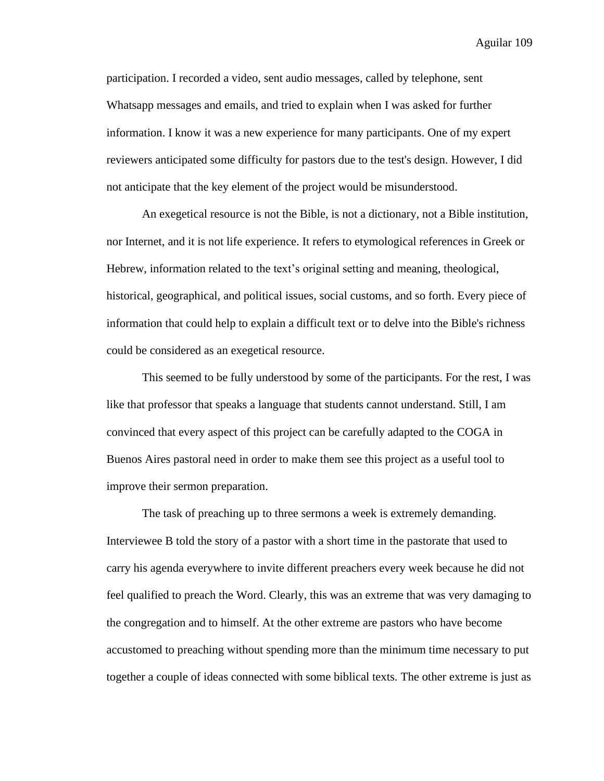participation. I recorded a video, sent audio messages, called by telephone, sent Whatsapp messages and emails, and tried to explain when I was asked for further information. I know it was a new experience for many participants. One of my expert reviewers anticipated some difficulty for pastors due to the test's design. However, I did not anticipate that the key element of the project would be misunderstood.

An exegetical resource is not the Bible, is not a dictionary, not a Bible institution, nor Internet, and it is not life experience. It refers to etymological references in Greek or Hebrew, information related to the text's original setting and meaning, theological, historical, geographical, and political issues, social customs, and so forth. Every piece of information that could help to explain a difficult text or to delve into the Bible's richness could be considered as an exegetical resource.

This seemed to be fully understood by some of the participants. For the rest, I was like that professor that speaks a language that students cannot understand. Still, I am convinced that every aspect of this project can be carefully adapted to the COGA in Buenos Aires pastoral need in order to make them see this project as a useful tool to improve their sermon preparation.

The task of preaching up to three sermons a week is extremely demanding. Interviewee B told the story of a pastor with a short time in the pastorate that used to carry his agenda everywhere to invite different preachers every week because he did not feel qualified to preach the Word. Clearly, this was an extreme that was very damaging to the congregation and to himself. At the other extreme are pastors who have become accustomed to preaching without spending more than the minimum time necessary to put together a couple of ideas connected with some biblical texts. The other extreme is just as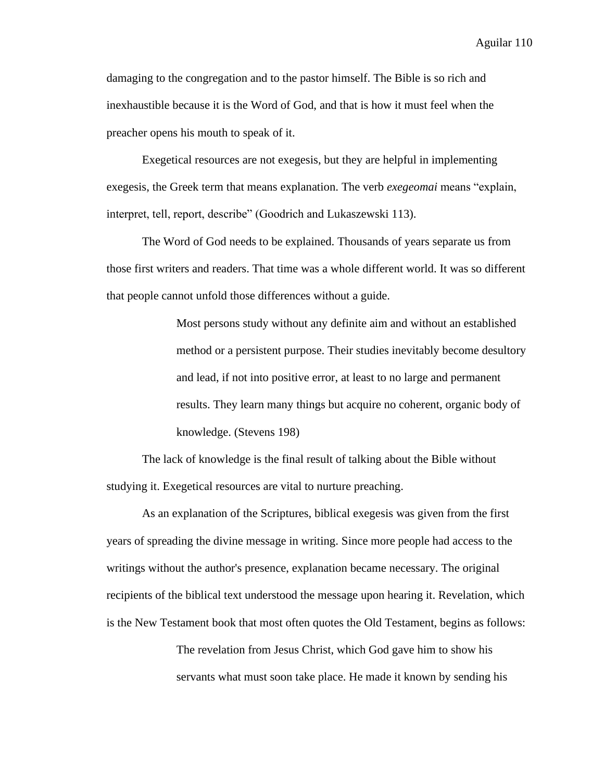damaging to the congregation and to the pastor himself. The Bible is so rich and inexhaustible because it is the Word of God, and that is how it must feel when the preacher opens his mouth to speak of it.

Exegetical resources are not exegesis, but they are helpful in implementing exegesis, the Greek term that means explanation. The verb *exegeomai* means "explain, interpret, tell, report, describe" (Goodrich and Lukaszewski 113).

The Word of God needs to be explained. Thousands of years separate us from those first writers and readers. That time was a whole different world. It was so different that people cannot unfold those differences without a guide.

> Most persons study without any definite aim and without an established method or a persistent purpose. Their studies inevitably become desultory and lead, if not into positive error, at least to no large and permanent results. They learn many things but acquire no coherent, organic body of knowledge. (Stevens 198)

The lack of knowledge is the final result of talking about the Bible without studying it. Exegetical resources are vital to nurture preaching.

As an explanation of the Scriptures, biblical exegesis was given from the first years of spreading the divine message in writing. Since more people had access to the writings without the author's presence, explanation became necessary. The original recipients of the biblical text understood the message upon hearing it. Revelation, which is the New Testament book that most often quotes the Old Testament, begins as follows:

> The revelation from Jesus Christ, which God gave him to show his servants what must soon take place. He made it known by sending his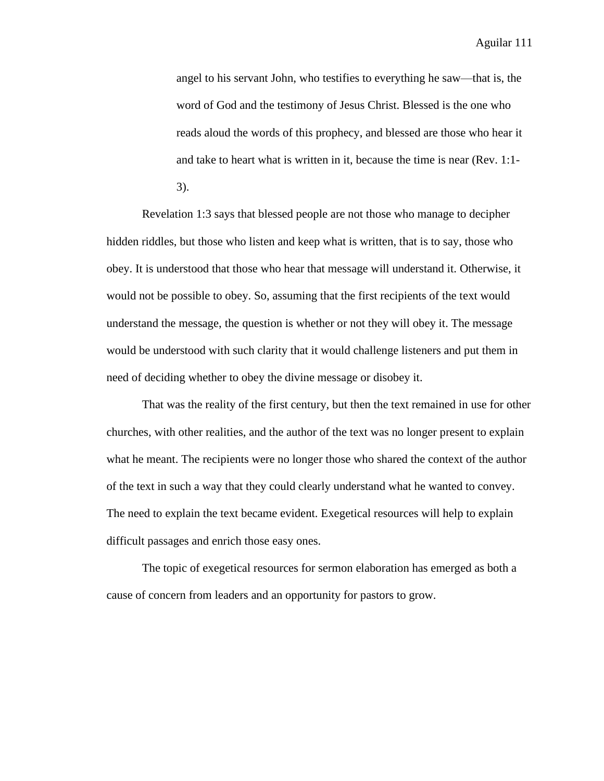angel to his servant John, who testifies to everything he saw—that is, the word of God and the testimony of Jesus Christ. Blessed is the one who reads aloud the words of this prophecy, and blessed are those who hear it and take to heart what is written in it, because the time is near (Rev. 1:1- 3).

Revelation 1:3 says that blessed people are not those who manage to decipher hidden riddles, but those who listen and keep what is written, that is to say, those who obey. It is understood that those who hear that message will understand it. Otherwise, it would not be possible to obey. So, assuming that the first recipients of the text would understand the message, the question is whether or not they will obey it. The message would be understood with such clarity that it would challenge listeners and put them in need of deciding whether to obey the divine message or disobey it.

That was the reality of the first century, but then the text remained in use for other churches, with other realities, and the author of the text was no longer present to explain what he meant. The recipients were no longer those who shared the context of the author of the text in such a way that they could clearly understand what he wanted to convey. The need to explain the text became evident. Exegetical resources will help to explain difficult passages and enrich those easy ones.

The topic of exegetical resources for sermon elaboration has emerged as both a cause of concern from leaders and an opportunity for pastors to grow.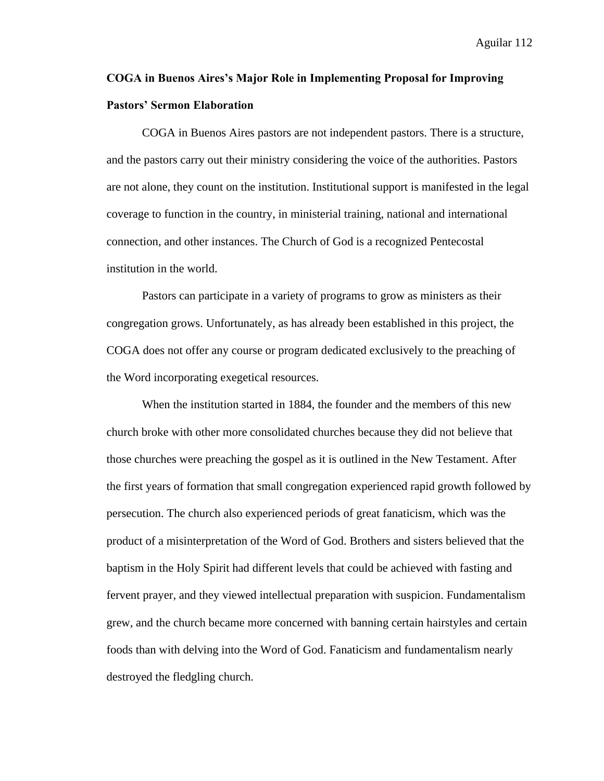# **COGA in Buenos Aires's Major Role in Implementing Proposal for Improving Pastors' Sermon Elaboration**

COGA in Buenos Aires pastors are not independent pastors. There is a structure, and the pastors carry out their ministry considering the voice of the authorities. Pastors are not alone, they count on the institution. Institutional support is manifested in the legal coverage to function in the country, in ministerial training, national and international connection, and other instances. The Church of God is a recognized Pentecostal institution in the world.

Pastors can participate in a variety of programs to grow as ministers as their congregation grows. Unfortunately, as has already been established in this project, the COGA does not offer any course or program dedicated exclusively to the preaching of the Word incorporating exegetical resources.

When the institution started in 1884, the founder and the members of this new church broke with other more consolidated churches because they did not believe that those churches were preaching the gospel as it is outlined in the New Testament. After the first years of formation that small congregation experienced rapid growth followed by persecution. The church also experienced periods of great fanaticism, which was the product of a misinterpretation of the Word of God. Brothers and sisters believed that the baptism in the Holy Spirit had different levels that could be achieved with fasting and fervent prayer, and they viewed intellectual preparation with suspicion. Fundamentalism grew, and the church became more concerned with banning certain hairstyles and certain foods than with delving into the Word of God. Fanaticism and fundamentalism nearly destroyed the fledgling church.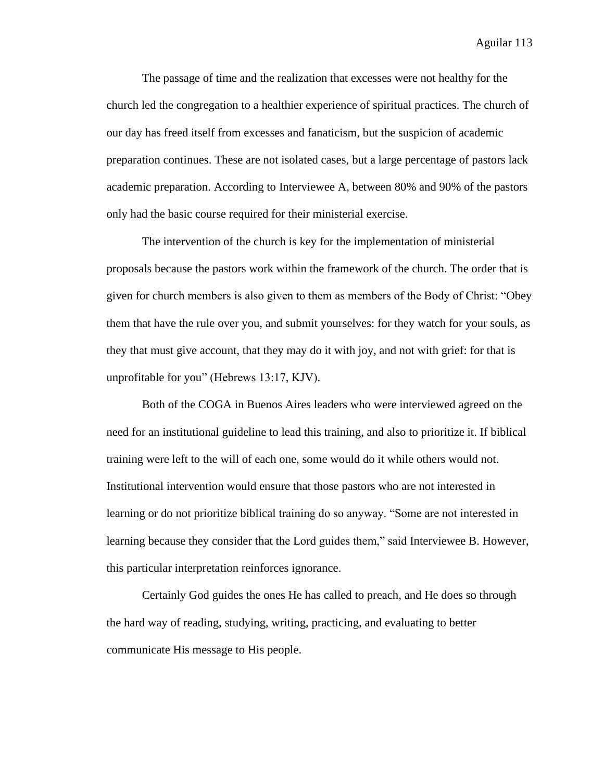The passage of time and the realization that excesses were not healthy for the church led the congregation to a healthier experience of spiritual practices. The church of our day has freed itself from excesses and fanaticism, but the suspicion of academic preparation continues. These are not isolated cases, but a large percentage of pastors lack academic preparation. According to Interviewee A, between 80% and 90% of the pastors only had the basic course required for their ministerial exercise.

The intervention of the church is key for the implementation of ministerial proposals because the pastors work within the framework of the church. The order that is given for church members is also given to them as members of the Body of Christ: "Obey them that have the rule over you, and submit yourselves: for they watch for your souls, as they that must give account, that they may do it with joy, and not with grief: for that is unprofitable for you" (Hebrews 13:17, KJV).

Both of the COGA in Buenos Aires leaders who were interviewed agreed on the need for an institutional guideline to lead this training, and also to prioritize it. If biblical training were left to the will of each one, some would do it while others would not. Institutional intervention would ensure that those pastors who are not interested in learning or do not prioritize biblical training do so anyway. "Some are not interested in learning because they consider that the Lord guides them," said Interviewee B. However, this particular interpretation reinforces ignorance.

Certainly God guides the ones He has called to preach, and He does so through the hard way of reading, studying, writing, practicing, and evaluating to better communicate His message to His people.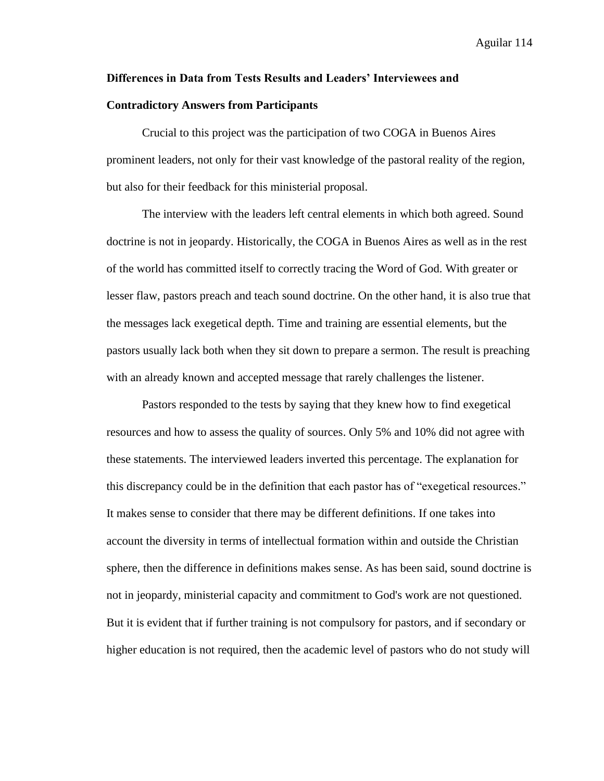#### **Differences in Data from Tests Results and Leaders' Interviewees and**

#### **Contradictory Answers from Participants**

Crucial to this project was the participation of two COGA in Buenos Aires prominent leaders, not only for their vast knowledge of the pastoral reality of the region, but also for their feedback for this ministerial proposal.

The interview with the leaders left central elements in which both agreed. Sound doctrine is not in jeopardy. Historically, the COGA in Buenos Aires as well as in the rest of the world has committed itself to correctly tracing the Word of God. With greater or lesser flaw, pastors preach and teach sound doctrine. On the other hand, it is also true that the messages lack exegetical depth. Time and training are essential elements, but the pastors usually lack both when they sit down to prepare a sermon. The result is preaching with an already known and accepted message that rarely challenges the listener.

Pastors responded to the tests by saying that they knew how to find exegetical resources and how to assess the quality of sources. Only 5% and 10% did not agree with these statements. The interviewed leaders inverted this percentage. The explanation for this discrepancy could be in the definition that each pastor has of "exegetical resources." It makes sense to consider that there may be different definitions. If one takes into account the diversity in terms of intellectual formation within and outside the Christian sphere, then the difference in definitions makes sense. As has been said, sound doctrine is not in jeopardy, ministerial capacity and commitment to God's work are not questioned. But it is evident that if further training is not compulsory for pastors, and if secondary or higher education is not required, then the academic level of pastors who do not study will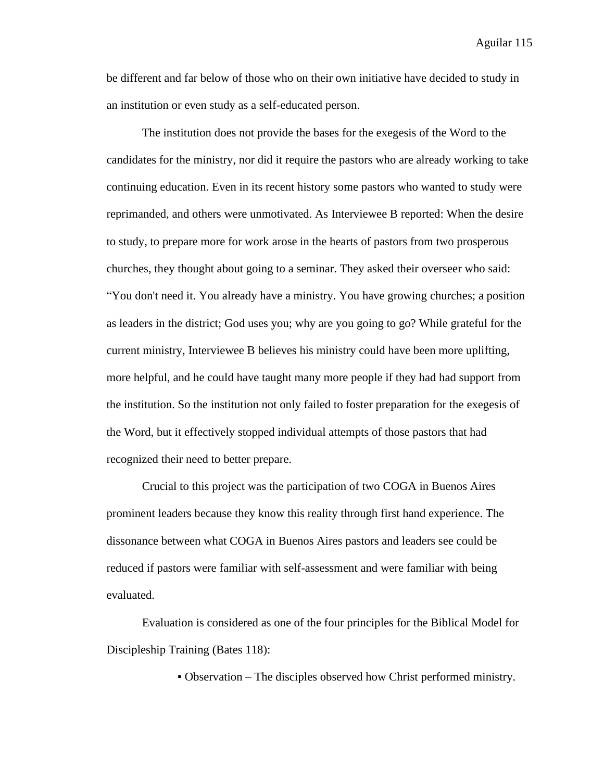be different and far below of those who on their own initiative have decided to study in an institution or even study as a self-educated person.

The institution does not provide the bases for the exegesis of the Word to the candidates for the ministry, nor did it require the pastors who are already working to take continuing education. Even in its recent history some pastors who wanted to study were reprimanded, and others were unmotivated. As Interviewee B reported: When the desire to study, to prepare more for work arose in the hearts of pastors from two prosperous churches, they thought about going to a seminar. They asked their overseer who said: "You don't need it. You already have a ministry. You have growing churches; a position as leaders in the district; God uses you; why are you going to go? While grateful for the current ministry, Interviewee B believes his ministry could have been more uplifting, more helpful, and he could have taught many more people if they had had support from the institution. So the institution not only failed to foster preparation for the exegesis of the Word, but it effectively stopped individual attempts of those pastors that had recognized their need to better prepare.

Crucial to this project was the participation of two COGA in Buenos Aires prominent leaders because they know this reality through first hand experience. The dissonance between what COGA in Buenos Aires pastors and leaders see could be reduced if pastors were familiar with self-assessment and were familiar with being evaluated.

Evaluation is considered as one of the four principles for the Biblical Model for Discipleship Training (Bates 118):

▪ Observation – The disciples observed how Christ performed ministry.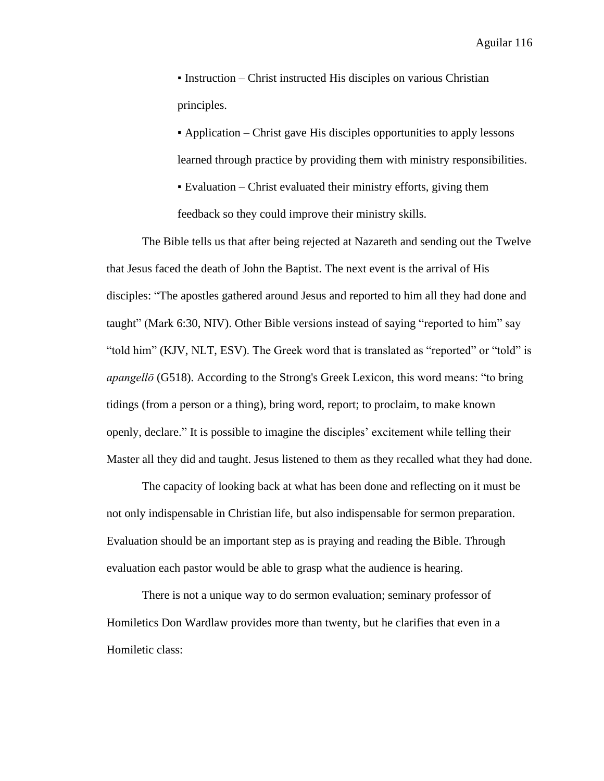▪ Instruction – Christ instructed His disciples on various Christian principles.

▪ Application – Christ gave His disciples opportunities to apply lessons learned through practice by providing them with ministry responsibilities.

▪ Evaluation – Christ evaluated their ministry efforts, giving them feedback so they could improve their ministry skills.

The Bible tells us that after being rejected at Nazareth and sending out the Twelve that Jesus faced the death of John the Baptist. The next event is the arrival of His disciples: "The apostles gathered around Jesus and reported to him all they had done and taught" (Mark 6:30, NIV). Other Bible versions instead of saying "reported to him" say "told him" (KJV, NLT, ESV). The Greek word that is translated as "reported" or "told" is *apangellō* (G518). According to the Strong's Greek Lexicon, this word means: "to bring tidings (from a person or a thing), bring word, report; to proclaim, to make known openly, declare." It is possible to imagine the disciples' excitement while telling their Master all they did and taught. Jesus listened to them as they recalled what they had done.

The capacity of looking back at what has been done and reflecting on it must be not only indispensable in Christian life, but also indispensable for sermon preparation. Evaluation should be an important step as is praying and reading the Bible. Through evaluation each pastor would be able to grasp what the audience is hearing.

There is not a unique way to do sermon evaluation; seminary professor of Homiletics Don Wardlaw provides more than twenty, but he clarifies that even in a Homiletic class: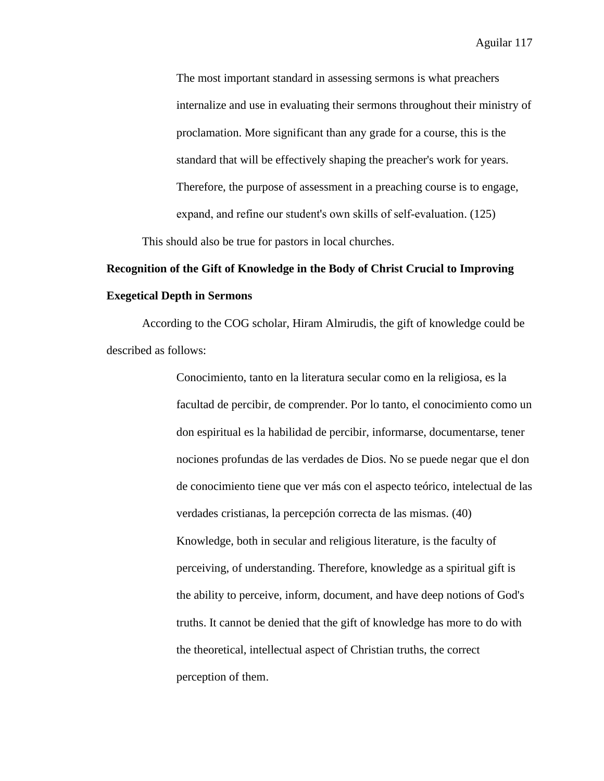The most important standard in assessing sermons is what preachers internalize and use in evaluating their sermons throughout their ministry of proclamation. More significant than any grade for a course, this is the standard that will be effectively shaping the preacher's work for years. Therefore, the purpose of assessment in a preaching course is to engage, expand, and refine our student's own skills of self-evaluation. (125) This should also be true for pastors in local churches.

# **Recognition of the Gift of Knowledge in the Body of Christ Crucial to Improving Exegetical Depth in Sermons**

According to the COG scholar, Hiram Almirudis, the gift of knowledge could be described as follows:

> Conocimiento, tanto en la literatura secular como en la religiosa, es la facultad de percibir, de comprender. Por lo tanto, el conocimiento como un don espiritual es la habilidad de percibir, informarse, documentarse, tener nociones profundas de las verdades de Dios. No se puede negar que el don de conocimiento tiene que ver más con el aspecto teórico, intelectual de las verdades cristianas, la percepción correcta de las mismas. (40) Knowledge, both in secular and religious literature, is the faculty of perceiving, of understanding. Therefore, knowledge as a spiritual gift is the ability to perceive, inform, document, and have deep notions of God's truths. It cannot be denied that the gift of knowledge has more to do with the theoretical, intellectual aspect of Christian truths, the correct perception of them.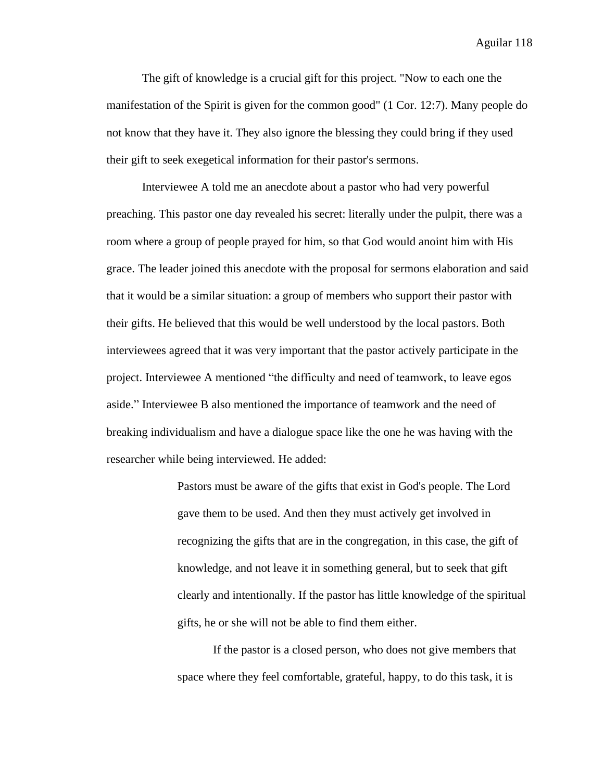The gift of knowledge is a crucial gift for this project. "Now to each one the manifestation of the Spirit is given for the common good" (1 Cor. 12:7). Many people do not know that they have it. They also ignore the blessing they could bring if they used their gift to seek exegetical information for their pastor's sermons.

Interviewee A told me an anecdote about a pastor who had very powerful preaching. This pastor one day revealed his secret: literally under the pulpit, there was a room where a group of people prayed for him, so that God would anoint him with His grace. The leader joined this anecdote with the proposal for sermons elaboration and said that it would be a similar situation: a group of members who support their pastor with their gifts. He believed that this would be well understood by the local pastors. Both interviewees agreed that it was very important that the pastor actively participate in the project. Interviewee A mentioned "the difficulty and need of teamwork, to leave egos aside." Interviewee B also mentioned the importance of teamwork and the need of breaking individualism and have a dialogue space like the one he was having with the researcher while being interviewed. He added:

> Pastors must be aware of the gifts that exist in God's people. The Lord gave them to be used. And then they must actively get involved in recognizing the gifts that are in the congregation, in this case, the gift of knowledge, and not leave it in something general, but to seek that gift clearly and intentionally. If the pastor has little knowledge of the spiritual gifts, he or she will not be able to find them either.

If the pastor is a closed person, who does not give members that space where they feel comfortable, grateful, happy, to do this task, it is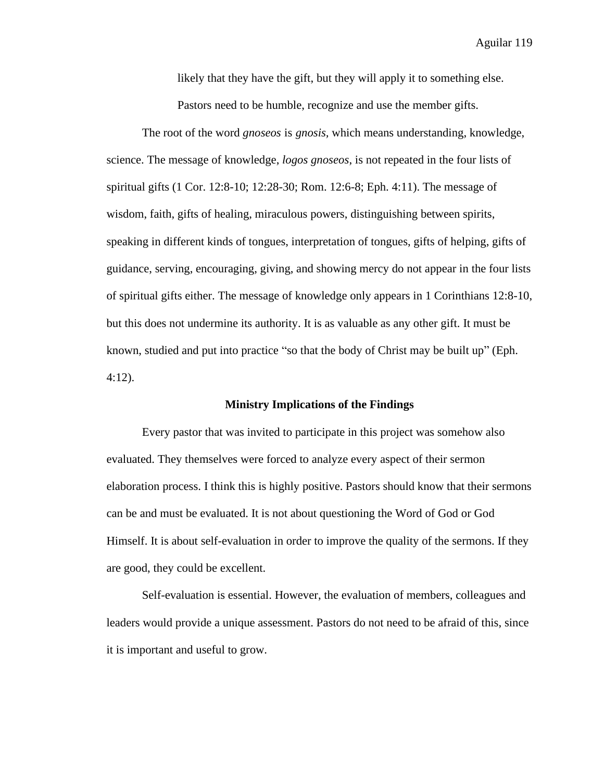likely that they have the gift, but they will apply it to something else. Pastors need to be humble, recognize and use the member gifts.

The root of the word *gnoseos* is *gnosis,* which means understanding, knowledge, science. The message of knowledge, *logos gnoseos*, is not repeated in the four lists of spiritual gifts (1 Cor. 12:8-10; 12:28-30; Rom. 12:6-8; Eph. 4:11). The message of wisdom, faith, gifts of healing, miraculous powers, distinguishing between spirits, speaking in different kinds of tongues, interpretation of tongues, gifts of helping, gifts of guidance, serving, encouraging, giving, and showing mercy do not appear in the four lists of spiritual gifts either. The message of knowledge only appears in 1 Corinthians 12:8-10, but this does not undermine its authority. It is as valuable as any other gift. It must be known, studied and put into practice "so that the body of Christ may be built up" (Eph. 4:12).

#### **Ministry Implications of the Findings**

Every pastor that was invited to participate in this project was somehow also evaluated. They themselves were forced to analyze every aspect of their sermon elaboration process. I think this is highly positive. Pastors should know that their sermons can be and must be evaluated. It is not about questioning the Word of God or God Himself. It is about self-evaluation in order to improve the quality of the sermons. If they are good, they could be excellent.

Self-evaluation is essential. However, the evaluation of members, colleagues and leaders would provide a unique assessment. Pastors do not need to be afraid of this, since it is important and useful to grow.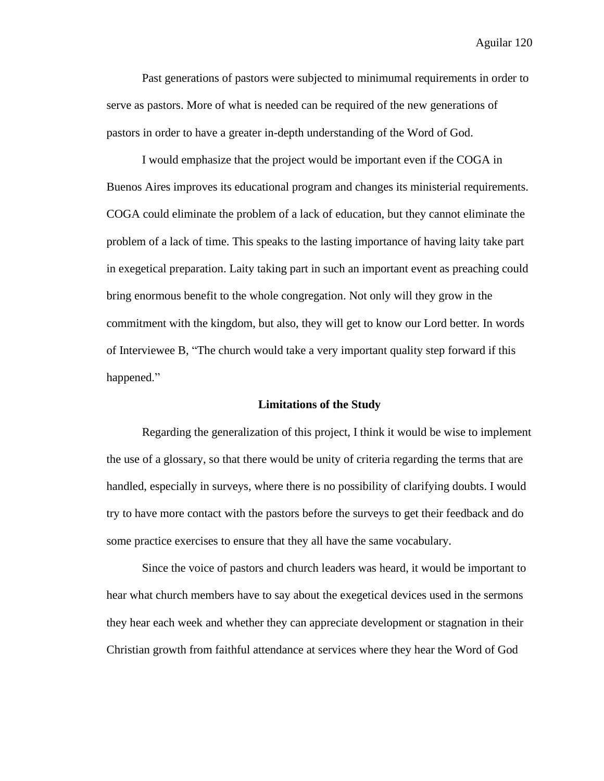Past generations of pastors were subjected to minimumal requirements in order to serve as pastors. More of what is needed can be required of the new generations of pastors in order to have a greater in-depth understanding of the Word of God.

I would emphasize that the project would be important even if the COGA in Buenos Aires improves its educational program and changes its ministerial requirements. COGA could eliminate the problem of a lack of education, but they cannot eliminate the problem of a lack of time. This speaks to the lasting importance of having laity take part in exegetical preparation. Laity taking part in such an important event as preaching could bring enormous benefit to the whole congregation. Not only will they grow in the commitment with the kingdom, but also, they will get to know our Lord better. In words of Interviewee B, "The church would take a very important quality step forward if this happened."

#### **Limitations of the Study**

Regarding the generalization of this project, I think it would be wise to implement the use of a glossary, so that there would be unity of criteria regarding the terms that are handled, especially in surveys, where there is no possibility of clarifying doubts. I would try to have more contact with the pastors before the surveys to get their feedback and do some practice exercises to ensure that they all have the same vocabulary.

Since the voice of pastors and church leaders was heard, it would be important to hear what church members have to say about the exegetical devices used in the sermons they hear each week and whether they can appreciate development or stagnation in their Christian growth from faithful attendance at services where they hear the Word of God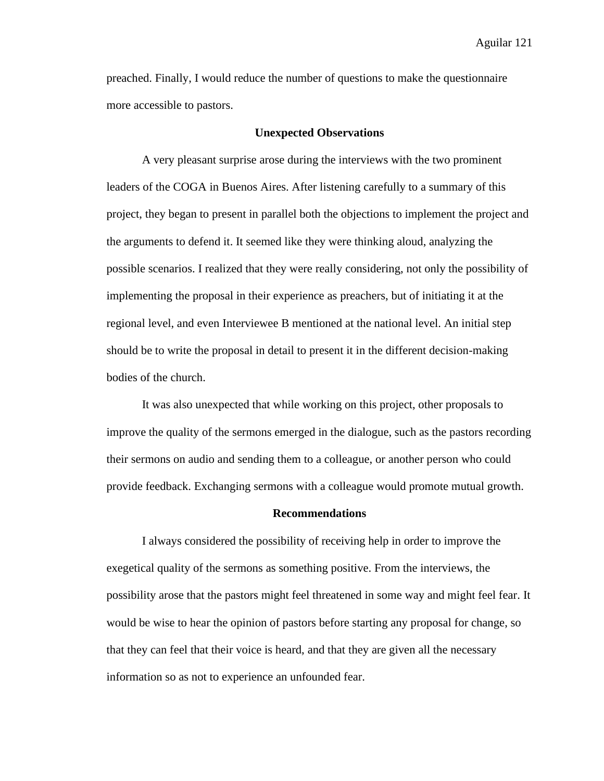preached. Finally, I would reduce the number of questions to make the questionnaire more accessible to pastors.

#### **Unexpected Observations**

A very pleasant surprise arose during the interviews with the two prominent leaders of the COGA in Buenos Aires. After listening carefully to a summary of this project, they began to present in parallel both the objections to implement the project and the arguments to defend it. It seemed like they were thinking aloud, analyzing the possible scenarios. I realized that they were really considering, not only the possibility of implementing the proposal in their experience as preachers, but of initiating it at the regional level, and even Interviewee B mentioned at the national level. An initial step should be to write the proposal in detail to present it in the different decision-making bodies of the church.

It was also unexpected that while working on this project, other proposals to improve the quality of the sermons emerged in the dialogue, such as the pastors recording their sermons on audio and sending them to a colleague, or another person who could provide feedback. Exchanging sermons with a colleague would promote mutual growth.

#### **Recommendations**

I always considered the possibility of receiving help in order to improve the exegetical quality of the sermons as something positive. From the interviews, the possibility arose that the pastors might feel threatened in some way and might feel fear. It would be wise to hear the opinion of pastors before starting any proposal for change, so that they can feel that their voice is heard, and that they are given all the necessary information so as not to experience an unfounded fear.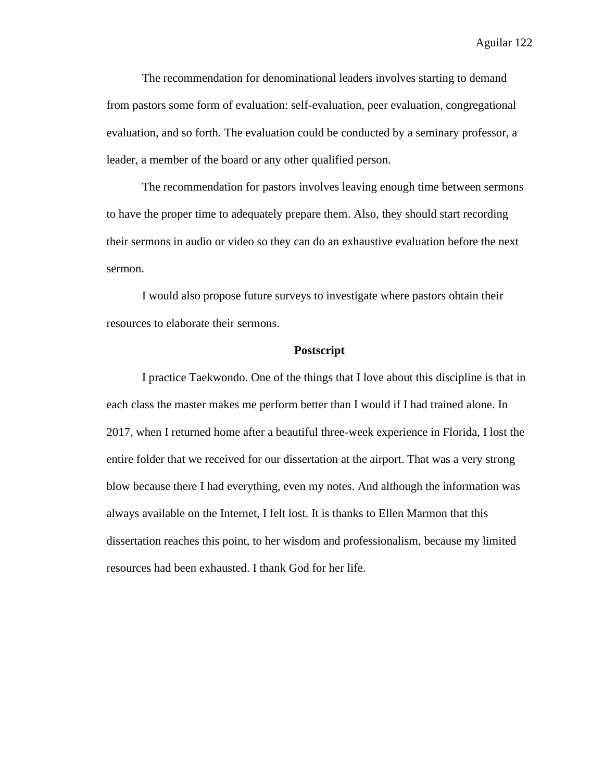The recommendation for denominational leaders involves starting to demand from pastors some form of evaluation: self-evaluation, peer evaluation, congregational evaluation, and so forth. The evaluation could be conducted by a seminary professor, a leader, a member of the board or any other qualified person.

The recommendation for pastors involves leaving enough time between sermons to have the proper time to adequately prepare them. Also, they should start recording their sermons in audio or video so they can do an exhaustive evaluation before the next sermon.

I would also propose future surveys to investigate where pastors obtain their resources to elaborate their sermons.

#### **Postscript**

I practice Taekwondo. One of the things that I love about this discipline is that in each class the master makes me perform better than I would if I had trained alone. In 2017, when I returned home after a beautiful three-week experience in Florida, I lost the entire folder that we received for our dissertation at the airport. That was a very strong blow because there I had everything, even my notes. And although the information was always available on the Internet, I felt lost. It is thanks to Ellen Marmon that this dissertation reaches this point, to her wisdom and professionalism, because my limited resources had been exhausted. I thank God for her life.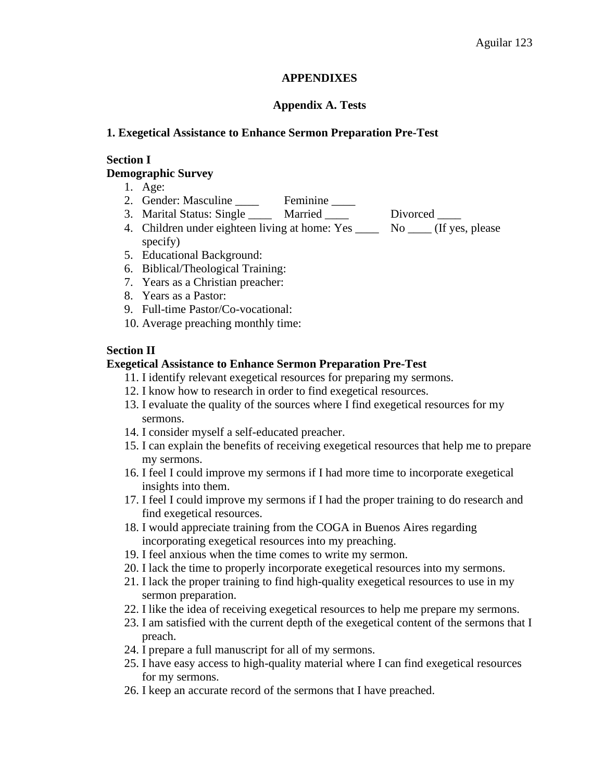## **APPENDIXES**

## **Appendix A. Tests**

## **1. Exegetical Assistance to Enhance Sermon Preparation Pre-Test**

## **Section I**

## **Demographic Survey**

- 1. Age:
- 2. Gender: Masculine \_\_\_\_ Feminine \_\_\_\_
- 3. Marital Status: Single \_\_\_\_\_ Married \_\_\_\_ Divorced \_\_\_\_
- 4. Children under eighteen living at home: Yes \_\_\_\_\_ No \_\_\_\_ (If yes, please specify)
- 5. Educational Background:
- 6. Biblical/Theological Training:
- 7. Years as a Christian preacher:
- 8. Years as a Pastor:
- 9. Full-time Pastor/Co-vocational:
- 10. Average preaching monthly time:

## **Section II**

## **Exegetical Assistance to Enhance Sermon Preparation Pre-Test**

- 11. I identify relevant exegetical resources for preparing my sermons.
- 12. I know how to research in order to find exegetical resources.
- 13. I evaluate the quality of the sources where I find exegetical resources for my sermons.
- 14. I consider myself a self-educated preacher.
- 15. I can explain the benefits of receiving exegetical resources that help me to prepare my sermons.
- 16. I feel I could improve my sermons if I had more time to incorporate exegetical insights into them.
- 17. I feel I could improve my sermons if I had the proper training to do research and find exegetical resources.
- 18. I would appreciate training from the COGA in Buenos Aires regarding incorporating exegetical resources into my preaching.
- 19. I feel anxious when the time comes to write my sermon.
- 20. I lack the time to properly incorporate exegetical resources into my sermons.
- 21. I lack the proper training to find high-quality exegetical resources to use in my sermon preparation.
- 22. I like the idea of receiving exegetical resources to help me prepare my sermons.
- 23. I am satisfied with the current depth of the exegetical content of the sermons that I preach.
- 24. I prepare a full manuscript for all of my sermons.
- 25. I have easy access to high-quality material where I can find exegetical resources for my sermons.
- 26. I keep an accurate record of the sermons that I have preached.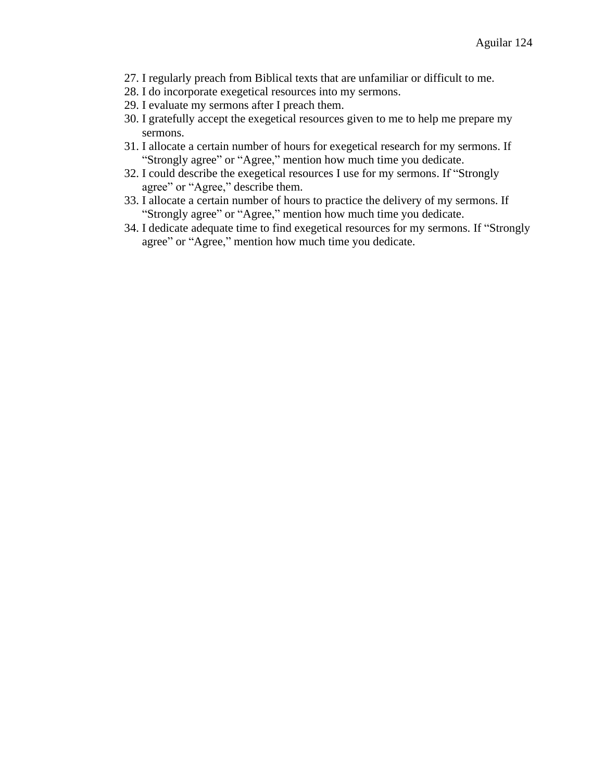- 27. I regularly preach from Biblical texts that are unfamiliar or difficult to me.
- 28. I do incorporate exegetical resources into my sermons.
- 29. I evaluate my sermons after I preach them.
- 30. I gratefully accept the exegetical resources given to me to help me prepare my sermons.
- 31. I allocate a certain number of hours for exegetical research for my sermons. If "Strongly agree" or "Agree," mention how much time you dedicate.
- 32. I could describe the exegetical resources I use for my sermons. If "Strongly agree" or "Agree," describe them.
- 33. I allocate a certain number of hours to practice the delivery of my sermons. If "Strongly agree" or "Agree," mention how much time you dedicate.
- 34. I dedicate adequate time to find exegetical resources for my sermons. If "Strongly agree" or "Agree," mention how much time you dedicate.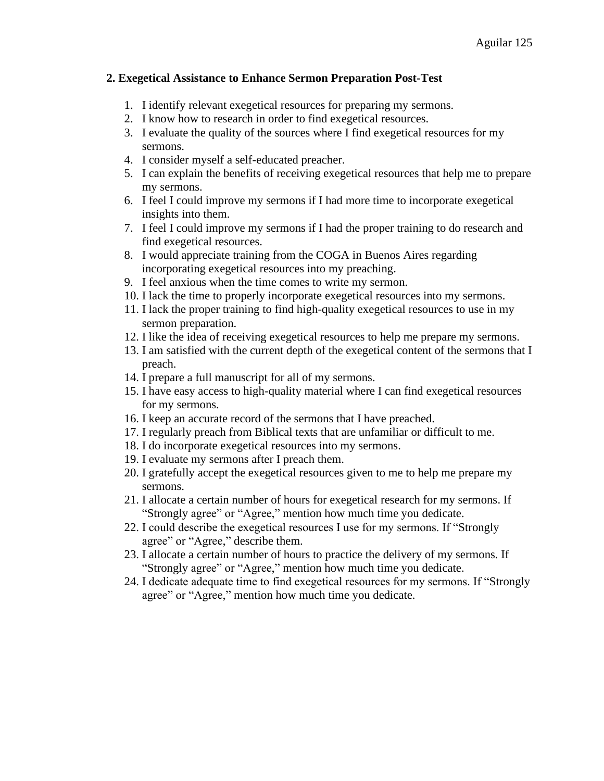## **2. Exegetical Assistance to Enhance Sermon Preparation Post-Test**

- 1. I identify relevant exegetical resources for preparing my sermons.
- 2. I know how to research in order to find exegetical resources.
- 3. I evaluate the quality of the sources where I find exegetical resources for my sermons.
- 4. I consider myself a self-educated preacher.
- 5. I can explain the benefits of receiving exegetical resources that help me to prepare my sermons.
- 6. I feel I could improve my sermons if I had more time to incorporate exegetical insights into them.
- 7. I feel I could improve my sermons if I had the proper training to do research and find exegetical resources.
- 8. I would appreciate training from the COGA in Buenos Aires regarding incorporating exegetical resources into my preaching.
- 9. I feel anxious when the time comes to write my sermon.
- 10. I lack the time to properly incorporate exegetical resources into my sermons.
- 11. I lack the proper training to find high-quality exegetical resources to use in my sermon preparation.
- 12. I like the idea of receiving exegetical resources to help me prepare my sermons.
- 13. I am satisfied with the current depth of the exegetical content of the sermons that I preach.
- 14. I prepare a full manuscript for all of my sermons.
- 15. I have easy access to high-quality material where I can find exegetical resources for my sermons.
- 16. I keep an accurate record of the sermons that I have preached.
- 17. I regularly preach from Biblical texts that are unfamiliar or difficult to me.
- 18. I do incorporate exegetical resources into my sermons.
- 19. I evaluate my sermons after I preach them.
- 20. I gratefully accept the exegetical resources given to me to help me prepare my sermons.
- 21. I allocate a certain number of hours for exegetical research for my sermons. If "Strongly agree" or "Agree," mention how much time you dedicate.
- 22. I could describe the exegetical resources I use for my sermons. If "Strongly agree" or "Agree," describe them.
- 23. I allocate a certain number of hours to practice the delivery of my sermons. If "Strongly agree" or "Agree," mention how much time you dedicate.
- 24. I dedicate adequate time to find exegetical resources for my sermons. If "Strongly agree" or "Agree," mention how much time you dedicate.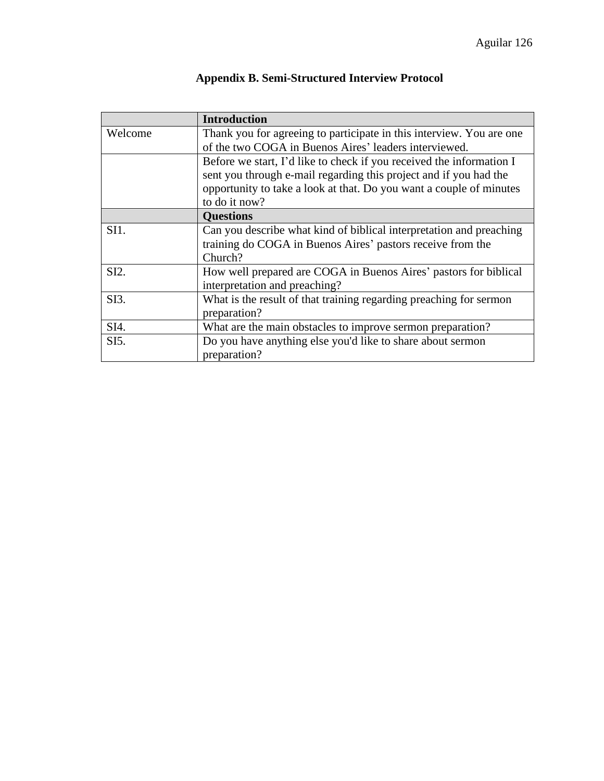|                   | <b>Introduction</b>                                                  |  |
|-------------------|----------------------------------------------------------------------|--|
| Welcome           | Thank you for agreeing to participate in this interview. You are one |  |
|                   | of the two COGA in Buenos Aires' leaders interviewed.                |  |
|                   | Before we start, I'd like to check if you received the information I |  |
|                   | sent you through e-mail regarding this project and if you had the    |  |
|                   | opportunity to take a look at that. Do you want a couple of minutes  |  |
|                   | to do it now?                                                        |  |
|                   | <b>Questions</b>                                                     |  |
| SI1.              | Can you describe what kind of biblical interpretation and preaching  |  |
|                   | training do COGA in Buenos Aires' pastors receive from the           |  |
|                   | Church?                                                              |  |
| SI2.              | How well prepared are COGA in Buenos Aires' pastors for biblical     |  |
|                   | interpretation and preaching?                                        |  |
| SI3.              | What is the result of that training regarding preaching for sermon   |  |
|                   | preparation?                                                         |  |
| SI4.              | What are the main obstacles to improve sermon preparation?           |  |
| SI <sub>5</sub> . | Do you have anything else you'd like to share about sermon           |  |
|                   | preparation?                                                         |  |

## **Appendix B. Semi-Structured Interview Protocol**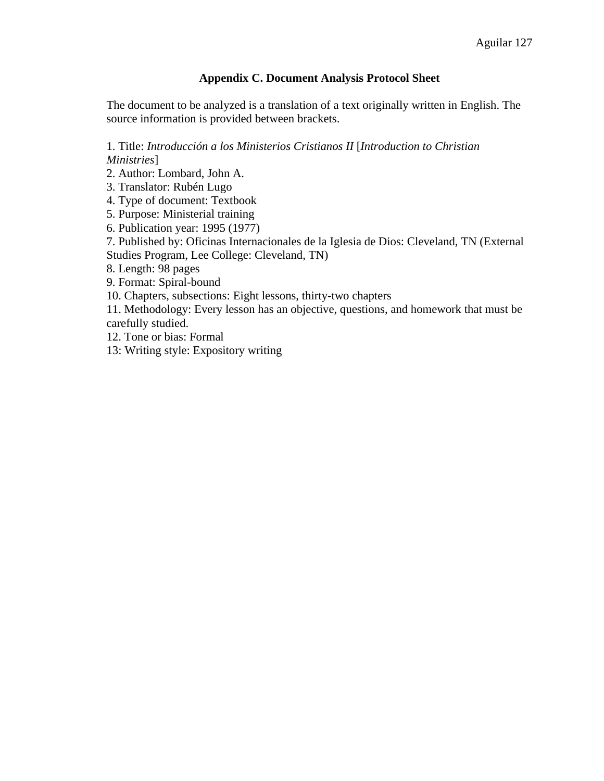## **Appendix C. Document Analysis Protocol Sheet**

The document to be analyzed is a translation of a text originally written in English. The source information is provided between brackets.

1. Title: *Introducción a los Ministerios Cristianos II* [*Introduction to Christian Ministries*]

2. Author: Lombard, John A.

3. Translator: Rubén Lugo

4. Type of document: Textbook

5. Purpose: Ministerial training

6. Publication year: 1995 (1977)

7. Published by: Oficinas Internacionales de la Iglesia de Dios: Cleveland, TN (External Studies Program, Lee College: Cleveland, TN)

8. Length: 98 pages

9. Format: Spiral-bound

10. Chapters, subsections: Eight lessons, thirty-two chapters

11. Methodology: Every lesson has an objective, questions, and homework that must be carefully studied.

12. Tone or bias: Formal

13: Writing style: Expository writing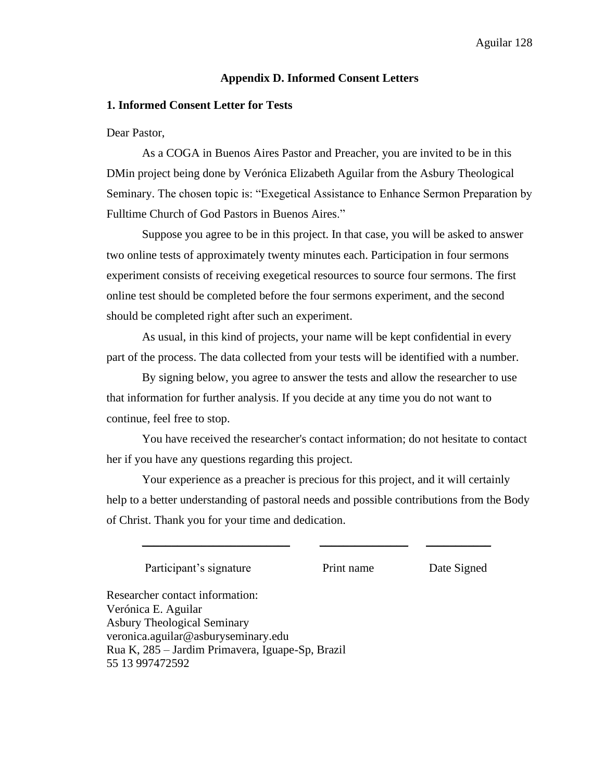#### **Appendix D. Informed Consent Letters**

#### **1. Informed Consent Letter for Tests**

Dear Pastor,

As a COGA in Buenos Aires Pastor and Preacher, you are invited to be in this DMin project being done by Verónica Elizabeth Aguilar from the Asbury Theological Seminary. The chosen topic is: "Exegetical Assistance to Enhance Sermon Preparation by Fulltime Church of God Pastors in Buenos Aires."

Suppose you agree to be in this project. In that case, you will be asked to answer two online tests of approximately twenty minutes each. Participation in four sermons experiment consists of receiving exegetical resources to source four sermons. The first online test should be completed before the four sermons experiment, and the second should be completed right after such an experiment.

As usual, in this kind of projects, your name will be kept confidential in every part of the process. The data collected from your tests will be identified with a number.

By signing below, you agree to answer the tests and allow the researcher to use that information for further analysis. If you decide at any time you do not want to continue, feel free to stop.

You have received the researcher's contact information; do not hesitate to contact her if you have any questions regarding this project.

Your experience as a preacher is precious for this project, and it will certainly help to a better understanding of pastoral needs and possible contributions from the Body of Christ. Thank you for your time and dedication.

\_\_\_\_\_\_\_\_\_\_\_\_\_\_\_\_\_\_\_\_\_\_\_\_\_ \_\_\_\_\_\_\_\_\_\_\_\_\_\_\_ \_\_\_\_\_\_\_\_\_\_\_

Participant's signature Print name Date Signed

Researcher contact information: Verónica E. Aguilar Asbury Theological Seminary veronica.aguilar@asburyseminary.edu Rua K, 285 – Jardim Primavera, Iguape-Sp, Brazil 55 13 997472592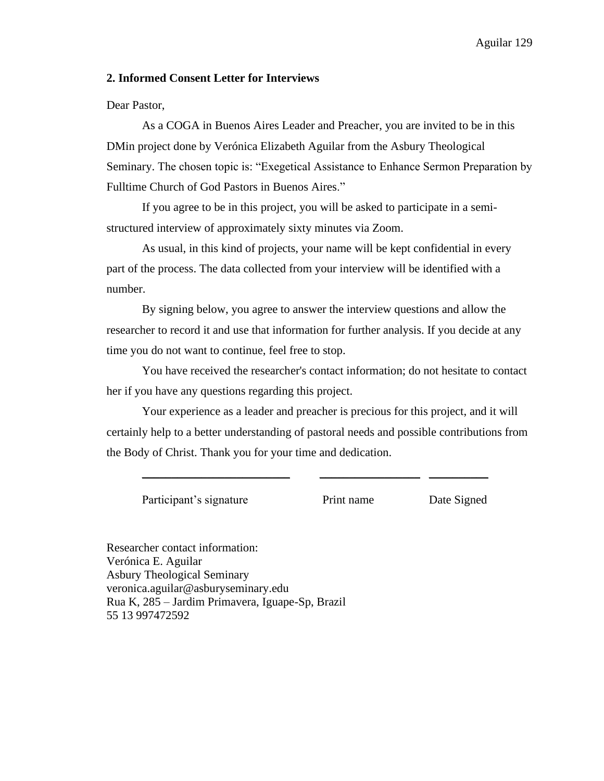#### **2. Informed Consent Letter for Interviews**

Dear Pastor,

As a COGA in Buenos Aires Leader and Preacher, you are invited to be in this DMin project done by Verónica Elizabeth Aguilar from the Asbury Theological Seminary. The chosen topic is: "Exegetical Assistance to Enhance Sermon Preparation by Fulltime Church of God Pastors in Buenos Aires."

If you agree to be in this project, you will be asked to participate in a semistructured interview of approximately sixty minutes via Zoom.

As usual, in this kind of projects, your name will be kept confidential in every part of the process. The data collected from your interview will be identified with a number.

By signing below, you agree to answer the interview questions and allow the researcher to record it and use that information for further analysis. If you decide at any time you do not want to continue, feel free to stop.

You have received the researcher's contact information; do not hesitate to contact her if you have any questions regarding this project.

Your experience as a leader and preacher is precious for this project, and it will certainly help to a better understanding of pastoral needs and possible contributions from the Body of Christ. Thank you for your time and dedication.

\_\_\_\_\_\_\_\_\_\_\_\_\_\_\_\_\_\_\_\_\_\_\_\_\_ \_\_\_\_\_\_\_\_\_\_\_\_\_\_\_\_\_ \_\_\_\_\_\_\_\_\_\_

Participant's signature Print name Date Signed

Researcher contact information: Verónica E. Aguilar Asbury Theological Seminary veronica.aguilar@asburyseminary.edu Rua K, 285 – Jardim Primavera, Iguape-Sp, Brazil 55 13 997472592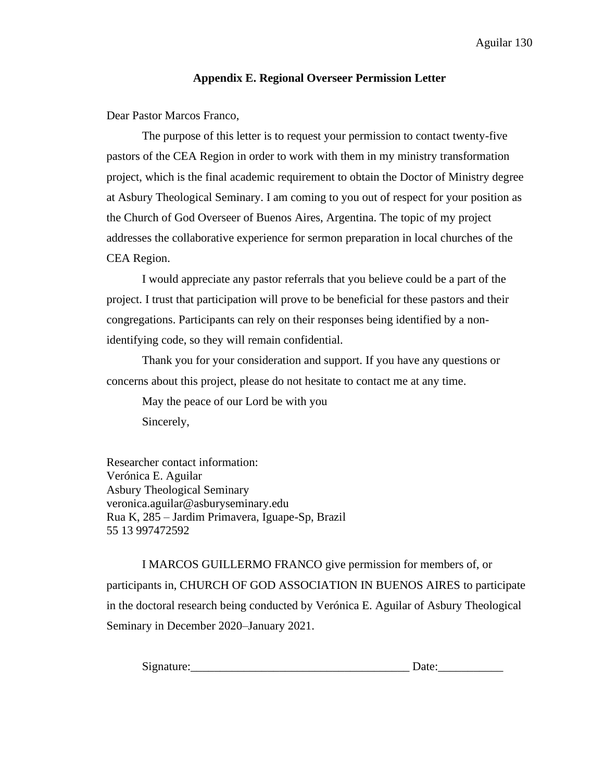## **Appendix E. Regional Overseer Permission Letter**

Dear Pastor Marcos Franco,

The purpose of this letter is to request your permission to contact twenty-five pastors of the CEA Region in order to work with them in my ministry transformation project, which is the final academic requirement to obtain the Doctor of Ministry degree at Asbury Theological Seminary. I am coming to you out of respect for your position as the Church of God Overseer of Buenos Aires, Argentina. The topic of my project addresses the collaborative experience for sermon preparation in local churches of the CEA Region.

I would appreciate any pastor referrals that you believe could be a part of the project. I trust that participation will prove to be beneficial for these pastors and their congregations. Participants can rely on their responses being identified by a nonidentifying code, so they will remain confidential.

Thank you for your consideration and support. If you have any questions or concerns about this project, please do not hesitate to contact me at any time.

May the peace of our Lord be with you Sincerely,

Researcher contact information: Verónica E. Aguilar Asbury Theological Seminary veronica.aguilar@asburyseminary.edu Rua K, 285 – Jardim Primavera, Iguape-Sp, Brazil 55 13 997472592

I MARCOS GUILLERMO FRANCO give permission for members of, or participants in, CHURCH OF GOD ASSOCIATION IN BUENOS AIRES to participate in the doctoral research being conducted by Verónica E. Aguilar of Asbury Theological Seminary in December 2020–January 2021.

| Signature:<br>້ |  |
|-----------------|--|
|                 |  |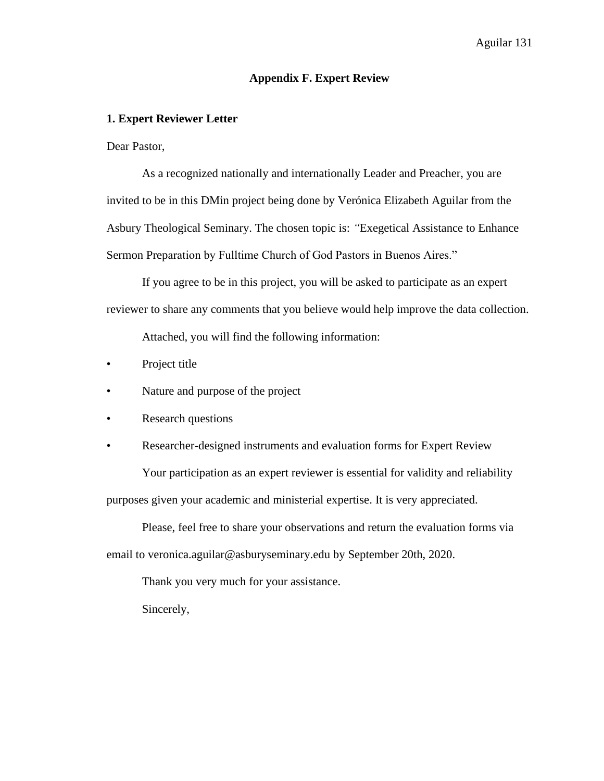#### **Appendix F. Expert Review**

### **1. Expert Reviewer Letter**

Dear Pastor,

As a recognized nationally and internationally Leader and Preacher, you are invited to be in this DMin project being done by Verónica Elizabeth Aguilar from the Asbury Theological Seminary. The chosen topic is: *"*Exegetical Assistance to Enhance Sermon Preparation by Fulltime Church of God Pastors in Buenos Aires."

If you agree to be in this project, you will be asked to participate as an expert reviewer to share any comments that you believe would help improve the data collection.

Attached, you will find the following information:

- Project title
- Nature and purpose of the project
- Research questions
- Researcher-designed instruments and evaluation forms for Expert Review Your participation as an expert reviewer is essential for validity and reliability purposes given your academic and ministerial expertise. It is very appreciated.

Please, feel free to share your observations and return the evaluation forms via email to veronica.aguilar@asburyseminary.edu by September 20th, 2020.

Thank you very much for your assistance.

Sincerely,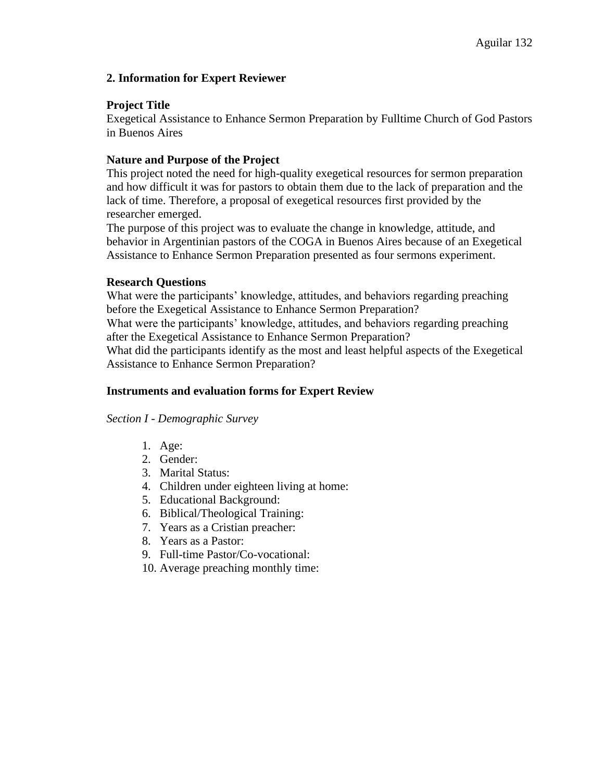## **2. Information for Expert Reviewer**

## **Project Title**

Exegetical Assistance to Enhance Sermon Preparation by Fulltime Church of God Pastors in Buenos Aires

## **Nature and Purpose of the Project**

This project noted the need for high-quality exegetical resources for sermon preparation and how difficult it was for pastors to obtain them due to the lack of preparation and the lack of time. Therefore, a proposal of exegetical resources first provided by the researcher emerged.

The purpose of this project was to evaluate the change in knowledge, attitude, and behavior in Argentinian pastors of the COGA in Buenos Aires because of an Exegetical Assistance to Enhance Sermon Preparation presented as four sermons experiment.

## **Research Questions**

What were the participants' knowledge, attitudes, and behaviors regarding preaching before the Exegetical Assistance to Enhance Sermon Preparation?

What were the participants' knowledge, attitudes, and behaviors regarding preaching after the Exegetical Assistance to Enhance Sermon Preparation?

What did the participants identify as the most and least helpful aspects of the Exegetical Assistance to Enhance Sermon Preparation?

## **Instruments and evaluation forms for Expert Review**

## *Section I - Demographic Survey*

- 1. Age:
- 2. Gender:
- 3. Marital Status:
- 4. Children under eighteen living at home:
- 5. Educational Background:
- 6. Biblical/Theological Training:
- 7. Years as a Cristian preacher:
- 8. Years as a Pastor:
- 9. Full-time Pastor/Co-vocational:
- 10. Average preaching monthly time: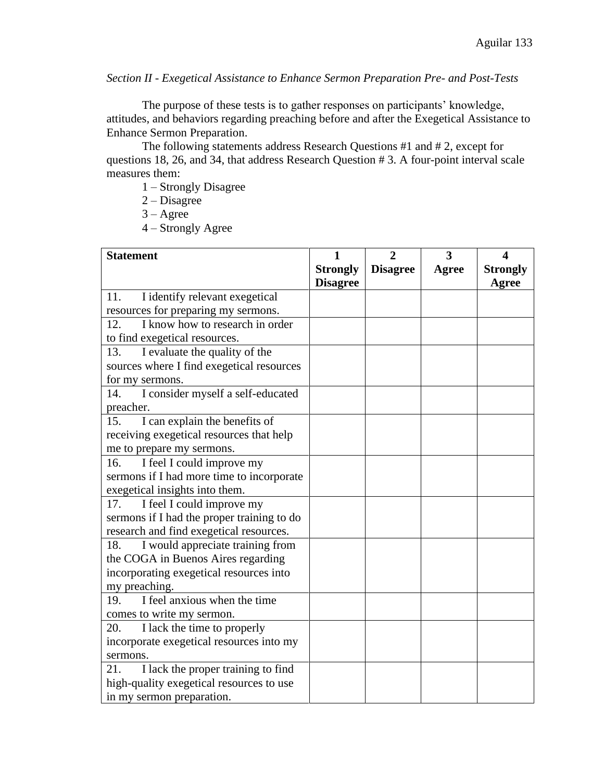*Section II - Exegetical Assistance to Enhance Sermon Preparation Pre- and Post-Tests*

The purpose of these tests is to gather responses on participants' knowledge, attitudes, and behaviors regarding preaching before and after the Exegetical Assistance to Enhance Sermon Preparation.

The following statements address Research Questions #1 and # 2, except for questions 18, 26, and 34, that address Research Question # 3. A four-point interval scale measures them:

1 – Strongly Disagree

2 – Disagree

 $3 - \text{Agree}$ 

4 – Strongly Agree

| <b>Statement</b>                           | 1               | $\overline{2}$  | 3     | 4               |
|--------------------------------------------|-----------------|-----------------|-------|-----------------|
|                                            | <b>Strongly</b> | <b>Disagree</b> | Agree | <b>Strongly</b> |
|                                            | <b>Disagree</b> |                 |       | Agree           |
| 11.<br>I identify relevant exegetical      |                 |                 |       |                 |
| resources for preparing my sermons.        |                 |                 |       |                 |
| I know how to research in order<br>12.     |                 |                 |       |                 |
| to find exegetical resources.              |                 |                 |       |                 |
| I evaluate the quality of the<br>13.       |                 |                 |       |                 |
| sources where I find exegetical resources  |                 |                 |       |                 |
| for my sermons.                            |                 |                 |       |                 |
| I consider myself a self-educated<br>14.   |                 |                 |       |                 |
| preacher.                                  |                 |                 |       |                 |
| I can explain the benefits of<br>15.       |                 |                 |       |                 |
| receiving exegetical resources that help   |                 |                 |       |                 |
| me to prepare my sermons.                  |                 |                 |       |                 |
| I feel I could improve my<br>16.           |                 |                 |       |                 |
| sermons if I had more time to incorporate  |                 |                 |       |                 |
| exegetical insights into them.             |                 |                 |       |                 |
| I feel I could improve my<br>17.           |                 |                 |       |                 |
| sermons if I had the proper training to do |                 |                 |       |                 |
| research and find exegetical resources.    |                 |                 |       |                 |
| I would appreciate training from<br>18.    |                 |                 |       |                 |
| the COGA in Buenos Aires regarding         |                 |                 |       |                 |
| incorporating exegetical resources into    |                 |                 |       |                 |
| my preaching.                              |                 |                 |       |                 |
| I feel anxious when the time<br>19.        |                 |                 |       |                 |
| comes to write my sermon.                  |                 |                 |       |                 |
| I lack the time to properly<br>20.         |                 |                 |       |                 |
| incorporate exegetical resources into my   |                 |                 |       |                 |
| sermons.                                   |                 |                 |       |                 |
| I lack the proper training to find<br>21.  |                 |                 |       |                 |
| high-quality exegetical resources to use   |                 |                 |       |                 |
| in my sermon preparation.                  |                 |                 |       |                 |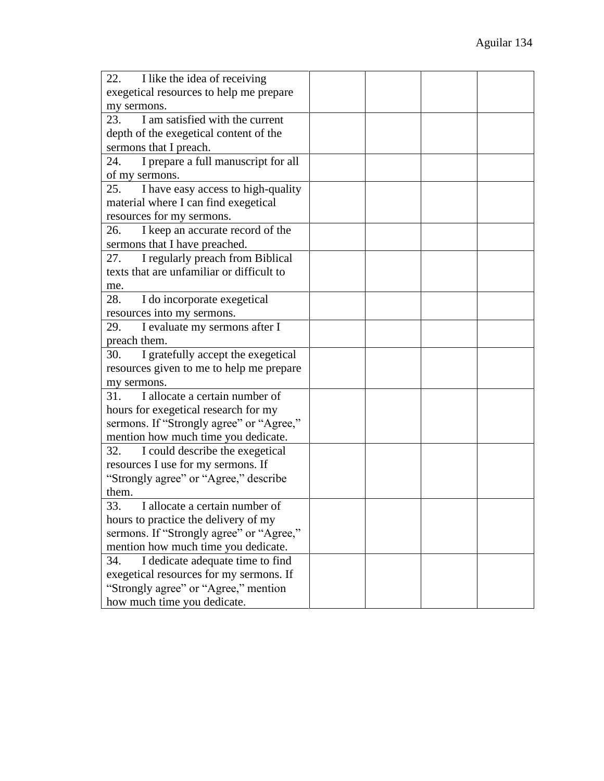| 22.<br>I like the idea of receiving        |  |  |
|--------------------------------------------|--|--|
| exegetical resources to help me prepare    |  |  |
| my sermons.                                |  |  |
| I am satisfied with the current<br>23.     |  |  |
| depth of the exegetical content of the     |  |  |
| sermons that I preach.                     |  |  |
| I prepare a full manuscript for all<br>24. |  |  |
| of my sermons.                             |  |  |
| 25.<br>I have easy access to high-quality  |  |  |
| material where I can find exegetical       |  |  |
| resources for my sermons.                  |  |  |
| I keep an accurate record of the<br>26.    |  |  |
| sermons that I have preached.              |  |  |
| I regularly preach from Biblical<br>27.    |  |  |
| texts that are unfamiliar or difficult to  |  |  |
| me.                                        |  |  |
| 28.<br>I do incorporate exegetical         |  |  |
| resources into my sermons.                 |  |  |
| 29.<br>I evaluate my sermons after I       |  |  |
| preach them.                               |  |  |
| I gratefully accept the exegetical<br>30.  |  |  |
| resources given to me to help me prepare   |  |  |
| my sermons.                                |  |  |
| I allocate a certain number of<br>31.      |  |  |
| hours for exegetical research for my       |  |  |
| sermons. If "Strongly agree" or "Agree,"   |  |  |
| mention how much time you dedicate.        |  |  |
| I could describe the exegetical<br>32.     |  |  |
| resources I use for my sermons. If         |  |  |
| "Strongly agree" or "Agree," describe      |  |  |
| them.                                      |  |  |
| I allocate a certain number of<br>33.      |  |  |
| hours to practice the delivery of my       |  |  |
| sermons. If "Strongly agree" or "Agree,"   |  |  |
| mention how much time you dedicate.        |  |  |
| I dedicate adequate time to find<br>34.    |  |  |
| exegetical resources for my sermons. If    |  |  |
| "Strongly agree" or "Agree," mention       |  |  |
| how much time you dedicate.                |  |  |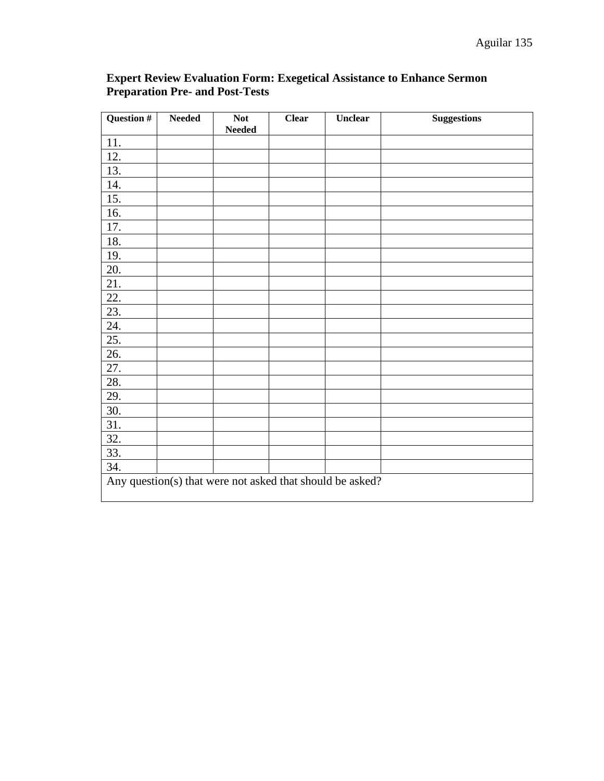| Question # | <b>Needed</b> | <b>Not</b><br>Needed | <b>Clear</b> | Unclear                                                   | <b>Suggestions</b> |
|------------|---------------|----------------------|--------------|-----------------------------------------------------------|--------------------|
| 11.        |               |                      |              |                                                           |                    |
| 12.        |               |                      |              |                                                           |                    |
| 13.        |               |                      |              |                                                           |                    |
| 14.        |               |                      |              |                                                           |                    |
| 15.        |               |                      |              |                                                           |                    |
| 16.        |               |                      |              |                                                           |                    |
| 17.        |               |                      |              |                                                           |                    |
| 18.        |               |                      |              |                                                           |                    |
| 19.        |               |                      |              |                                                           |                    |
| 20.        |               |                      |              |                                                           |                    |
| 21.        |               |                      |              |                                                           |                    |
| 22.        |               |                      |              |                                                           |                    |
| 23.        |               |                      |              |                                                           |                    |
| 24.        |               |                      |              |                                                           |                    |
| 25.        |               |                      |              |                                                           |                    |
| 26.        |               |                      |              |                                                           |                    |
| 27.        |               |                      |              |                                                           |                    |
| 28.        |               |                      |              |                                                           |                    |
| 29.        |               |                      |              |                                                           |                    |
| 30.        |               |                      |              |                                                           |                    |
| 31.        |               |                      |              |                                                           |                    |
| 32.        |               |                      |              |                                                           |                    |
| 33.        |               |                      |              |                                                           |                    |
| 34.        |               |                      |              |                                                           |                    |
|            |               |                      |              | Any question(s) that were not asked that should be asked? |                    |

## **Expert Review Evaluation Form: Exegetical Assistance to Enhance Sermon Preparation Pre- and Post-Tests**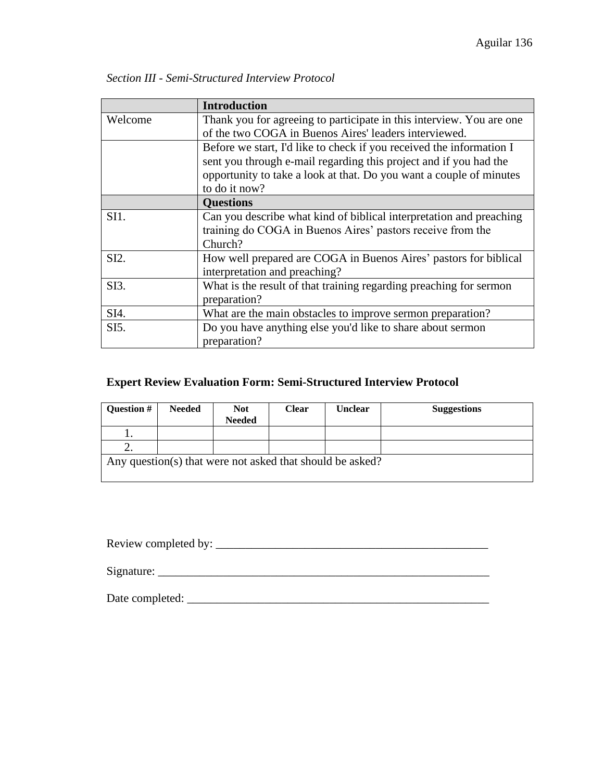|         | <b>Introduction</b>                                                  |  |  |  |  |  |
|---------|----------------------------------------------------------------------|--|--|--|--|--|
| Welcome | Thank you for agreeing to participate in this interview. You are one |  |  |  |  |  |
|         | of the two COGA in Buenos Aires' leaders interviewed.                |  |  |  |  |  |
|         | Before we start, I'd like to check if you received the information I |  |  |  |  |  |
|         | sent you through e-mail regarding this project and if you had the    |  |  |  |  |  |
|         | opportunity to take a look at that. Do you want a couple of minutes  |  |  |  |  |  |
|         | to do it now?                                                        |  |  |  |  |  |
|         | <b>Questions</b>                                                     |  |  |  |  |  |
| SI1.    | Can you describe what kind of biblical interpretation and preaching  |  |  |  |  |  |
|         | training do COGA in Buenos Aires' pastors receive from the           |  |  |  |  |  |
|         | Church?                                                              |  |  |  |  |  |
| SI2.    | How well prepared are COGA in Buenos Aires' pastors for biblical     |  |  |  |  |  |
|         | interpretation and preaching?                                        |  |  |  |  |  |
| SI3.    | What is the result of that training regarding preaching for sermon   |  |  |  |  |  |
|         | preparation?                                                         |  |  |  |  |  |
| SI4.    | What are the main obstacles to improve sermon preparation?           |  |  |  |  |  |
| SI5.    | Do you have anything else you'd like to share about sermon           |  |  |  |  |  |
|         | preparation?                                                         |  |  |  |  |  |

*Section III - Semi-Structured Interview Protocol*

# **Expert Review Evaluation Form: Semi-Structured Interview Protocol**

| <b>Question #</b>                                         | <b>Needed</b> | <b>Not</b><br><b>Needed</b> | Clear | <b>Unclear</b> | <b>Suggestions</b> |  |
|-----------------------------------------------------------|---------------|-----------------------------|-------|----------------|--------------------|--|
|                                                           |               |                             |       |                |                    |  |
|                                                           |               |                             |       |                |                    |  |
| Any question(s) that were not asked that should be asked? |               |                             |       |                |                    |  |

Review completed by: \_\_\_\_\_\_\_\_\_\_\_\_\_\_\_\_\_\_\_\_\_\_\_\_\_\_\_\_\_\_\_\_\_\_\_\_\_\_\_\_\_\_\_\_\_\_

Signature: \_\_\_\_\_\_\_\_\_\_\_\_\_\_\_\_\_\_\_\_\_\_\_\_\_\_\_\_\_\_\_\_\_\_\_\_\_\_\_\_\_\_\_\_\_\_\_\_\_\_\_\_\_\_\_\_

Date completed: \_\_\_\_\_\_\_\_\_\_\_\_\_\_\_\_\_\_\_\_\_\_\_\_\_\_\_\_\_\_\_\_\_\_\_\_\_\_\_\_\_\_\_\_\_\_\_\_\_\_\_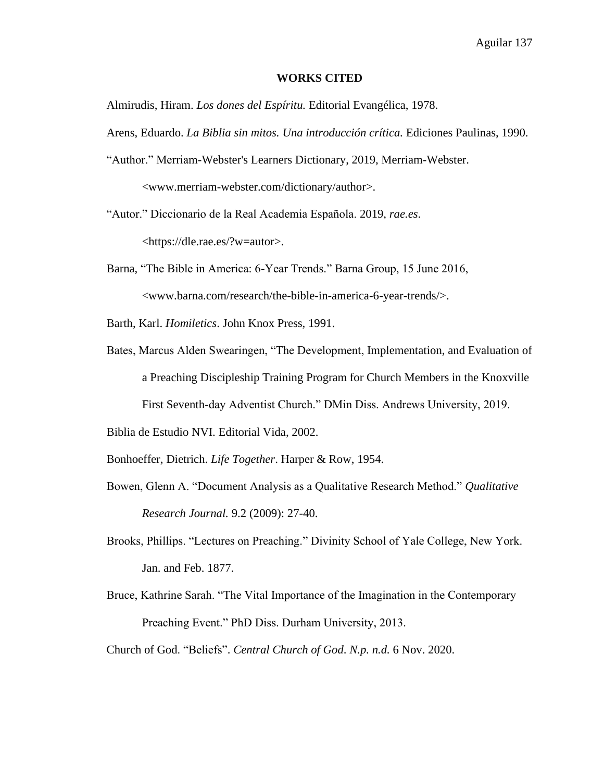#### **WORKS CITED**

Almirudis, Hiram. *Los dones del Espíritu.* Editorial Evangélica, 1978.

- Arens, Eduardo. *La Biblia sin mitos. Una introducción crítica.* Ediciones Paulinas, 1990.
- "Author." Merriam-Webster's Learners Dictionary, 2019, Merriam-Webster.

<www.merriam-webster.com/dictionary/author>.

"Autor." Diccionario de la Real Academia Española. 2019, *rae.es*.

[<https://dle.rae.es/?w=autor>](https://dle.rae.es/?w=autor).

Barna, "The Bible in America: 6-Year Trends." Barna Group, 15 June 2016, <www.barna.com/research/the-bible-in-america-6-year-trends/>.

- Barth, Karl. *Homiletics*. John Knox Press, 1991.
- Bates, Marcus Alden Swearingen, "The Development, Implementation, and Evaluation of a Preaching Discipleship Training Program for Church Members in the Knoxville First Seventh-day Adventist Church." DMin Diss. Andrews University, 2019.

Biblia de Estudio NVI. Editorial Vida, 2002.

Bonhoeffer, Dietrich. *Life Together*. Harper & Row, 1954.

- Bowen, Glenn A. "Document Analysis as a Qualitative Research Method." *Qualitative Research Journal.* 9.2 (2009): 27-40.
- Brooks, Phillips. "Lectures on Preaching." Divinity School of Yale College, New York. Jan. and Feb. 1877.
- Bruce, Kathrine Sarah. "The Vital Importance of the Imagination in the Contemporary Preaching Event." PhD Diss. Durham University, 2013.

Church of God. "Beliefs". *Central Church of God*. *N.p. n.d.* 6 Nov. 2020.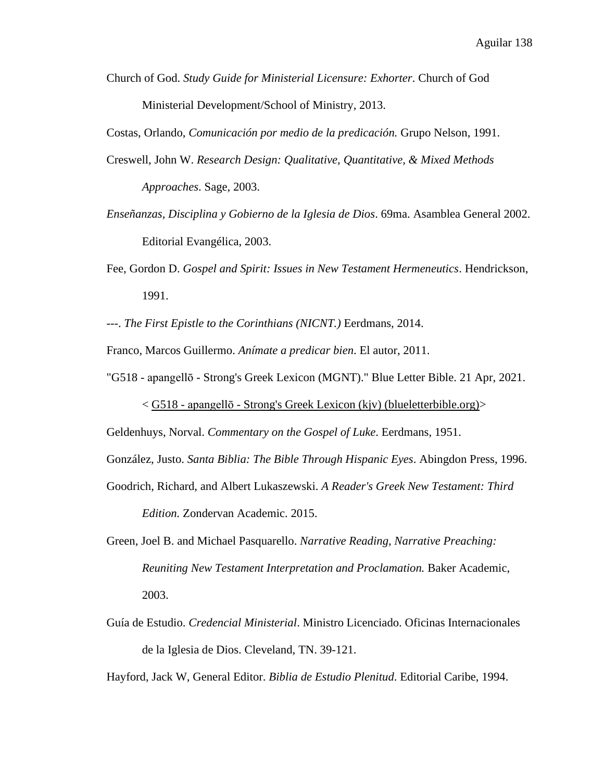Church of God. *Study Guide for Ministerial Licensure: Exhorter*. Church of God Ministerial Development/School of Ministry, 2013.

Costas, Orlando, *Comunicación por medio de la predicación.* Grupo Nelson, 1991.

- Creswell, John W. *Research Design: Qualitative, Quantitative, & Mixed Methods Approaches*. Sage, 2003.
- *Enseñanzas, Disciplina y Gobierno de la Iglesia de Dios*. 69ma. Asamblea General 2002. Editorial Evangélica, 2003.
- Fee, Gordon D. *Gospel and Spirit: Issues in New Testament Hermeneutics*. Hendrickson, 1991.
- ---. *The First Epistle to the Corinthians (NICNT.)* Eerdmans, 2014.

Franco, Marcos Guillermo. *Anímate a predicar bien*. El autor, 2011.

"G518 - apangellō - Strong's Greek Lexicon (MGNT)." Blue Letter Bible. 21 Apr, 2021.

< G518 - apangellō - [Strong's Greek Lexicon \(kjv\) \(blueletterbible.org\)>](https://www.blueletterbible.org/lexicon/g518/kjv/tr/0-1/)

Geldenhuys, Norval. *Commentary on the Gospel of Luke*. Eerdmans, 1951.

González, Justo. *Santa Biblia: The Bible Through Hispanic Eyes*. Abingdon Press, 1996.

Goodrich, Richard, and Albert Lukaszewski. *A Reader's Greek New Testament: Third* 

*Edition.* Zondervan Academic. 2015.

- Green, Joel B. and Michael Pasquarello. *Narrative Reading, Narrative Preaching: Reuniting New Testament Interpretation and Proclamation.* Baker Academic, 2003.
- Guía de Estudio. *Credencial Ministerial*. Ministro Licenciado. Oficinas Internacionales de la Iglesia de Dios. Cleveland, TN. 39-121.

Hayford, Jack W, General Editor. *Biblia de Estudio Plenitud*. Editorial Caribe, 1994.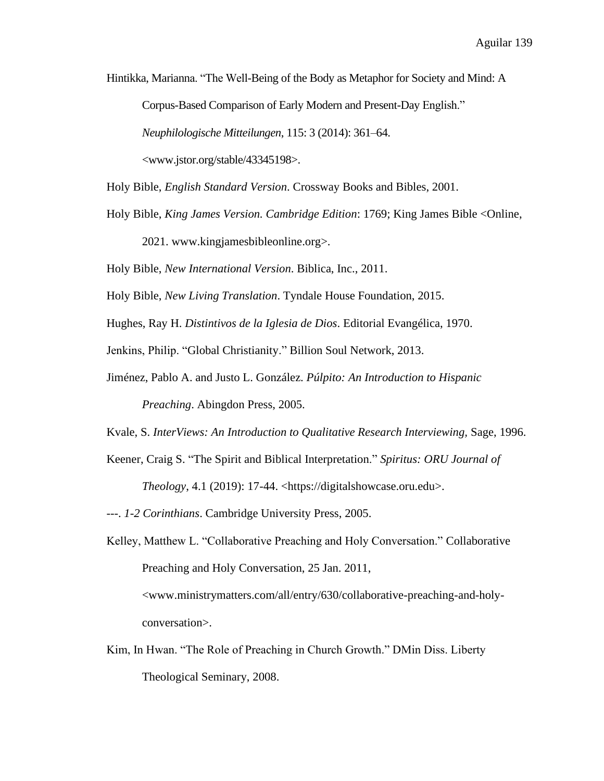Hintikka, Marianna. "The Well-Being of the Body as Metaphor for Society and Mind: A

Corpus-Based Comparison of Early Modern and Present-Day English."

*Neuphilologische Mitteilungen*, 115: 3 (2014): 361–64.

<www.jstor.org/stable/43345198>.

Holy Bible, *English Standard Version*. Crossway Books and Bibles, 2001.

Holy Bible, *King James Version. Cambridge Edition*: 1769; King James Bible <Online,

2021. [www.kingjamesbibleonline.org>](http://www.kingjamesbibleonline.org/).

Holy Bible, *New International Version*. Biblica, Inc., 2011.

Holy Bible, *New Living Translation*. Tyndale House Foundation, 2015.

Hughes, Ray H. *Distintivos de la Iglesia de Dios*. Editorial Evangélica, 1970.

Jenkins, Philip. "Global Christianity." Billion Soul Network, 2013.

Jiménez, Pablo A. and Justo L. González. *Púlpito: An Introduction to Hispanic* 

*Preaching*. Abingdon Press, 2005.

Kvale, S. *InterViews: An Introduction to Qualitative Research Interviewing,* Sage, 1996.

- Keener, Craig S. "The Spirit and Biblical Interpretation." *Spiritus: ORU Journal of Theology*, 4.1 (2019): 17-44. <https://digitalshowcase.oru.edu>.
- ---. *1-2 Corinthians*. Cambridge University Press, 2005.
- Kelley, Matthew L. "Collaborative Preaching and Holy Conversation." Collaborative Preaching and Holy Conversation, 25 Jan. 2011, [<www.ministrymatters.com/all/entry/630/collaborative-preaching-and-holy-](http://www.ministrymatters.com/all/entry/630/collaborative-preaching-and-holy-conversation)

[conversation>](http://www.ministrymatters.com/all/entry/630/collaborative-preaching-and-holy-conversation).

Kim, In Hwan. "The Role of Preaching in Church Growth." DMin Diss. Liberty Theological Seminary, 2008.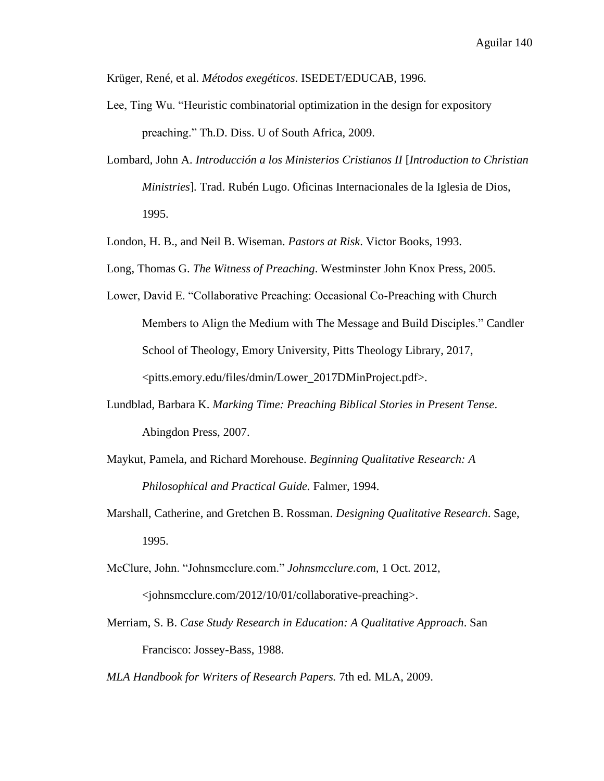Krüger, René, et al. *Métodos exegéticos*. ISEDET/EDUCAB, 1996.

- Lee, Ting Wu. "Heuristic combinatorial optimization in the design for expository preaching." Th.D. Diss. U of South Africa, 2009.
- Lombard, John A. *Introducción a los Ministerios Cristianos II* [*Introduction to Christian Ministries*]*.* Trad. Rubén Lugo. Oficinas Internacionales de la Iglesia de Dios, 1995.
- London, H. B., and Neil B. Wiseman. *Pastors at Risk*. Victor Books, 1993.
- Long, Thomas G. *The Witness of Preaching*. Westminster John Knox Press, 2005.
- Lower, David E. "Collaborative Preaching: Occasional Co-Preaching with Church Members to Align the Medium with The Message and Build Disciples." Candler School of Theology, Emory University, Pitts Theology Library, 2017, <pitts.emory.edu/files/dmin/Lower\_2017DMinProject.pdf>.
- Lundblad, Barbara K. *Marking Time: Preaching Biblical Stories in Present Tense*. Abingdon Press, 2007.
- Maykut, Pamela, and Richard Morehouse. *Beginning Qualitative Research: A Philosophical and Practical Guide.* Falmer, 1994.
- Marshall, Catherine, and Gretchen B. Rossman. *Designing Qualitative Research*. Sage, 1995.
- McClure, John. "Johnsmcclure.com." *Johnsmcclure.com,* 1 Oct. 2012, <johnsmcclure.com/2012/10/01/collaborative-preaching>.
- Merriam, S. B. *Case Study Research in Education: A Qualitative Approach*. San Francisco: Jossey-Bass, 1988.

*MLA Handbook for Writers of Research Papers.* 7th ed. MLA, 2009.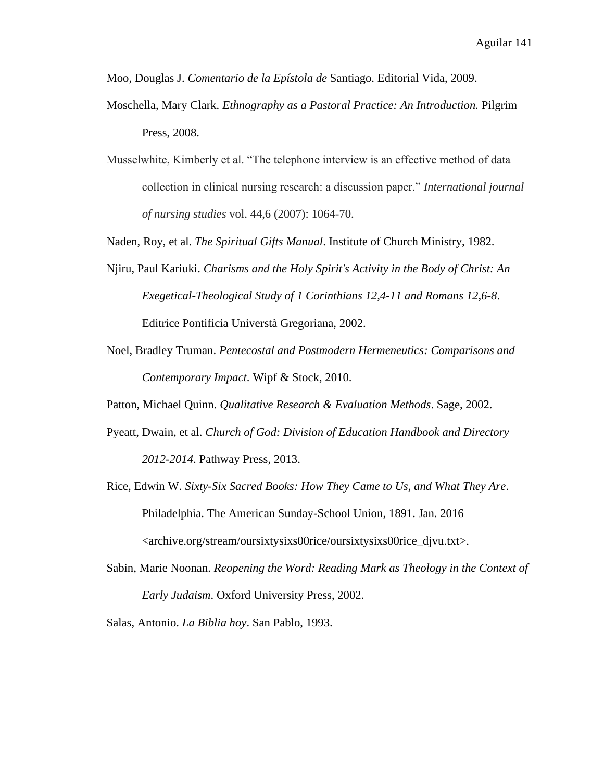Moo, Douglas J. *Comentario de la Epístola de* Santiago. Editorial Vida, 2009.

- Moschella, Mary Clark. *Ethnography as a Pastoral Practice: An Introduction.* Pilgrim Press, 2008.
- Musselwhite, Kimberly et al. "The telephone interview is an effective method of data collection in clinical nursing research: a discussion paper." *International journal of nursing studies* vol. 44,6 (2007): 1064-70.

Naden, Roy, et al. *The Spiritual Gifts Manual*. Institute of Church Ministry, 1982.

- Njiru, Paul Kariuki. *Charisms and the Holy Spirit's Activity in the Body of Christ: An Exegetical-Theological Study of 1 Corinthians 12,4-11 and Romans 12,6-8*. Editrice Pontificia Universtà Gregoriana, 2002.
- Noel, Bradley Truman. *Pentecostal and Postmodern Hermeneutics: Comparisons and Contemporary Impact*. Wipf & Stock, 2010.

Patton, Michael Quinn. *Qualitative Research & Evaluation Methods*. Sage, 2002.

- Pyeatt, Dwain, et al. *Church of God: Division of Education Handbook and Directory 2012-2014*. Pathway Press, 2013.
- Rice, Edwin W. *Sixty-Six Sacred Books: How They Came to Us, and What They Are*. Philadelphia. The American Sunday-School Union, 1891. Jan. 2016 <archive.org/stream/oursixtysixs00rice/oursixtysixs00rice\_djvu.txt>.
- Sabin, Marie Noonan. *Reopening the Word: Reading Mark as Theology in the Context of Early Judaism*. Oxford University Press, 2002.

Salas, Antonio. *La Biblia hoy*. San Pablo, 1993.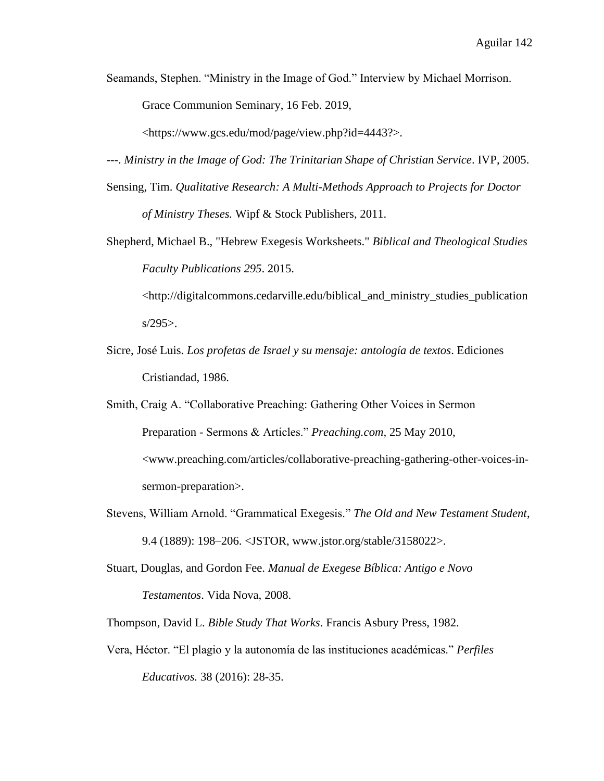Seamands, Stephen. "Ministry in the Image of God." Interview by Michael Morrison.

Grace Communion Seminary, 16 Feb. 2019,

<https://www.gcs.edu/mod/page/view.php?id=4443?>.

---. *Ministry in the Image of God: The Trinitarian Shape of Christian Service*. IVP, 2005.

- Sensing, Tim. *Qualitative Research: A Multi-Methods Approach to Projects for Doctor of Ministry Theses.* Wipf & Stock Publishers, 2011.
- Shepherd, Michael B., "Hebrew Exegesis Worksheets." *Biblical and Theological Studies Faculty Publications 295*. 2015.

<http://digitalcommons.cedarville.edu/biblical\_and\_ministry\_studies\_publication  $s/295$ .

- Sicre, José Luis. *Los profetas de Israel y su mensaje: antología de textos*. Ediciones Cristiandad, 1986.
- Smith, Craig A. "Collaborative Preaching: Gathering Other Voices in Sermon Preparation - Sermons & Articles." *Preaching.com,* 25 May 2010, <www.preaching.com/articles/collaborative-preaching-gathering-other-voices-insermon-preparation>.
- Stevens, William Arnold. "Grammatical Exegesis." *The Old and New Testament Student*, 9.4 (1889): 198–206. <JSTOR, www.jstor.org/stable/3158022>.
- Stuart, Douglas, and Gordon Fee. *Manual de Exegese Bíblica: Antigo e Novo Testamentos*. Vida Nova, 2008.

Thompson, David L. *Bible Study That Works*. Francis Asbury Press, 1982.

Vera, Héctor. "El plagio y la autonomía de las instituciones académicas." *Perfiles Educativos.* 38 (2016): 28-35.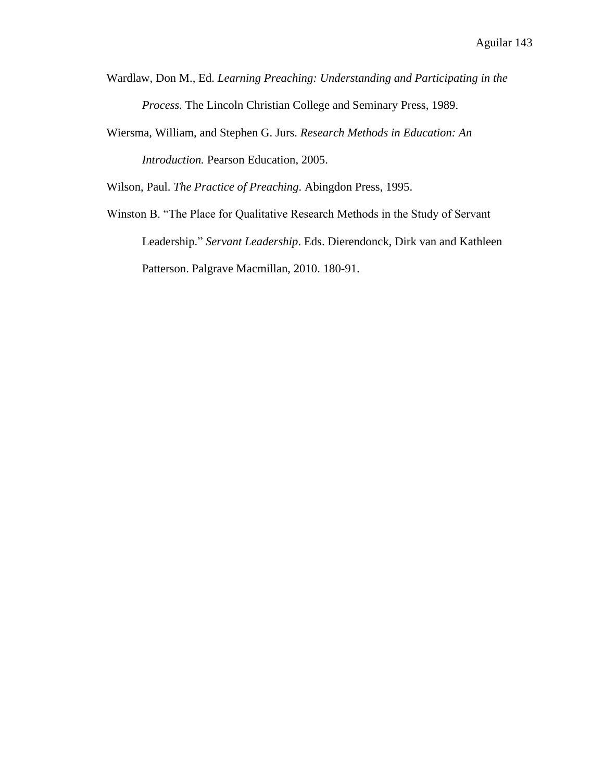- Wardlaw, Don M., Ed. *Learning Preaching: Understanding and Participating in the Process.* The Lincoln Christian College and Seminary Press, 1989.
- Wiersma, William, and Stephen G. Jurs. *Research Methods in Education: An Introduction.* Pearson Education, 2005.

Wilson, Paul. *The Practice of Preaching*. Abingdon Press, 1995.

Winston B. "The Place for Qualitative Research Methods in the Study of Servant Leadership." *Servant Leadership*. Eds. Dierendonck, Dirk van and Kathleen Patterson. Palgrave Macmillan, 2010. 180-91.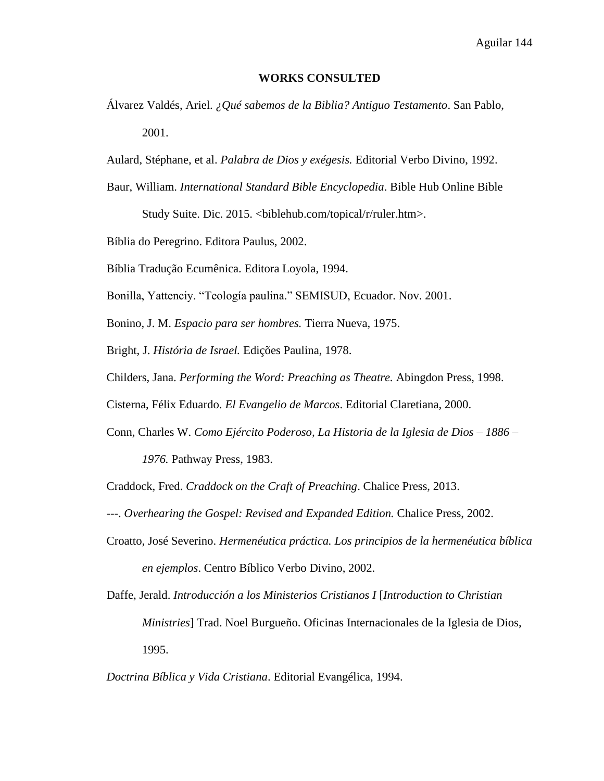### **WORKS CONSULTED**

- Álvarez Valdés, Ariel. *¿Qué sabemos de la Biblia? Antiguo Testamento*. San Pablo, 2001.
- Aulard, Stéphane, et al. *Palabra de Dios y exégesis.* Editorial Verbo Divino, 1992.
- Baur, William. *International Standard Bible Encyclopedia*. Bible Hub Online Bible

Study Suite. Dic. 2015. <br/>biblehub.com/topical/r/ruler.htm>.

Bíblia do Peregrino. Editora Paulus, 2002.

Bíblia Tradução Ecumênica. Editora Loyola, 1994.

Bonilla, Yattenciy. "Teología paulina." SEMISUD, Ecuador. Nov. 2001.

Bonino, J. M. *Espacio para ser hombres.* Tierra Nueva, 1975.

Bright, J. *História de Israel.* Edições Paulina, 1978.

Childers, Jana. *Performing the Word: Preaching as Theatre.* Abingdon Press, 1998.

Cisterna, Félix Eduardo. *El Evangelio de Marcos*. Editorial Claretiana, 2000.

Conn, Charles W. *Como Ejército Poderoso, La Historia de la Iglesia de Dios – 1886 –*

*1976.* Pathway Press, 1983.

Craddock, Fred. *Craddock on the Craft of Preaching*. Chalice Press, 2013.

- ---. *Overhearing the Gospel: Revised and Expanded Edition.* Chalice Press, 2002.
- Croatto, José Severino. *Hermenéutica práctica. Los principios de la hermenéutica bíblica en ejemplos*. Centro Bíblico Verbo Divino, 2002.
- Daffe, Jerald. *Introducción a los Ministerios Cristianos I* [*Introduction to Christian Ministries*] Trad. Noel Burgueño. Oficinas Internacionales de la Iglesia de Dios, 1995.

## *Doctrina Bíblica y Vida Cristiana*. Editorial Evangélica, 1994.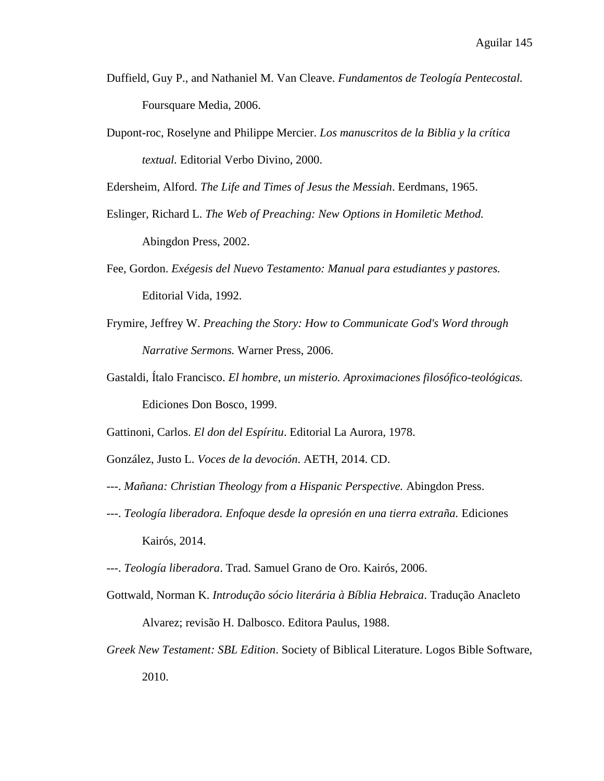- Duffield, Guy P., and Nathaniel M. Van Cleave. *Fundamentos de Teología Pentecostal.*  Foursquare Media, 2006.
- Dupont-roc, Roselyne and Philippe Mercier. *Los manuscritos de la Biblia y la crítica textual.* Editorial Verbo Divino, 2000.

Edersheim, Alford. *The Life and Times of Jesus the Messiah*. Eerdmans, 1965.

- Eslinger, Richard L. *The Web of Preaching: New Options in Homiletic Method.*  Abingdon Press, 2002.
- Fee, Gordon. *Exégesis del Nuevo Testamento: Manual para estudiantes y pastores.* Editorial Vida, 1992.
- Frymire, Jeffrey W. *Preaching the Story: How to Communicate God's Word through Narrative Sermons.* Warner Press, 2006.
- Gastaldi, Ítalo Francisco. *El hombre, un misterio. Aproximaciones filosófico-teológicas.*  Ediciones Don Bosco, 1999.

Gattinoni, Carlos. *El don del Espíritu*. Editorial La Aurora, 1978.

González, Justo L. *Voces de la devoción*. AETH, 2014. CD.

- ---. *Mañana: Christian Theology from a Hispanic Perspective.* Abingdon Press.
- ---. *Teología liberadora. Enfoque desde la opresión en una tierra extraña.* Ediciones Kairós, 2014.
- ---. *Teología liberadora*. Trad. Samuel Grano de Oro. Kairós, 2006.
- Gottwald, Norman K. *Introdução sócio literária à Bíblia Hebraica*. Tradução Anacleto Alvarez; revisão H. Dalbosco. Editora Paulus, 1988.
- *Greek New Testament: SBL Edition*. Society of Biblical Literature. Logos Bible Software, 2010.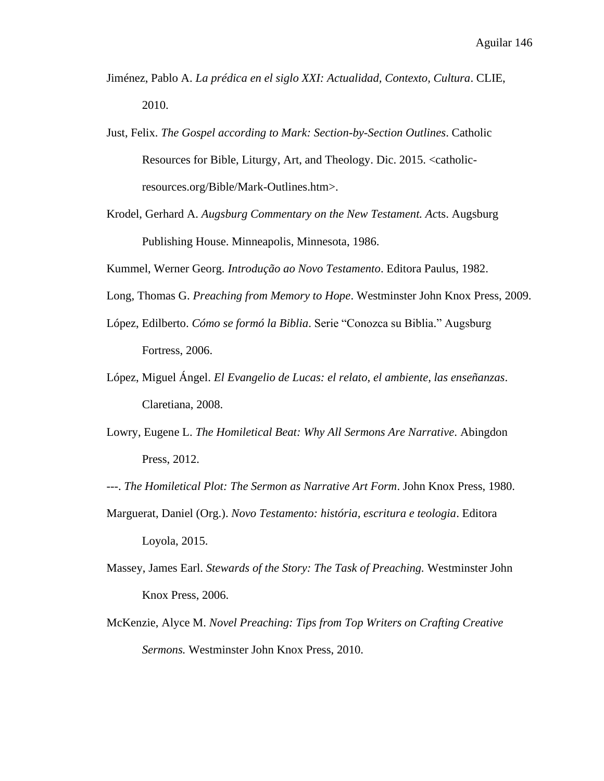- Jiménez, Pablo A. *La prédica en el siglo XXI: Actualidad, Contexto, Cultura*. CLIE, 2010.
- Just, Felix. *The Gospel according to Mark: Section-by-Section Outlines*. Catholic Resources for Bible, Liturgy, Art, and Theology. Dic. 2015. [<catholic](http://catholic-resources.org/Bible/Mark-Outlines.htm)[resources.org/Bible/Mark-Outlines.htm>](http://catholic-resources.org/Bible/Mark-Outlines.htm).
- Krodel, Gerhard A. *Augsburg Commentary on the New Testament. Ac*ts. Augsburg Publishing House. Minneapolis, Minnesota, 1986.

Kummel, Werner Georg. *Introdução ao Novo Testamento*. Editora Paulus, 1982.

- Long, Thomas G. *Preaching from Memory to Hope*. Westminster John Knox Press, 2009.
- López, Edilberto. *Cómo se formó la Biblia*. Serie "Conozca su Biblia." Augsburg Fortress, 2006.
- López, Miguel Ángel. *El Evangelio de Lucas: el relato, el ambiente, las enseñanzas*. Claretiana, 2008.
- Lowry, Eugene L. *The Homiletical Beat: Why All Sermons Are Narrative*. Abingdon Press, 2012.
- ---. *The Homiletical Plot: The Sermon as Narrative Art Form*. John Knox Press, 1980.
- Marguerat, Daniel (Org.). *Novo Testamento: história, escritura e teologia*. Editora Loyola, 2015.
- Massey, James Earl. *Stewards of the Story: The Task of Preaching.* Westminster John Knox Press, 2006.
- McKenzie, Alyce M. *Novel Preaching: Tips from Top Writers on Crafting Creative Sermons.* Westminster John Knox Press, 2010.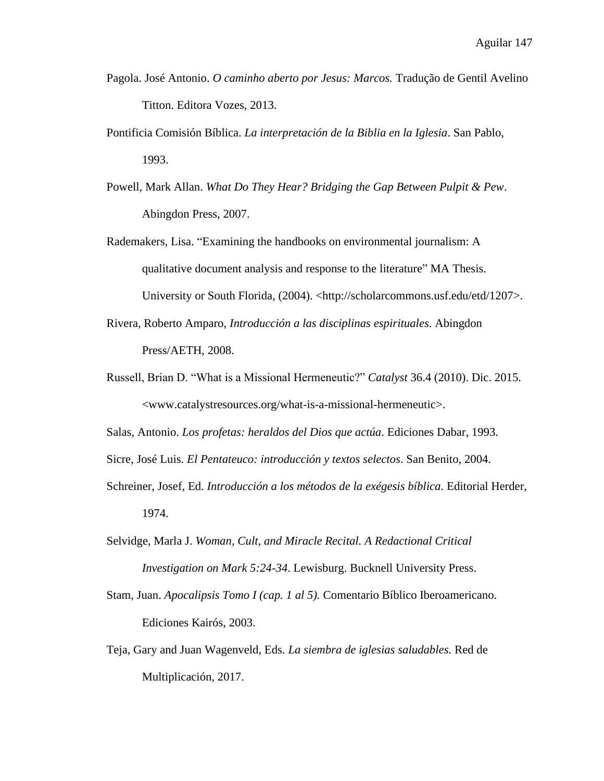- Pagola. José Antonio. *O caminho aberto por Jesus: Marcos.* Tradução de Gentil Avelino Titton. Editora Vozes, 2013.
- Pontificia Comisión Bíblica. *La interpretación de la Biblia en la Iglesia*. San Pablo, 1993.
- Powell, Mark Allan. *What Do They Hear? Bridging the Gap Between Pulpit & Pew*. Abingdon Press, 2007.
- Rademakers, Lisa. "Examining the handbooks on environmental journalism: A qualitative document analysis and response to the literature" MA Thesis. University or South Florida, (2004). <http://scholarcommons.usf.edu/etd/1207>.
- Rivera, Roberto Amparo, *Introducción a las disciplinas espirituales*. Abingdon Press/AETH, 2008.
- Russell, Brian D. "What is a Missional Hermeneutic?" *Catalyst* 36.4 (2010). Dic. 2015. <www.catalystresources.org/what-is-a-missional-hermeneutic>.

Salas, Antonio. *Los profetas: heraldos del Dios que actúa*. Ediciones Dabar, 1993.

Sicre, José Luis. *El Pentateuco: introducción y textos selectos*. San Benito, 2004.

- Schreiner, Josef, Ed. *Introducción a los métodos de la exégesis bíblica.* Editorial Herder, 1974.
- Selvidge, Marla J. *Woman, Cult, and Miracle Recital. A Redactional Critical Investigation on Mark 5:24-34*. Lewisburg. Bucknell University Press.
- Stam, Juan. *Apocalipsis Tomo I (cap. 1 al 5).* Comentario Bíblico Iberoamericano. Ediciones Kairós, 2003.
- Teja, Gary and Juan Wagenveld, Eds. *La siembra de iglesias saludables.* Red de Multiplicación, 2017.